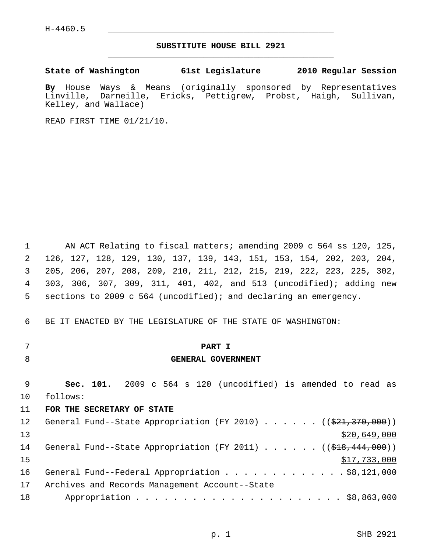# **SUBSTITUTE HOUSE BILL 2921** \_\_\_\_\_\_\_\_\_\_\_\_\_\_\_\_\_\_\_\_\_\_\_\_\_\_\_\_\_\_\_\_\_\_\_\_\_\_\_\_\_\_\_\_\_

**State of Washington 61st Legislature 2010 Regular Session**

**By** House Ways & Means (originally sponsored by Representatives Linville, Darneille, Ericks, Pettigrew, Probst, Haigh, Sullivan, Kelley, and Wallace)

READ FIRST TIME 01/21/10.

 1 AN ACT Relating to fiscal matters; amending 2009 c 564 ss 120, 125, 2 126, 127, 128, 129, 130, 137, 139, 143, 151, 153, 154, 202, 203, 204, 3 205, 206, 207, 208, 209, 210, 211, 212, 215, 219, 222, 223, 225, 302, 4 303, 306, 307, 309, 311, 401, 402, and 513 (uncodified); adding new 5 sections to 2009 c 564 (uncodified); and declaring an emergency.

6 BE IT ENACTED BY THE LEGISLATURE OF THE STATE OF WASHINGTON:

- 
- 

# 7 **PART I**

#### 8 **GENERAL GOVERNMENT**

 9 **Sec. 101.** 2009 c 564 s 120 (uncodified) is amended to read as 10 follows:

#### 11 **FOR THE SECRETARY OF STATE**

| 12 | General Fund--State Appropriation (FY 2010) ( $(\frac{21}{7}370,000)$ )             |
|----|-------------------------------------------------------------------------------------|
| 13 | \$20,649,000                                                                        |
| 14 | General Fund--State Appropriation (FY 2011) ( $(\frac{248}{18}, \frac{444}{100})$ ) |
| 15 | \$17,733,000                                                                        |
| 16 | General Fund--Federal Appropriation \$8,121,000                                     |
| 17 | Archives and Records Management Account--State                                      |
| 18 |                                                                                     |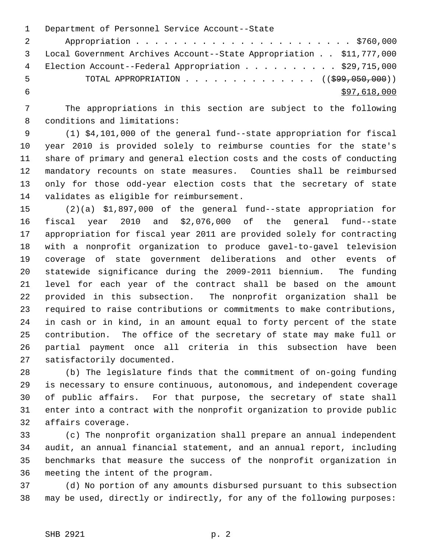1 Department of Personnel Service Account--State 2 Appropriation . . . . . . . . . . . . . . . . . . . . . . . \$760,000 3 Local Government Archives Account--State Appropriation . . \$11,777,000 4 Election Account--Federal Appropriation . . . . . . . . . \$29,715,000 5 TOTAL APPROPRIATION . . . . . . . . . . . . . . ((\$99,050,000))  $\frac{$97,618,000}{ }$ 

 7 The appropriations in this section are subject to the following 8 conditions and limitations:

 9 (1) \$4,101,000 of the general fund--state appropriation for fiscal 10 year 2010 is provided solely to reimburse counties for the state's 11 share of primary and general election costs and the costs of conducting 12 mandatory recounts on state measures. Counties shall be reimbursed 13 only for those odd-year election costs that the secretary of state 14 validates as eligible for reimbursement.

15 (2)(a) \$1,897,000 of the general fund--state appropriation for 16 fiscal year 2010 and \$2,076,000 of the general fund--state 17 appropriation for fiscal year 2011 are provided solely for contracting 18 with a nonprofit organization to produce gavel-to-gavel television 19 coverage of state government deliberations and other events of 20 statewide significance during the 2009-2011 biennium. The funding 21 level for each year of the contract shall be based on the amount 22 provided in this subsection. The nonprofit organization shall be 23 required to raise contributions or commitments to make contributions, 24 in cash or in kind, in an amount equal to forty percent of the state 25 contribution. The office of the secretary of state may make full or 26 partial payment once all criteria in this subsection have been 27 satisfactorily documented.

28 (b) The legislature finds that the commitment of on-going funding 29 is necessary to ensure continuous, autonomous, and independent coverage 30 of public affairs. For that purpose, the secretary of state shall 31 enter into a contract with the nonprofit organization to provide public 32 affairs coverage.

33 (c) The nonprofit organization shall prepare an annual independent 34 audit, an annual financial statement, and an annual report, including 35 benchmarks that measure the success of the nonprofit organization in 36 meeting the intent of the program.

37 (d) No portion of any amounts disbursed pursuant to this subsection 38 may be used, directly or indirectly, for any of the following purposes: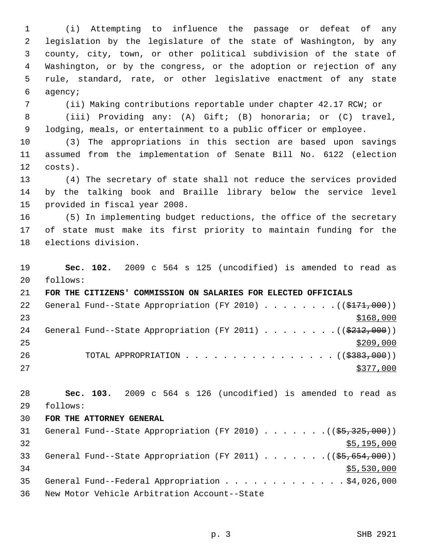1 (i) Attempting to influence the passage or defeat of any 2 legislation by the legislature of the state of Washington, by any 3 county, city, town, or other political subdivision of the state of 4 Washington, or by the congress, or the adoption or rejection of any 5 rule, standard, rate, or other legislative enactment of any state 6 agency;

7 (ii) Making contributions reportable under chapter 42.17 RCW; or

 8 (iii) Providing any: (A) Gift; (B) honoraria; or (C) travel, 9 lodging, meals, or entertainment to a public officer or employee.

10 (3) The appropriations in this section are based upon savings 11 assumed from the implementation of Senate Bill No. 6122 (election 12 costs).

13 (4) The secretary of state shall not reduce the services provided 14 by the talking book and Braille library below the service level 15 provided in fiscal year 2008.

16 (5) In implementing budget reductions, the office of the secretary 17 of state must make its first priority to maintain funding for the 18 elections division.

19 **Sec. 102.** 2009 c 564 s 125 (uncodified) is amended to read as 20 follows:

21 **FOR THE CITIZENS' COMMISSION ON SALARIES FOR ELECTED OFFICIALS** 22 General Fund--State Appropriation (FY 2010)  $\ldots$  . . . . . . ((\$171,000))  $23$   $\frac{$168,000}{9}$ 24 General Fund--State Appropriation (FY 2011)  $\ldots$  ...... ((\$212,000))  $25$ 26 TOTAL APPROPRIATION . . . . . . . . . . . . . . . ((\$383,000))  $27$ 

28 **Sec. 103.** 2009 c 564 s 126 (uncodified) is amended to read as 29 follows:

#### 30 **FOR THE ATTORNEY GENERAL**

| 31 | General Fund--State Appropriation (FY 2010) $($ $(\frac{25}{325}, \frac{325}{300})$ |
|----|-------------------------------------------------------------------------------------|
| 32 | \$5,195,000                                                                         |
| 33 | General Fund--State Appropriation (FY 2011) ( $(\frac{25}{65}, \frac{654}{600})$ )  |
| 34 | \$5,530,000                                                                         |
| 35 | General Fund--Federal Appropriation \$4,026,000                                     |
| 36 | New Motor Vehicle Arbitration Account--State                                        |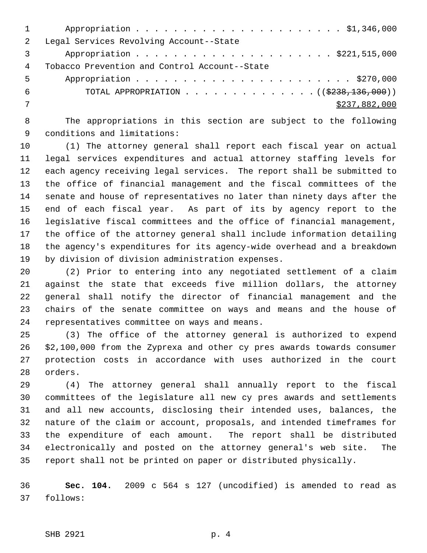| $\overline{2}$ | Legal Services Revolving Account--State                      |
|----------------|--------------------------------------------------------------|
|                |                                                              |
| 4              | Tobacco Prevention and Control Account--State                |
| 5              |                                                              |
| 6              | TOTAL APPROPRIATION $\ldots$ , ( $(\frac{2238}{136}, 000)$ ) |
|                | \$237,882,000                                                |
|                |                                                              |

 8 The appropriations in this section are subject to the following 9 conditions and limitations:

10 (1) The attorney general shall report each fiscal year on actual 11 legal services expenditures and actual attorney staffing levels for 12 each agency receiving legal services. The report shall be submitted to 13 the office of financial management and the fiscal committees of the 14 senate and house of representatives no later than ninety days after the 15 end of each fiscal year. As part of its by agency report to the 16 legislative fiscal committees and the office of financial management, 17 the office of the attorney general shall include information detailing 18 the agency's expenditures for its agency-wide overhead and a breakdown 19 by division of division administration expenses.

20 (2) Prior to entering into any negotiated settlement of a claim 21 against the state that exceeds five million dollars, the attorney 22 general shall notify the director of financial management and the 23 chairs of the senate committee on ways and means and the house of 24 representatives committee on ways and means.

25 (3) The office of the attorney general is authorized to expend 26 \$2,100,000 from the Zyprexa and other cy pres awards towards consumer 27 protection costs in accordance with uses authorized in the court 28 orders.

29 (4) The attorney general shall annually report to the fiscal 30 committees of the legislature all new cy pres awards and settlements 31 and all new accounts, disclosing their intended uses, balances, the 32 nature of the claim or account, proposals, and intended timeframes for 33 the expenditure of each amount. The report shall be distributed 34 electronically and posted on the attorney general's web site. The 35 report shall not be printed on paper or distributed physically.

36 **Sec. 104.** 2009 c 564 s 127 (uncodified) is amended to read as 37 follows: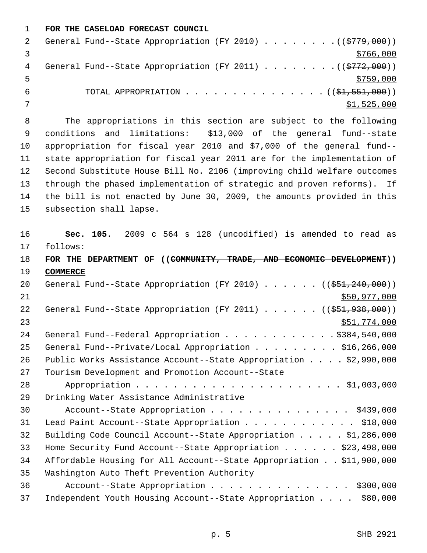1 **FOR THE CASELOAD FORECAST COUNCIL**

|   | General Fund--State Appropriation (FY 2010) ( $(\frac{2779}{100})$ ) |
|---|----------------------------------------------------------------------|
|   | \$766,000                                                            |
| 4 | General Fund--State Appropriation (FY 2011) ( $(\frac{2772}{100})$ ) |
|   | \$759,000                                                            |
|   | TOTAL APPROPRIATION $\ldots$ , ( $(\frac{1}{2}, 551, 000)$ )         |
|   | \$1,525,000                                                          |

 8 The appropriations in this section are subject to the following 9 conditions and limitations: \$13,000 of the general fund--state 10 appropriation for fiscal year 2010 and \$7,000 of the general fund-- 11 state appropriation for fiscal year 2011 are for the implementation of 12 Second Substitute House Bill No. 2106 (improving child welfare outcomes 13 through the phased implementation of strategic and proven reforms). If 14 the bill is not enacted by June 30, 2009, the amounts provided in this 15 subsection shall lapse.

16 **Sec. 105.** 2009 c 564 s 128 (uncodified) is amended to read as 17 follows: 18 **FOR THE DEPARTMENT OF ((COMMUNITY, TRADE, AND ECONOMIC DEVELOPMENT))** 19 **COMMERCE** 20 General Fund--State Appropriation (FY 2010) . . . . . . ((\$51,240,000)) 21 \$50,977,000 22 General Fund--State Appropriation (FY 2011) . . . . . . ((\$51,938,000)) 23 \$51,774,000 24 General Fund--Federal Appropriation . . . . . . . . . . . \$384,540,000 25 General Fund--Private/Local Appropriation . . . . . . . . . \$16,266,000 26 Public Works Assistance Account--State Appropriation . . . . \$2,990,000 27 Tourism Development and Promotion Account--State 28 Appropriation . . . . . . . . . . . . . . . . . . . . . . \$1,003,000 29 Drinking Water Assistance Administrative 30 Account--State Appropriation . . . . . . . . . . . . . . . \$439,000 31 Lead Paint Account--State Appropriation . . . . . . . . . . . . \$18,000 32 Building Code Council Account--State Appropriation . . . . . \$1,286,000 33 Home Security Fund Account--State Appropriation . . . . . . \$23,498,000 34 Affordable Housing for All Account--State Appropriation . . \$11,900,000 35 Washington Auto Theft Prevention Authority 36 Account--State Appropriation . . . . . . . . . . . . . . . \$300,000 37 Independent Youth Housing Account--State Appropriation . . . . \$80,000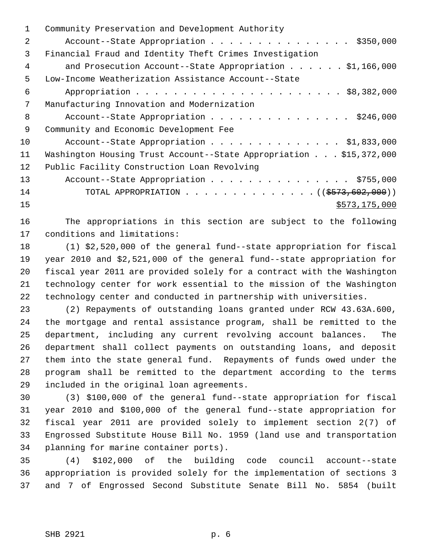| 1  | Community Preservation and Development Authority                   |
|----|--------------------------------------------------------------------|
| 2  | Account--State Appropriation \$350,000                             |
| 3  | Financial Fraud and Identity Theft Crimes Investigation            |
| 4  | and Prosecution Account--State Appropriation $\ldots$ \$1,166,000  |
| 5  | Low-Income Weatherization Assistance Account--State                |
| 6  |                                                                    |
| 7  | Manufacturing Innovation and Modernization                         |
| 8  | Account--State Appropriation \$246,000                             |
| 9  | Community and Economic Development Fee                             |
| 10 | Account--State Appropriation \$1,833,000                           |
| 11 | Washington Housing Trust Account--State Appropriation \$15,372,000 |
| 12 | Public Facility Construction Loan Revolving                        |
| 13 | Account--State Appropriation \$755,000                             |
| 14 | TOTAL APPROPRIATION ( $(\frac{2573}{602},000)$ )                   |
| 15 | \$573,175,000                                                      |
|    |                                                                    |

16 The appropriations in this section are subject to the following 17 conditions and limitations:

18 (1) \$2,520,000 of the general fund--state appropriation for fiscal 19 year 2010 and \$2,521,000 of the general fund--state appropriation for 20 fiscal year 2011 are provided solely for a contract with the Washington 21 technology center for work essential to the mission of the Washington 22 technology center and conducted in partnership with universities.

23 (2) Repayments of outstanding loans granted under RCW 43.63A.600, 24 the mortgage and rental assistance program, shall be remitted to the 25 department, including any current revolving account balances. The 26 department shall collect payments on outstanding loans, and deposit 27 them into the state general fund. Repayments of funds owed under the 28 program shall be remitted to the department according to the terms 29 included in the original loan agreements.

30 (3) \$100,000 of the general fund--state appropriation for fiscal 31 year 2010 and \$100,000 of the general fund--state appropriation for 32 fiscal year 2011 are provided solely to implement section 2(7) of 33 Engrossed Substitute House Bill No. 1959 (land use and transportation 34 planning for marine container ports).

35 (4) \$102,000 of the building code council account--state 36 appropriation is provided solely for the implementation of sections 3 37 and 7 of Engrossed Second Substitute Senate Bill No. 5854 (built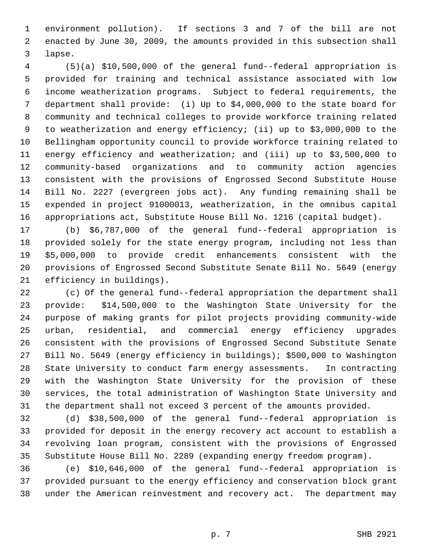1 environment pollution). If sections 3 and 7 of the bill are not 2 enacted by June 30, 2009, the amounts provided in this subsection shall 3 lapse.

 4 (5)(a) \$10,500,000 of the general fund--federal appropriation is 5 provided for training and technical assistance associated with low 6 income weatherization programs. Subject to federal requirements, the 7 department shall provide: (i) Up to \$4,000,000 to the state board for 8 community and technical colleges to provide workforce training related 9 to weatherization and energy efficiency; (ii) up to \$3,000,000 to the 10 Bellingham opportunity council to provide workforce training related to 11 energy efficiency and weatherization; and (iii) up to \$3,500,000 to 12 community-based organizations and to community action agencies 13 consistent with the provisions of Engrossed Second Substitute House 14 Bill No. 2227 (evergreen jobs act). Any funding remaining shall be 15 expended in project 91000013, weatherization, in the omnibus capital 16 appropriations act, Substitute House Bill No. 1216 (capital budget).

17 (b) \$6,787,000 of the general fund--federal appropriation is 18 provided solely for the state energy program, including not less than 19 \$5,000,000 to provide credit enhancements consistent with the 20 provisions of Engrossed Second Substitute Senate Bill No. 5649 (energy 21 efficiency in buildings).

22 (c) Of the general fund--federal appropriation the department shall 23 provide: \$14,500,000 to the Washington State University for the 24 purpose of making grants for pilot projects providing community-wide 25 urban, residential, and commercial energy efficiency upgrades 26 consistent with the provisions of Engrossed Second Substitute Senate 27 Bill No. 5649 (energy efficiency in buildings); \$500,000 to Washington 28 State University to conduct farm energy assessments. In contracting 29 with the Washington State University for the provision of these 30 services, the total administration of Washington State University and 31 the department shall not exceed 3 percent of the amounts provided.

32 (d) \$38,500,000 of the general fund--federal appropriation is 33 provided for deposit in the energy recovery act account to establish a 34 revolving loan program, consistent with the provisions of Engrossed 35 Substitute House Bill No. 2289 (expanding energy freedom program).

36 (e) \$10,646,000 of the general fund--federal appropriation is 37 provided pursuant to the energy efficiency and conservation block grant 38 under the American reinvestment and recovery act. The department may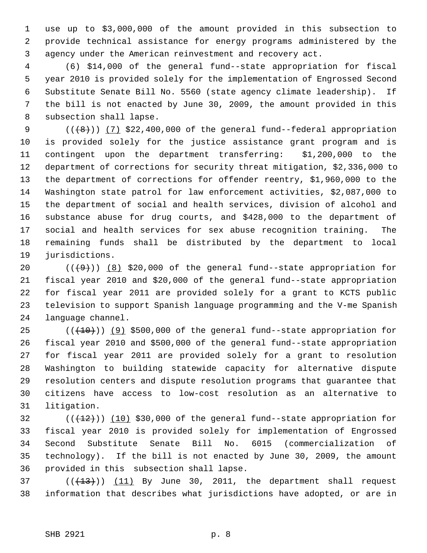1 use up to \$3,000,000 of the amount provided in this subsection to 2 provide technical assistance for energy programs administered by the 3 agency under the American reinvestment and recovery act.

 4 (6) \$14,000 of the general fund--state appropriation for fiscal 5 year 2010 is provided solely for the implementation of Engrossed Second 6 Substitute Senate Bill No. 5560 (state agency climate leadership). If 7 the bill is not enacted by June 30, 2009, the amount provided in this 8 subsection shall lapse.

9  $((+8))$   $(7)$  \$22,400,000 of the general fund--federal appropriation 10 is provided solely for the justice assistance grant program and is 11 contingent upon the department transferring: \$1,200,000 to the 12 department of corrections for security threat mitigation, \$2,336,000 to 13 the department of corrections for offender reentry, \$1,960,000 to the 14 Washington state patrol for law enforcement activities, \$2,087,000 to 15 the department of social and health services, division of alcohol and 16 substance abuse for drug courts, and \$428,000 to the department of 17 social and health services for sex abuse recognition training. The 18 remaining funds shall be distributed by the department to local 19 jurisdictions.

20  $((+9))$  (8) \$20,000 of the general fund--state appropriation for 21 fiscal year 2010 and \$20,000 of the general fund--state appropriation 22 for fiscal year 2011 are provided solely for a grant to KCTS public 23 television to support Spanish language programming and the V-me Spanish 24 language channel.

25  $((+10))$  (9) \$500,000 of the general fund--state appropriation for 26 fiscal year 2010 and \$500,000 of the general fund--state appropriation 27 for fiscal year 2011 are provided solely for a grant to resolution 28 Washington to building statewide capacity for alternative dispute 29 resolution centers and dispute resolution programs that guarantee that 30 citizens have access to low-cost resolution as an alternative to 31 litigation.

 $(1)(12)$  (( $12$ )) (10) \$30,000 of the general fund--state appropriation for 33 fiscal year 2010 is provided solely for implementation of Engrossed 34 Second Substitute Senate Bill No. 6015 (commercialization of 35 technology). If the bill is not enacted by June 30, 2009, the amount 36 provided in this subsection shall lapse.

37  $((\text{+13})^2)$  (11) By June 30, 2011, the department shall request 38 information that describes what jurisdictions have adopted, or are in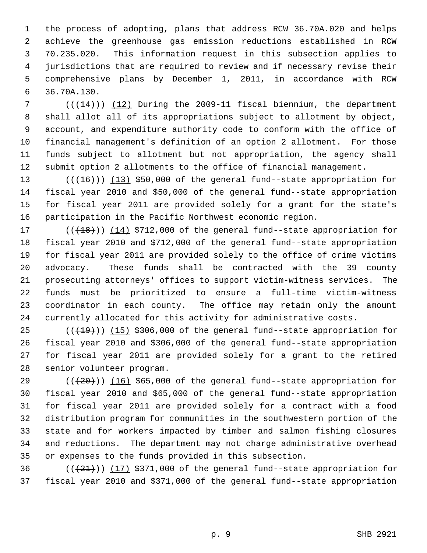1 the process of adopting, plans that address RCW 36.70A.020 and helps 2 achieve the greenhouse gas emission reductions established in RCW 3 70.235.020. This information request in this subsection applies to 4 jurisdictions that are required to review and if necessary revise their 5 comprehensive plans by December 1, 2011, in accordance with RCW 6 36.70A.130.

 $7$  ( $(\overline{+14})$ ) (12) During the 2009-11 fiscal biennium, the department 8 shall allot all of its appropriations subject to allotment by object, 9 account, and expenditure authority code to conform with the office of 10 financial management's definition of an option 2 allotment. For those 11 funds subject to allotment but not appropriation, the agency shall 12 submit option 2 allotments to the office of financial management.

13  $((+16))$   $(13)$  \$50,000 of the general fund--state appropriation for 14 fiscal year 2010 and \$50,000 of the general fund--state appropriation 15 for fiscal year 2011 are provided solely for a grant for the state's 16 participation in the Pacific Northwest economic region.

17  $((+18))$   $(14)$  \$712,000 of the general fund--state appropriation for 18 fiscal year 2010 and \$712,000 of the general fund--state appropriation 19 for fiscal year 2011 are provided solely to the office of crime victims 20 advocacy. These funds shall be contracted with the 39 county 21 prosecuting attorneys' offices to support victim-witness services. The 22 funds must be prioritized to ensure a full-time victim-witness 23 coordinator in each county. The office may retain only the amount 24 currently allocated for this activity for administrative costs.

 $25$  ( $(\overline{+19})$ ) (15) \$306,000 of the general fund--state appropriation for 26 fiscal year 2010 and \$306,000 of the general fund--state appropriation 27 for fiscal year 2011 are provided solely for a grant to the retired 28 senior volunteer program.

29  $((+20))$  (16) \$65,000 of the general fund--state appropriation for 30 fiscal year 2010 and \$65,000 of the general fund--state appropriation 31 for fiscal year 2011 are provided solely for a contract with a food 32 distribution program for communities in the southwestern portion of the 33 state and for workers impacted by timber and salmon fishing closures 34 and reductions. The department may not charge administrative overhead 35 or expenses to the funds provided in this subsection.

36  $((+21))$  (17) \$371,000 of the general fund--state appropriation for 37 fiscal year 2010 and \$371,000 of the general fund--state appropriation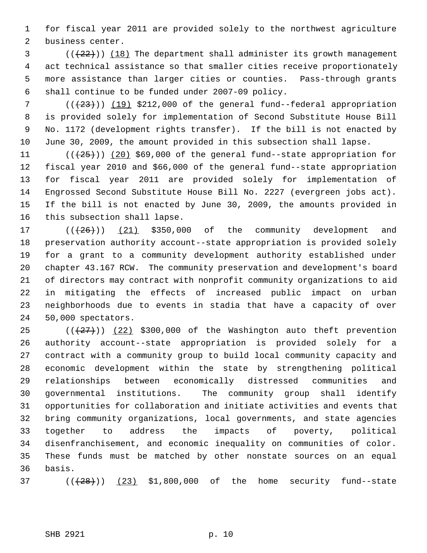1 for fiscal year 2011 are provided solely to the northwest agriculture 2 business center.

 $(1, 22)$  (( $(22)$ )) (18) The department shall administer its growth management 4 act technical assistance so that smaller cities receive proportionately 5 more assistance than larger cities or counties. Pass-through grants 6 shall continue to be funded under 2007-09 policy.

7  $((+23))$  (19) \$212,000 of the general fund--federal appropriation 8 is provided solely for implementation of Second Substitute House Bill 9 No. 1172 (development rights transfer). If the bill is not enacted by 10 June 30, 2009, the amount provided in this subsection shall lapse.

11  $((+25+))$  (20) \$69,000 of the general fund--state appropriation for 12 fiscal year 2010 and \$66,000 of the general fund--state appropriation 13 for fiscal year 2011 are provided solely for implementation of 14 Engrossed Second Substitute House Bill No. 2227 (evergreen jobs act). 15 If the bill is not enacted by June 30, 2009, the amounts provided in 16 this subsection shall lapse.

17  $((+26))$   $(21)$  \$350,000 of the community development and 18 preservation authority account--state appropriation is provided solely 19 for a grant to a community development authority established under 20 chapter 43.167 RCW. The community preservation and development's board 21 of directors may contract with nonprofit community organizations to aid 22 in mitigating the effects of increased public impact on urban 23 neighborhoods due to events in stadia that have a capacity of over 24 50,000 spectators.

25  $((+27))$   $(22)$  \$300,000 of the Washington auto theft prevention 26 authority account--state appropriation is provided solely for a 27 contract with a community group to build local community capacity and 28 economic development within the state by strengthening political 29 relationships between economically distressed communities and 30 governmental institutions. The community group shall identify 31 opportunities for collaboration and initiate activities and events that 32 bring community organizations, local governments, and state agencies 33 together to address the impacts of poverty, political 34 disenfranchisement, and economic inequality on communities of color. 35 These funds must be matched by other nonstate sources on an equal 36 basis.

 $(1/(28))$  (( $(23)$  \$1,800,000 of the home security fund--state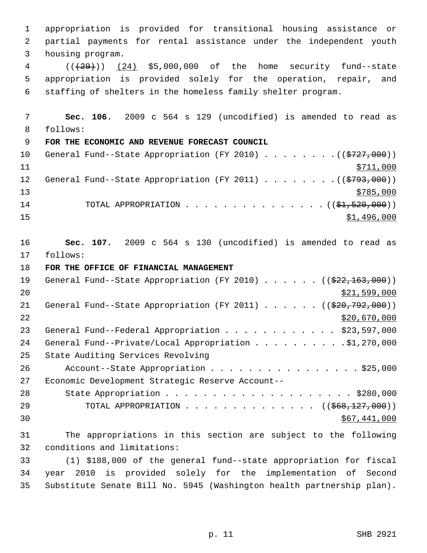1 appropriation is provided for transitional housing assistance or 2 partial payments for rental assistance under the independent youth 3 housing program. 4 (((29))) (24) \$5,000,000 of the home security fund--state 5 appropriation is provided solely for the operation, repair, and 6 staffing of shelters in the homeless family shelter program. 7 **Sec. 106.** 2009 c 564 s 129 (uncodified) is amended to read as 8 follows: 9 **FOR THE ECONOMIC AND REVENUE FORECAST COUNCIL** 10 General Fund--State Appropriation (FY 2010) . . . . . . . . ((\$727,000)) 11 \$711,000 12 General Fund--State Appropriation (FY 2011) . . . . . . . ((\$793,000))  $\frac{13}{2785,000}$ 14 TOTAL APPROPRIATION . . . . . . . . . . . . . . ( (\$1,520,000))  $\frac{15}{1.496,000}$ 16 **Sec. 107.** 2009 c 564 s 130 (uncodified) is amended to read as 17 follows: 18 **FOR THE OFFICE OF FINANCIAL MANAGEMENT** 19 General Fund--State Appropriation (FY 2010) . . . . . . ((\$22,163,000))  $20$  \$21,599,000 21 General Fund--State Appropriation (FY 2011) . . . . . . ((\$20,792,000))  $22$  \$20,670,000 23 General Fund--Federal Appropriation . . . . . . . . . . . \$23,597,000 24 General Fund--Private/Local Appropriation . . . . . . . . . \$1,270,000 25 State Auditing Services Revolving 26 Account--State Appropriation . . . . . . . . . . . . . . . \$25,000 27 Economic Development Strategic Reserve Account-- 28 State Appropriation . . . . . . . . . . . . . . . . . . \$280,000 29 TOTAL APPROPRIATION . . . . . . . . . . . . . . ((<del>\$68,127,000</del>))  $\frac{1}{567,441,000}$ 31 The appropriations in this section are subject to the following 32 conditions and limitations: 33 (1) \$188,000 of the general fund--state appropriation for fiscal 34 year 2010 is provided solely for the implementation of Second 35 Substitute Senate Bill No. 5945 (Washington health partnership plan).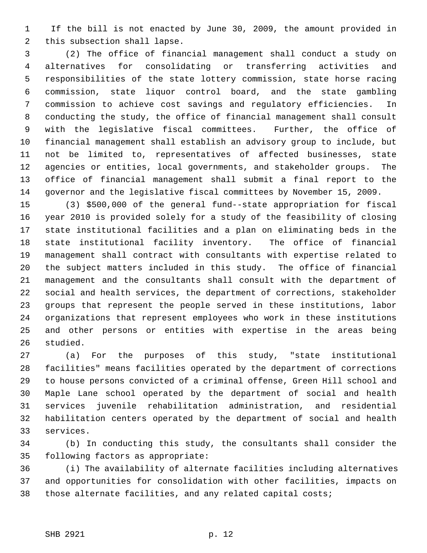1 If the bill is not enacted by June 30, 2009, the amount provided in 2 this subsection shall lapse.

 3 (2) The office of financial management shall conduct a study on 4 alternatives for consolidating or transferring activities and 5 responsibilities of the state lottery commission, state horse racing 6 commission, state liquor control board, and the state gambling 7 commission to achieve cost savings and regulatory efficiencies. In 8 conducting the study, the office of financial management shall consult 9 with the legislative fiscal committees. Further, the office of 10 financial management shall establish an advisory group to include, but 11 not be limited to, representatives of affected businesses, state 12 agencies or entities, local governments, and stakeholder groups. The 13 office of financial management shall submit a final report to the 14 governor and the legislative fiscal committees by November 15, 2009.

15 (3) \$500,000 of the general fund--state appropriation for fiscal 16 year 2010 is provided solely for a study of the feasibility of closing 17 state institutional facilities and a plan on eliminating beds in the 18 state institutional facility inventory. The office of financial 19 management shall contract with consultants with expertise related to 20 the subject matters included in this study. The office of financial 21 management and the consultants shall consult with the department of 22 social and health services, the department of corrections, stakeholder 23 groups that represent the people served in these institutions, labor 24 organizations that represent employees who work in these institutions 25 and other persons or entities with expertise in the areas being 26 studied.

27 (a) For the purposes of this study, "state institutional 28 facilities" means facilities operated by the department of corrections 29 to house persons convicted of a criminal offense, Green Hill school and 30 Maple Lane school operated by the department of social and health 31 services juvenile rehabilitation administration, and residential 32 habilitation centers operated by the department of social and health 33 services.

34 (b) In conducting this study, the consultants shall consider the 35 following factors as appropriate:

36 (i) The availability of alternate facilities including alternatives 37 and opportunities for consolidation with other facilities, impacts on 38 those alternate facilities, and any related capital costs;

#### SHB 2921 p. 12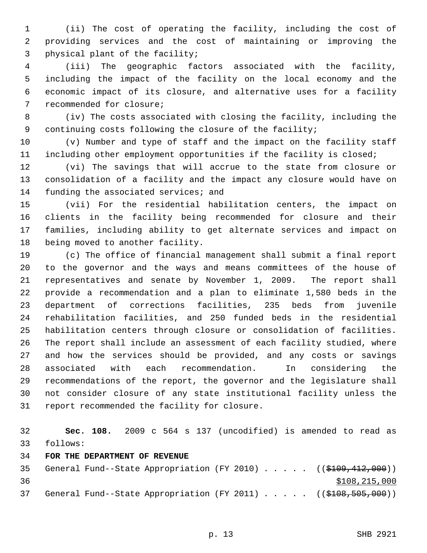1 (ii) The cost of operating the facility, including the cost of 2 providing services and the cost of maintaining or improving the 3 physical plant of the facility;

 4 (iii) The geographic factors associated with the facility, 5 including the impact of the facility on the local economy and the 6 economic impact of its closure, and alternative uses for a facility 7 recommended for closure;

 8 (iv) The costs associated with closing the facility, including the 9 continuing costs following the closure of the facility;

10 (v) Number and type of staff and the impact on the facility staff 11 including other employment opportunities if the facility is closed;

12 (vi) The savings that will accrue to the state from closure or 13 consolidation of a facility and the impact any closure would have on 14 funding the associated services; and

15 (vii) For the residential habilitation centers, the impact on 16 clients in the facility being recommended for closure and their 17 families, including ability to get alternate services and impact on 18 being moved to another facility.

19 (c) The office of financial management shall submit a final report 20 to the governor and the ways and means committees of the house of 21 representatives and senate by November 1, 2009. The report shall 22 provide a recommendation and a plan to eliminate 1,580 beds in the 23 department of corrections facilities, 235 beds from juvenile 24 rehabilitation facilities, and 250 funded beds in the residential 25 habilitation centers through closure or consolidation of facilities. 26 The report shall include an assessment of each facility studied, where 27 and how the services should be provided, and any costs or savings 28 associated with each recommendation. In considering the 29 recommendations of the report, the governor and the legislature shall 30 not consider closure of any state institutional facility unless the 31 report recommended the facility for closure.

32 **Sec. 108.** 2009 c 564 s 137 (uncodified) is amended to read as 33 follows:

# 34 **FOR THE DEPARTMENT OF REVENUE**

35 General Fund--State Appropriation (FY 2010) . . . . . ((\$109,412,000)) 36 \$108,215,000 37 General Fund--State Appropriation (FY 2011) . . . . . ((\$108,505,000))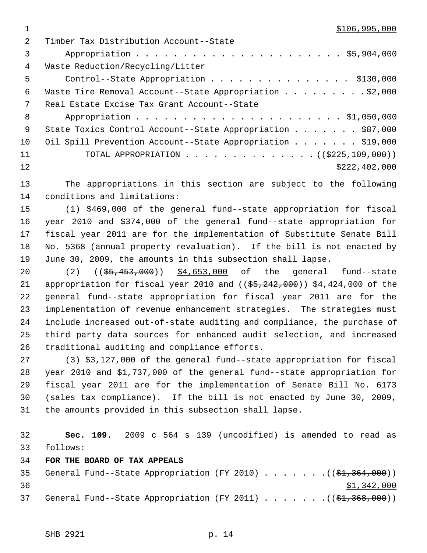$1 \quad$  \$106,995,000

| 2   | Timber Tax Distribution Account--State                           |
|-----|------------------------------------------------------------------|
| 3   |                                                                  |
| 4   | Waste Reduction/Recycling/Litter                                 |
| 5   | Control--State Appropriation \$130,000                           |
| 6   | Waste Tire Removal Account--State Appropriation \$2,000          |
| 7   | Real Estate Excise Tax Grant Account--State                      |
| 8   |                                                                  |
| - 9 | State Toxics Control Account--State Appropriation \$87,000       |
| 10  | Oil Spill Prevention Account--State Appropriation \$19,000       |
| 11  | TOTAL APPROPRIATION $\ldots$ , ( $(\frac{2225,109,000}{\cdots})$ |
| 12  | \$222, 402, 000                                                  |
|     |                                                                  |

13 The appropriations in this section are subject to the following 14 conditions and limitations:

15 (1) \$469,000 of the general fund--state appropriation for fiscal 16 year 2010 and \$374,000 of the general fund--state appropriation for 17 fiscal year 2011 are for the implementation of Substitute Senate Bill 18 No. 5368 (annual property revaluation). If the bill is not enacted by 19 June 30, 2009, the amounts in this subsection shall lapse.

20 (2) (( $\frac{25}{100}$ , (35, 453, 000) \$4, 653, 000 of the general fund-state 21 appropriation for fiscal year 2010 and  $($   $($ \$5,242,000)) \$4,424,000 of the 22 general fund--state appropriation for fiscal year 2011 are for the 23 implementation of revenue enhancement strategies. The strategies must 24 include increased out-of-state auditing and compliance, the purchase of 25 third party data sources for enhanced audit selection, and increased 26 traditional auditing and compliance efforts.

27 (3) \$3,127,000 of the general fund--state appropriation for fiscal 28 year 2010 and \$1,737,000 of the general fund--state appropriation for 29 fiscal year 2011 are for the implementation of Senate Bill No. 6173 30 (sales tax compliance). If the bill is not enacted by June 30, 2009, 31 the amounts provided in this subsection shall lapse.

32 **Sec. 109.** 2009 c 564 s 139 (uncodified) is amended to read as 33 follows:

34 **FOR THE BOARD OF TAX APPEALS**

|    |  |  |  |  |  | 35 General Fund--State Appropriation (FY 2010) ( $(\frac{21}{31}, \frac{364}{100})$ ) |
|----|--|--|--|--|--|---------------------------------------------------------------------------------------|
| 36 |  |  |  |  |  | \$1,342,000                                                                           |
| 37 |  |  |  |  |  | General Fund--State Appropriation (FY 2011) $($ $(\frac{1}{2}, \frac{368}{100})$      |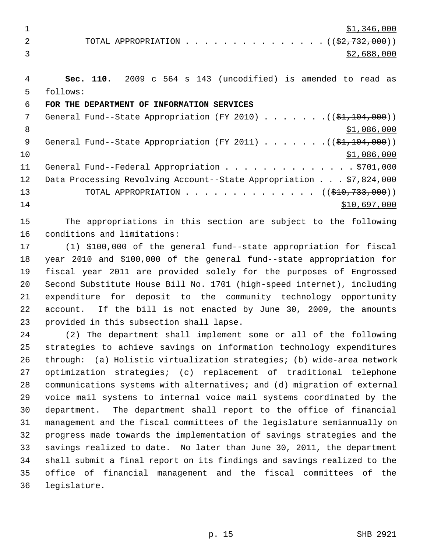$\frac{1}{2}$   $\frac{1}{346,000}$ 

2 TOTAL APPROPRIATION . . . . . . . . . . . . . . ((<del>\$2,732,000</del>))  $\frac{$2,688,000}{ }$ 

 4 **Sec. 110.** 2009 c 564 s 143 (uncodified) is amended to read as 5 follows:

# 6 **FOR THE DEPARTMENT OF INFORMATION SERVICES**

7 General Fund--State Appropriation (FY 2010)  $\ldots \ldots \ldots$  (( $$1,104,000$ )) 8 \$1,086,000 \$1,086,000 \$1,086,000 \$1,086,000 \$1,086,000 \$1,086,000 \$1,086,000 \$1,086,000 \$1,086,000 \$1,086,000 9 General Fund--State Appropriation (FY 2011) . . . . . . .((\$1,104,000))  $10$  \$1,086,000 11 General Fund--Federal Appropriation . . . . . . . . . . . . . . \$701,000 12 Data Processing Revolving Account--State Appropriation . . . \$7,824,000 13 TOTAL APPROPRIATION . . . . . . . . . . . . . . ((\$10,733,000))  $14$  \$10,697,000

15 The appropriations in this section are subject to the following 16 conditions and limitations:

17 (1) \$100,000 of the general fund--state appropriation for fiscal 18 year 2010 and \$100,000 of the general fund--state appropriation for 19 fiscal year 2011 are provided solely for the purposes of Engrossed 20 Second Substitute House Bill No. 1701 (high-speed internet), including 21 expenditure for deposit to the community technology opportunity 22 account. If the bill is not enacted by June 30, 2009, the amounts 23 provided in this subsection shall lapse.

24 (2) The department shall implement some or all of the following 25 strategies to achieve savings on information technology expenditures 26 through: (a) Holistic virtualization strategies; (b) wide-area network 27 optimization strategies; (c) replacement of traditional telephone 28 communications systems with alternatives; and (d) migration of external 29 voice mail systems to internal voice mail systems coordinated by the 30 department. The department shall report to the office of financial 31 management and the fiscal committees of the legislature semiannually on 32 progress made towards the implementation of savings strategies and the 33 savings realized to date. No later than June 30, 2011, the department 34 shall submit a final report on its findings and savings realized to the 35 office of financial management and the fiscal committees of the 36 legislature.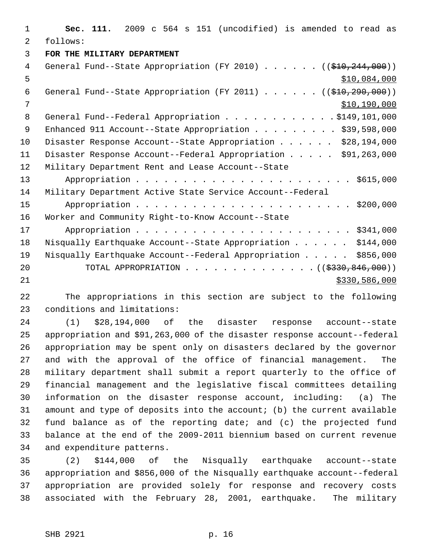1 **Sec. 111.** 2009 c 564 s 151 (uncodified) is amended to read as 2 follows: 3 **FOR THE MILITARY DEPARTMENT** 4 General Fund--State Appropriation (FY 2010) . . . . . . ((\$10,244,000))  $5 - 5$  \$10,084,000 6 General Fund--State Appropriation (FY 2011) . . . . . . ((\$10,290,000)) 7 \$10,190,000 8 General Fund--Federal Appropriation . . . . . . . . . . . \$149,101,000 9 Enhanced 911 Account--State Appropriation . . . . . . . . \$39,598,000 10 Disaster Response Account--State Appropriation . . . . . \$28,194,000 11 Disaster Response Account--Federal Appropriation . . . . . \$91,263,000 12 Military Department Rent and Lease Account--State 13 Appropriation . . . . . . . . . . . . . . . . . . . . . . . \$615,000 14 Military Department Active State Service Account--Federal 15 Appropriation . . . . . . . . . . . . . . . . . . . . . . . \$200,000 16 Worker and Community Right-to-Know Account--State 17 Appropriation . . . . . . . . . . . . . . . . . . . . . . . \$341,000 18 Nisqually Earthquake Account--State Appropriation . . . . . \$144,000 19 Nisqually Earthquake Account--Federal Appropriation . . . . . \$856,000 20 TOTAL APPROPRIATION . . . . . . . . . . . . . ((<del>\$330,846,000</del>)) 21 \$330,586,000

22 The appropriations in this section are subject to the following 23 conditions and limitations:

24 (1) \$28,194,000 of the disaster response account--state 25 appropriation and \$91,263,000 of the disaster response account--federal 26 appropriation may be spent only on disasters declared by the governor 27 and with the approval of the office of financial management. The 28 military department shall submit a report quarterly to the office of 29 financial management and the legislative fiscal committees detailing 30 information on the disaster response account, including: (a) The 31 amount and type of deposits into the account; (b) the current available 32 fund balance as of the reporting date; and (c) the projected fund 33 balance at the end of the 2009-2011 biennium based on current revenue 34 and expenditure patterns.

35 (2) \$144,000 of the Nisqually earthquake account--state 36 appropriation and \$856,000 of the Nisqually earthquake account--federal 37 appropriation are provided solely for response and recovery costs 38 associated with the February 28, 2001, earthquake. The military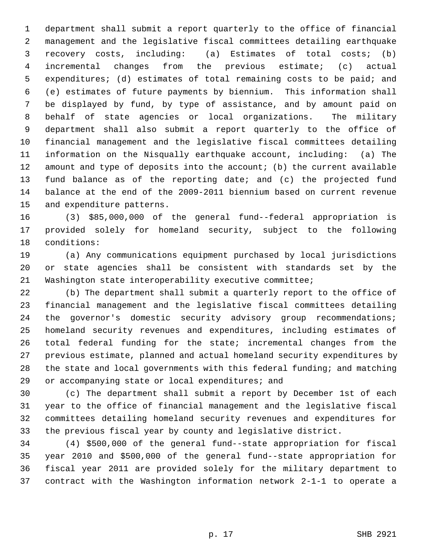1 department shall submit a report quarterly to the office of financial 2 management and the legislative fiscal committees detailing earthquake 3 recovery costs, including: (a) Estimates of total costs; (b) 4 incremental changes from the previous estimate; (c) actual 5 expenditures; (d) estimates of total remaining costs to be paid; and 6 (e) estimates of future payments by biennium. This information shall 7 be displayed by fund, by type of assistance, and by amount paid on 8 behalf of state agencies or local organizations. The military 9 department shall also submit a report quarterly to the office of 10 financial management and the legislative fiscal committees detailing 11 information on the Nisqually earthquake account, including: (a) The 12 amount and type of deposits into the account; (b) the current available 13 fund balance as of the reporting date; and (c) the projected fund 14 balance at the end of the 2009-2011 biennium based on current revenue 15 and expenditure patterns.

16 (3) \$85,000,000 of the general fund--federal appropriation is 17 provided solely for homeland security, subject to the following 18 conditions:

19 (a) Any communications equipment purchased by local jurisdictions 20 or state agencies shall be consistent with standards set by the 21 Washington state interoperability executive committee;

22 (b) The department shall submit a quarterly report to the office of 23 financial management and the legislative fiscal committees detailing 24 the governor's domestic security advisory group recommendations; 25 homeland security revenues and expenditures, including estimates of 26 total federal funding for the state; incremental changes from the 27 previous estimate, planned and actual homeland security expenditures by 28 the state and local governments with this federal funding; and matching 29 or accompanying state or local expenditures; and

30 (c) The department shall submit a report by December 1st of each 31 year to the office of financial management and the legislative fiscal 32 committees detailing homeland security revenues and expenditures for 33 the previous fiscal year by county and legislative district.

34 (4) \$500,000 of the general fund--state appropriation for fiscal 35 year 2010 and \$500,000 of the general fund--state appropriation for 36 fiscal year 2011 are provided solely for the military department to 37 contract with the Washington information network 2-1-1 to operate a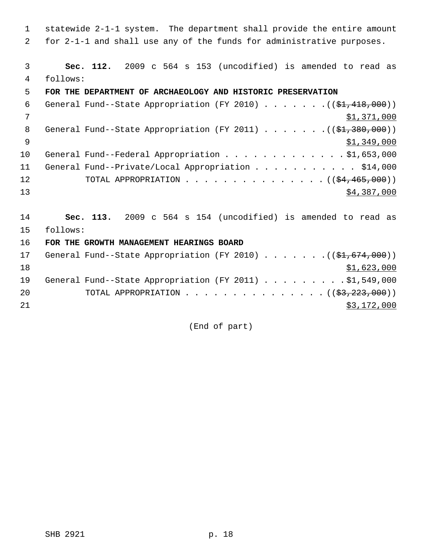1 statewide 2-1-1 system. The department shall provide the entire amount 2 for 2-1-1 and shall use any of the funds for administrative purposes.

 3 **Sec. 112.** 2009 c 564 s 153 (uncodified) is amended to read as 4 follows:

# 5 **FOR THE DEPARTMENT OF ARCHAEOLOGY AND HISTORIC PRESERVATION**

| 7<br>8<br>General Fund--State Appropriation (FY 2011) $($ $($ \$1,380,000))<br><b>q</b><br>General Fund--Federal Appropriation \$1,653,000<br>10<br>11<br>General Fund--Private/Local Appropriation \$14,000<br>12<br>13 | 6 | General Fund--State Appropriation (FY 2010) $($ $($ \$1,418,000)) |
|--------------------------------------------------------------------------------------------------------------------------------------------------------------------------------------------------------------------------|---|-------------------------------------------------------------------|
|                                                                                                                                                                                                                          |   | \$1,371,000                                                       |
|                                                                                                                                                                                                                          |   |                                                                   |
|                                                                                                                                                                                                                          |   | \$1,349,000                                                       |
|                                                                                                                                                                                                                          |   |                                                                   |
|                                                                                                                                                                                                                          |   |                                                                   |
|                                                                                                                                                                                                                          |   | TOTAL APPROPRIATION $($ $($ $\frac{64}{7}$ $\frac{465}{7000})$    |
|                                                                                                                                                                                                                          |   | \$4,387,000                                                       |

14 **Sec. 113.** 2009 c 564 s 154 (uncodified) is amended to read as 15 follows:

16 **FOR THE GROWTH MANAGEMENT HEARINGS BOARD**

| 17 | General Fund--State Appropriation (FY 2010) ( $(\frac{21}{61}, 674, 000)$ ) |  |  |  |  |  |             |
|----|-----------------------------------------------------------------------------|--|--|--|--|--|-------------|
| 18 |                                                                             |  |  |  |  |  | \$1,623,000 |
| 19 | General Fund--State Appropriation (FY 2011) \$1,549,000                     |  |  |  |  |  |             |
| 20 | TOTAL APPROPRIATION $\ldots$ , ( $(\frac{2}{3}, \frac{223}{600})$ )         |  |  |  |  |  |             |
| 21 |                                                                             |  |  |  |  |  | \$3,172,000 |

(End of part)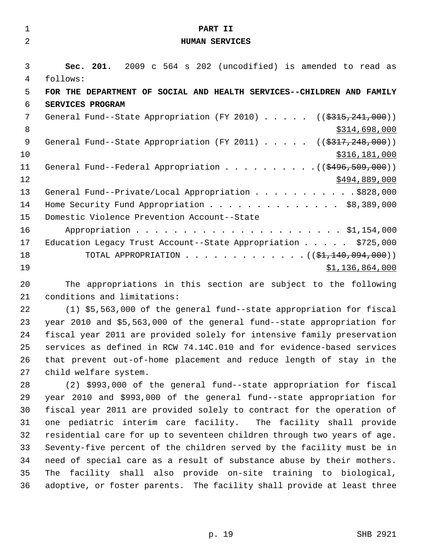| $\mathbf{1}$   | PART II                                                                |
|----------------|------------------------------------------------------------------------|
| $\overline{2}$ | <b>HUMAN SERVICES</b>                                                  |
|                |                                                                        |
| 3              | Sec. 201. 2009 c 564 s 202 (uncodified) is amended to read as          |
| $\overline{4}$ | follows:                                                               |
| 5              | FOR THE DEPARTMENT OF SOCIAL AND HEALTH SERVICES--CHILDREN AND FAMILY  |
| 6              | SERVICES PROGRAM                                                       |
| 7              | General Fund--State Appropriation (FY 2010) ((\$315,241,000))          |
| 8              | \$314,698,000                                                          |
| $\mathsf 9$    | General Fund--State Appropriation (FY 2011) ((\$317,248,000))          |
| 10             | \$316,181,000                                                          |
| 11             |                                                                        |
| 12             | \$494,889,000                                                          |
| 13             | General Fund--Private/Local Appropriation \$828,000                    |
| 14             | Home Security Fund Appropriation \$8,389,000                           |
| 15             | Domestic Violence Prevention Account--State                            |
| 16             |                                                                        |
| 17             | Education Legacy Trust Account--State Appropriation $\ldots$ \$725,000 |
| 18             | TOTAL APPROPRIATION ( $(\frac{1}{21}, 140, 094, 000)$ )                |
| 19             | \$1,136,864,000                                                        |
| 20             | The appropriations in this section are subject to the following        |

21 conditions and limitations:

22 (1) \$5,563,000 of the general fund--state appropriation for fiscal 23 year 2010 and \$5,563,000 of the general fund--state appropriation for 24 fiscal year 2011 are provided solely for intensive family preservation 25 services as defined in RCW 74.14C.010 and for evidence-based services 26 that prevent out-of-home placement and reduce length of stay in the 27 child welfare system.

28 (2) \$993,000 of the general fund--state appropriation for fiscal 29 year 2010 and \$993,000 of the general fund--state appropriation for 30 fiscal year 2011 are provided solely to contract for the operation of 31 one pediatric interim care facility. The facility shall provide 32 residential care for up to seventeen children through two years of age. 33 Seventy-five percent of the children served by the facility must be in 34 need of special care as a result of substance abuse by their mothers. 35 The facility shall also provide on-site training to biological, 36 adoptive, or foster parents. The facility shall provide at least three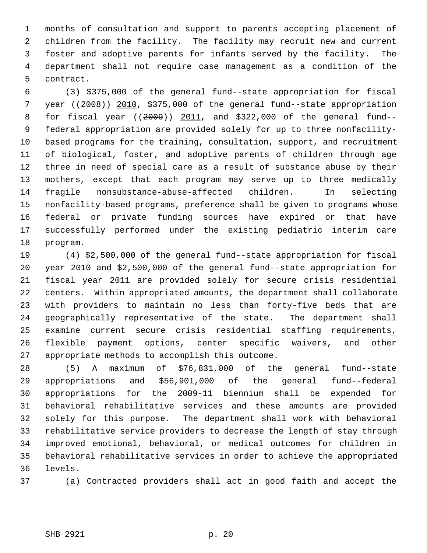1 months of consultation and support to parents accepting placement of 2 children from the facility. The facility may recruit new and current 3 foster and adoptive parents for infants served by the facility. The 4 department shall not require case management as a condition of the 5 contract.

 6 (3) \$375,000 of the general fund--state appropriation for fiscal 7 year ((2008)) 2010, \$375,000 of the general fund--state appropriation 8 for fiscal year ((2009)) 2011, and \$322,000 of the general fund-- 9 federal appropriation are provided solely for up to three nonfacility-10 based programs for the training, consultation, support, and recruitment 11 of biological, foster, and adoptive parents of children through age 12 three in need of special care as a result of substance abuse by their 13 mothers, except that each program may serve up to three medically 14 fragile nonsubstance-abuse-affected children. In selecting 15 nonfacility-based programs, preference shall be given to programs whose 16 federal or private funding sources have expired or that have 17 successfully performed under the existing pediatric interim care 18 program.

19 (4) \$2,500,000 of the general fund--state appropriation for fiscal 20 year 2010 and \$2,500,000 of the general fund--state appropriation for 21 fiscal year 2011 are provided solely for secure crisis residential 22 centers. Within appropriated amounts, the department shall collaborate 23 with providers to maintain no less than forty-five beds that are 24 geographically representative of the state. The department shall 25 examine current secure crisis residential staffing requirements, 26 flexible payment options, center specific waivers, and other 27 appropriate methods to accomplish this outcome.

28 (5) A maximum of \$76,831,000 of the general fund--state 29 appropriations and \$56,901,000 of the general fund--federal 30 appropriations for the 2009-11 biennium shall be expended for 31 behavioral rehabilitative services and these amounts are provided 32 solely for this purpose. The department shall work with behavioral 33 rehabilitative service providers to decrease the length of stay through 34 improved emotional, behavioral, or medical outcomes for children in 35 behavioral rehabilitative services in order to achieve the appropriated 36 levels.

37 (a) Contracted providers shall act in good faith and accept the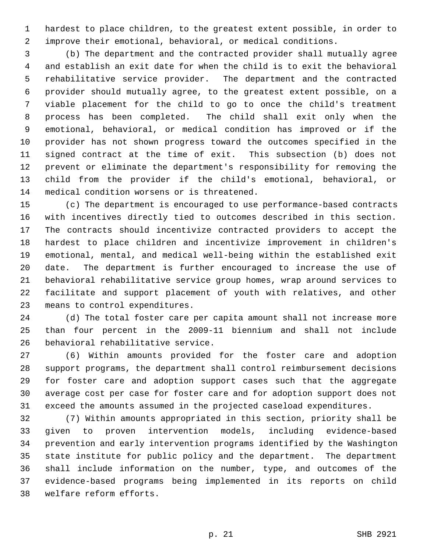1 hardest to place children, to the greatest extent possible, in order to 2 improve their emotional, behavioral, or medical conditions.

 3 (b) The department and the contracted provider shall mutually agree 4 and establish an exit date for when the child is to exit the behavioral 5 rehabilitative service provider. The department and the contracted 6 provider should mutually agree, to the greatest extent possible, on a 7 viable placement for the child to go to once the child's treatment 8 process has been completed. The child shall exit only when the 9 emotional, behavioral, or medical condition has improved or if the 10 provider has not shown progress toward the outcomes specified in the 11 signed contract at the time of exit. This subsection (b) does not 12 prevent or eliminate the department's responsibility for removing the 13 child from the provider if the child's emotional, behavioral, or 14 medical condition worsens or is threatened.

15 (c) The department is encouraged to use performance-based contracts 16 with incentives directly tied to outcomes described in this section. 17 The contracts should incentivize contracted providers to accept the 18 hardest to place children and incentivize improvement in children's 19 emotional, mental, and medical well-being within the established exit 20 date. The department is further encouraged to increase the use of 21 behavioral rehabilitative service group homes, wrap around services to 22 facilitate and support placement of youth with relatives, and other 23 means to control expenditures.

24 (d) The total foster care per capita amount shall not increase more 25 than four percent in the 2009-11 biennium and shall not include 26 behavioral rehabilitative service.

27 (6) Within amounts provided for the foster care and adoption 28 support programs, the department shall control reimbursement decisions 29 for foster care and adoption support cases such that the aggregate 30 average cost per case for foster care and for adoption support does not 31 exceed the amounts assumed in the projected caseload expenditures.

32 (7) Within amounts appropriated in this section, priority shall be 33 given to proven intervention models, including evidence-based 34 prevention and early intervention programs identified by the Washington 35 state institute for public policy and the department. The department 36 shall include information on the number, type, and outcomes of the 37 evidence-based programs being implemented in its reports on child 38 welfare reform efforts.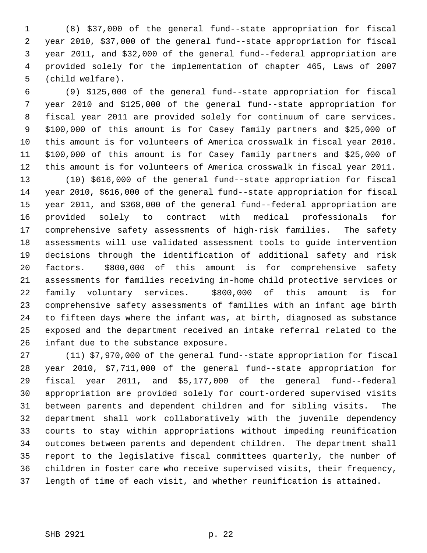1 (8) \$37,000 of the general fund--state appropriation for fiscal 2 year 2010, \$37,000 of the general fund--state appropriation for fiscal 3 year 2011, and \$32,000 of the general fund--federal appropriation are 4 provided solely for the implementation of chapter 465, Laws of 2007 5 (child welfare).

 6 (9) \$125,000 of the general fund--state appropriation for fiscal 7 year 2010 and \$125,000 of the general fund--state appropriation for 8 fiscal year 2011 are provided solely for continuum of care services. 9 \$100,000 of this amount is for Casey family partners and \$25,000 of 10 this amount is for volunteers of America crosswalk in fiscal year 2010. 11 \$100,000 of this amount is for Casey family partners and \$25,000 of 12 this amount is for volunteers of America crosswalk in fiscal year 2011.

13 (10) \$616,000 of the general fund--state appropriation for fiscal 14 year 2010, \$616,000 of the general fund--state appropriation for fiscal 15 year 2011, and \$368,000 of the general fund--federal appropriation are 16 provided solely to contract with medical professionals for 17 comprehensive safety assessments of high-risk families. The safety 18 assessments will use validated assessment tools to guide intervention 19 decisions through the identification of additional safety and risk 20 factors. \$800,000 of this amount is for comprehensive safety 21 assessments for families receiving in-home child protective services or 22 family voluntary services. \$800,000 of this amount is for 23 comprehensive safety assessments of families with an infant age birth 24 to fifteen days where the infant was, at birth, diagnosed as substance 25 exposed and the department received an intake referral related to the 26 infant due to the substance exposure.

27 (11) \$7,970,000 of the general fund--state appropriation for fiscal 28 year 2010, \$7,711,000 of the general fund--state appropriation for 29 fiscal year 2011, and \$5,177,000 of the general fund--federal 30 appropriation are provided solely for court-ordered supervised visits 31 between parents and dependent children and for sibling visits. The 32 department shall work collaboratively with the juvenile dependency 33 courts to stay within appropriations without impeding reunification 34 outcomes between parents and dependent children. The department shall 35 report to the legislative fiscal committees quarterly, the number of 36 children in foster care who receive supervised visits, their frequency, 37 length of time of each visit, and whether reunification is attained.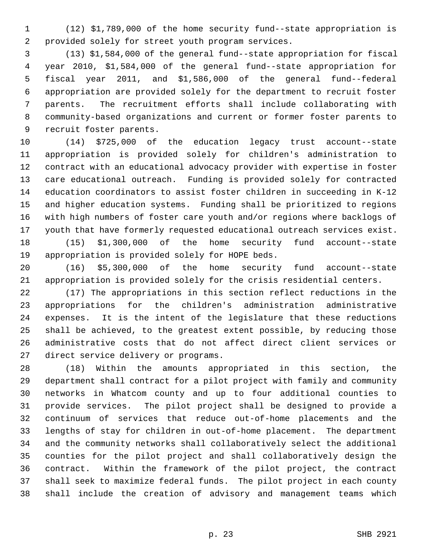1 (12) \$1,789,000 of the home security fund--state appropriation is 2 provided solely for street youth program services.

 3 (13) \$1,584,000 of the general fund--state appropriation for fiscal 4 year 2010, \$1,584,000 of the general fund--state appropriation for 5 fiscal year 2011, and \$1,586,000 of the general fund--federal 6 appropriation are provided solely for the department to recruit foster 7 parents. The recruitment efforts shall include collaborating with 8 community-based organizations and current or former foster parents to 9 recruit foster parents.

10 (14) \$725,000 of the education legacy trust account--state 11 appropriation is provided solely for children's administration to 12 contract with an educational advocacy provider with expertise in foster 13 care educational outreach. Funding is provided solely for contracted 14 education coordinators to assist foster children in succeeding in K-12 15 and higher education systems. Funding shall be prioritized to regions 16 with high numbers of foster care youth and/or regions where backlogs of 17 youth that have formerly requested educational outreach services exist. 18 (15) \$1,300,000 of the home security fund account--state

19 appropriation is provided solely for HOPE beds.

20 (16) \$5,300,000 of the home security fund account--state 21 appropriation is provided solely for the crisis residential centers.

22 (17) The appropriations in this section reflect reductions in the 23 appropriations for the children's administration administrative 24 expenses. It is the intent of the legislature that these reductions 25 shall be achieved, to the greatest extent possible, by reducing those 26 administrative costs that do not affect direct client services or 27 direct service delivery or programs.

28 (18) Within the amounts appropriated in this section, the 29 department shall contract for a pilot project with family and community 30 networks in Whatcom county and up to four additional counties to 31 provide services. The pilot project shall be designed to provide a 32 continuum of services that reduce out-of-home placements and the 33 lengths of stay for children in out-of-home placement. The department 34 and the community networks shall collaboratively select the additional 35 counties for the pilot project and shall collaboratively design the 36 contract. Within the framework of the pilot project, the contract 37 shall seek to maximize federal funds. The pilot project in each county 38 shall include the creation of advisory and management teams which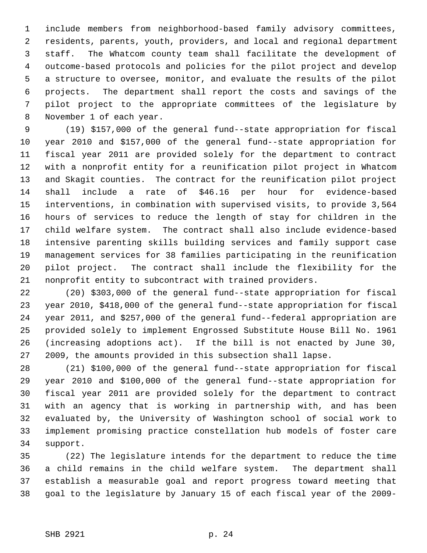1 include members from neighborhood-based family advisory committees, 2 residents, parents, youth, providers, and local and regional department 3 staff. The Whatcom county team shall facilitate the development of 4 outcome-based protocols and policies for the pilot project and develop 5 a structure to oversee, monitor, and evaluate the results of the pilot 6 projects. The department shall report the costs and savings of the 7 pilot project to the appropriate committees of the legislature by 8 November 1 of each year.

 9 (19) \$157,000 of the general fund--state appropriation for fiscal 10 year 2010 and \$157,000 of the general fund--state appropriation for 11 fiscal year 2011 are provided solely for the department to contract 12 with a nonprofit entity for a reunification pilot project in Whatcom 13 and Skagit counties. The contract for the reunification pilot project 14 shall include a rate of \$46.16 per hour for evidence-based 15 interventions, in combination with supervised visits, to provide 3,564 16 hours of services to reduce the length of stay for children in the 17 child welfare system. The contract shall also include evidence-based 18 intensive parenting skills building services and family support case 19 management services for 38 families participating in the reunification 20 pilot project. The contract shall include the flexibility for the 21 nonprofit entity to subcontract with trained providers.

22 (20) \$303,000 of the general fund--state appropriation for fiscal 23 year 2010, \$418,000 of the general fund--state appropriation for fiscal 24 year 2011, and \$257,000 of the general fund--federal appropriation are 25 provided solely to implement Engrossed Substitute House Bill No. 1961 26 (increasing adoptions act). If the bill is not enacted by June 30, 27 2009, the amounts provided in this subsection shall lapse.

28 (21) \$100,000 of the general fund--state appropriation for fiscal 29 year 2010 and \$100,000 of the general fund--state appropriation for 30 fiscal year 2011 are provided solely for the department to contract 31 with an agency that is working in partnership with, and has been 32 evaluated by, the University of Washington school of social work to 33 implement promising practice constellation hub models of foster care 34 support.

35 (22) The legislature intends for the department to reduce the time 36 a child remains in the child welfare system. The department shall 37 establish a measurable goal and report progress toward meeting that 38 goal to the legislature by January 15 of each fiscal year of the 2009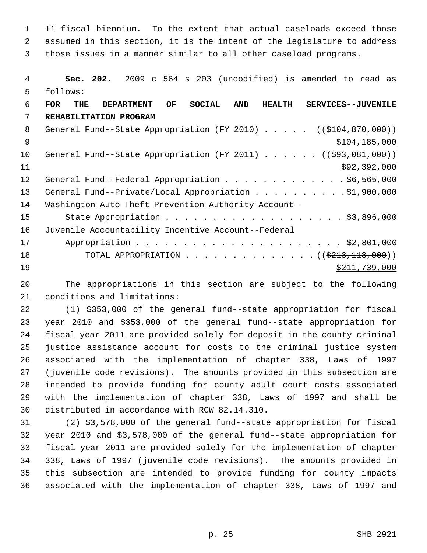1 11 fiscal biennium. To the extent that actual caseloads exceed those 2 assumed in this section, it is the intent of the legislature to address 3 those issues in a manner similar to all other caseload programs.

 4 **Sec. 202.** 2009 c 564 s 203 (uncodified) is amended to read as 5 follows: 6 **FOR THE DEPARTMENT OF SOCIAL AND HEALTH SERVICES--JUVENILE** 7 **REHABILITATION PROGRAM** 8 General Fund--State Appropriation (FY 2010) . . . . . ((\$104,870,000))  $\text{ }9 \text{ }$   $\text{ }9 \text{ }$   $\text{ }9 \text{ }$   $\text{ }104,185,000$ 10 General Fund--State Appropriation (FY 2011) . . . . . . ((\$93,081,000))  $11$  \$92,392,000 12 General Fund--Federal Appropriation . . . . . . . . . . . . \$6,565,000 13 General Fund--Private/Local Appropriation . . . . . . . . . \$1,900,000 14 Washington Auto Theft Prevention Authority Account-- 15 State Appropriation . . . . . . . . . . . . . . . . . . \$3,896,000 16 Juvenile Accountability Incentive Account--Federal 17 Appropriation . . . . . . . . . . . . . . . . . . . . . . \$2,801,000 18 TOTAL APPROPRIATION . . . . . . . . . . . . . . ((<del>\$213,113,000</del>))  $\frac{19}{211,739,000}$ 

20 The appropriations in this section are subject to the following 21 conditions and limitations:

22 (1) \$353,000 of the general fund--state appropriation for fiscal 23 year 2010 and \$353,000 of the general fund--state appropriation for 24 fiscal year 2011 are provided solely for deposit in the county criminal 25 justice assistance account for costs to the criminal justice system 26 associated with the implementation of chapter 338, Laws of 1997 27 (juvenile code revisions). The amounts provided in this subsection are 28 intended to provide funding for county adult court costs associated 29 with the implementation of chapter 338, Laws of 1997 and shall be 30 distributed in accordance with RCW 82.14.310.

31 (2) \$3,578,000 of the general fund--state appropriation for fiscal 32 year 2010 and \$3,578,000 of the general fund--state appropriation for 33 fiscal year 2011 are provided solely for the implementation of chapter 34 338, Laws of 1997 (juvenile code revisions). The amounts provided in 35 this subsection are intended to provide funding for county impacts 36 associated with the implementation of chapter 338, Laws of 1997 and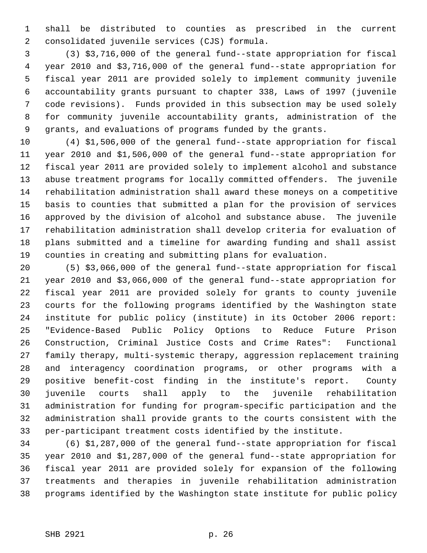1 shall be distributed to counties as prescribed in the current 2 consolidated juvenile services (CJS) formula.

 3 (3) \$3,716,000 of the general fund--state appropriation for fiscal 4 year 2010 and \$3,716,000 of the general fund--state appropriation for 5 fiscal year 2011 are provided solely to implement community juvenile 6 accountability grants pursuant to chapter 338, Laws of 1997 (juvenile 7 code revisions). Funds provided in this subsection may be used solely 8 for community juvenile accountability grants, administration of the 9 grants, and evaluations of programs funded by the grants.

10 (4) \$1,506,000 of the general fund--state appropriation for fiscal 11 year 2010 and \$1,506,000 of the general fund--state appropriation for 12 fiscal year 2011 are provided solely to implement alcohol and substance 13 abuse treatment programs for locally committed offenders. The juvenile 14 rehabilitation administration shall award these moneys on a competitive 15 basis to counties that submitted a plan for the provision of services 16 approved by the division of alcohol and substance abuse. The juvenile 17 rehabilitation administration shall develop criteria for evaluation of 18 plans submitted and a timeline for awarding funding and shall assist 19 counties in creating and submitting plans for evaluation.

20 (5) \$3,066,000 of the general fund--state appropriation for fiscal 21 year 2010 and \$3,066,000 of the general fund--state appropriation for 22 fiscal year 2011 are provided solely for grants to county juvenile 23 courts for the following programs identified by the Washington state 24 institute for public policy (institute) in its October 2006 report: 25 "Evidence-Based Public Policy Options to Reduce Future Prison 26 Construction, Criminal Justice Costs and Crime Rates": Functional 27 family therapy, multi-systemic therapy, aggression replacement training 28 and interagency coordination programs, or other programs with a 29 positive benefit-cost finding in the institute's report. County 30 juvenile courts shall apply to the juvenile rehabilitation 31 administration for funding for program-specific participation and the 32 administration shall provide grants to the courts consistent with the 33 per-participant treatment costs identified by the institute.

34 (6) \$1,287,000 of the general fund--state appropriation for fiscal 35 year 2010 and \$1,287,000 of the general fund--state appropriation for 36 fiscal year 2011 are provided solely for expansion of the following 37 treatments and therapies in juvenile rehabilitation administration 38 programs identified by the Washington state institute for public policy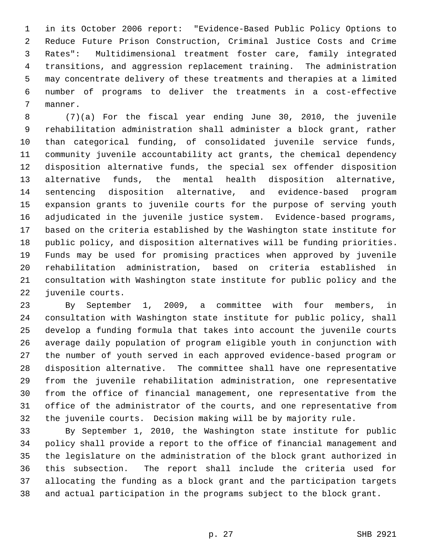1 in its October 2006 report: "Evidence-Based Public Policy Options to 2 Reduce Future Prison Construction, Criminal Justice Costs and Crime 3 Rates": Multidimensional treatment foster care, family integrated 4 transitions, and aggression replacement training. The administration 5 may concentrate delivery of these treatments and therapies at a limited 6 number of programs to deliver the treatments in a cost-effective 7 manner.

 8 (7)(a) For the fiscal year ending June 30, 2010, the juvenile 9 rehabilitation administration shall administer a block grant, rather 10 than categorical funding, of consolidated juvenile service funds, 11 community juvenile accountability act grants, the chemical dependency 12 disposition alternative funds, the special sex offender disposition 13 alternative funds, the mental health disposition alternative, 14 sentencing disposition alternative, and evidence-based program 15 expansion grants to juvenile courts for the purpose of serving youth 16 adjudicated in the juvenile justice system. Evidence-based programs, 17 based on the criteria established by the Washington state institute for 18 public policy, and disposition alternatives will be funding priorities. 19 Funds may be used for promising practices when approved by juvenile 20 rehabilitation administration, based on criteria established in 21 consultation with Washington state institute for public policy and the 22 juvenile courts.

23 By September 1, 2009, a committee with four members, in 24 consultation with Washington state institute for public policy, shall 25 develop a funding formula that takes into account the juvenile courts 26 average daily population of program eligible youth in conjunction with 27 the number of youth served in each approved evidence-based program or 28 disposition alternative. The committee shall have one representative 29 from the juvenile rehabilitation administration, one representative 30 from the office of financial management, one representative from the 31 office of the administrator of the courts, and one representative from 32 the juvenile courts. Decision making will be by majority rule.

33 By September 1, 2010, the Washington state institute for public 34 policy shall provide a report to the office of financial management and 35 the legislature on the administration of the block grant authorized in 36 this subsection. The report shall include the criteria used for 37 allocating the funding as a block grant and the participation targets 38 and actual participation in the programs subject to the block grant.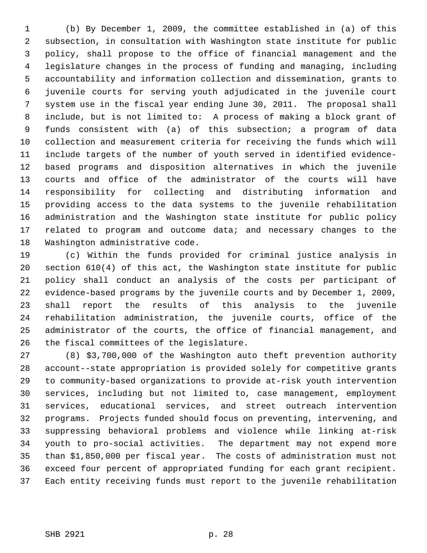1 (b) By December 1, 2009, the committee established in (a) of this 2 subsection, in consultation with Washington state institute for public 3 policy, shall propose to the office of financial management and the 4 legislature changes in the process of funding and managing, including 5 accountability and information collection and dissemination, grants to 6 juvenile courts for serving youth adjudicated in the juvenile court 7 system use in the fiscal year ending June 30, 2011. The proposal shall 8 include, but is not limited to: A process of making a block grant of 9 funds consistent with (a) of this subsection; a program of data 10 collection and measurement criteria for receiving the funds which will 11 include targets of the number of youth served in identified evidence-12 based programs and disposition alternatives in which the juvenile 13 courts and office of the administrator of the courts will have 14 responsibility for collecting and distributing information and 15 providing access to the data systems to the juvenile rehabilitation 16 administration and the Washington state institute for public policy 17 related to program and outcome data; and necessary changes to the 18 Washington administrative code.

19 (c) Within the funds provided for criminal justice analysis in 20 section 610(4) of this act, the Washington state institute for public 21 policy shall conduct an analysis of the costs per participant of 22 evidence-based programs by the juvenile courts and by December 1, 2009, 23 shall report the results of this analysis to the juvenile 24 rehabilitation administration, the juvenile courts, office of the 25 administrator of the courts, the office of financial management, and 26 the fiscal committees of the legislature.

27 (8) \$3,700,000 of the Washington auto theft prevention authority 28 account--state appropriation is provided solely for competitive grants 29 to community-based organizations to provide at-risk youth intervention 30 services, including but not limited to, case management, employment 31 services, educational services, and street outreach intervention 32 programs. Projects funded should focus on preventing, intervening, and 33 suppressing behavioral problems and violence while linking at-risk 34 youth to pro-social activities. The department may not expend more 35 than \$1,850,000 per fiscal year. The costs of administration must not 36 exceed four percent of appropriated funding for each grant recipient. 37 Each entity receiving funds must report to the juvenile rehabilitation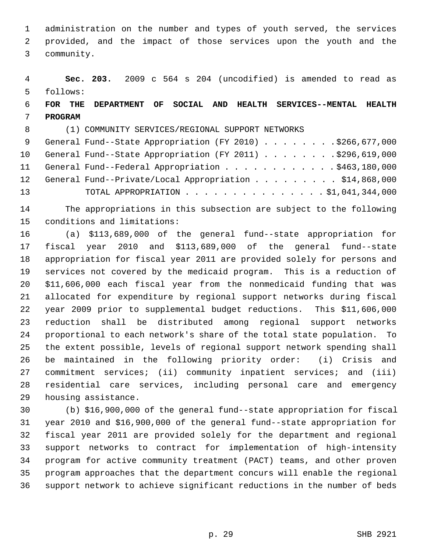1 administration on the number and types of youth served, the services 2 provided, and the impact of those services upon the youth and the 3 community.

 4 **Sec. 203.** 2009 c 564 s 204 (uncodified) is amended to read as 5 follows:

# 6 **FOR THE DEPARTMENT OF SOCIAL AND HEALTH SERVICES--MENTAL HEALTH** 7 **PROGRAM**

8 (1) COMMUNITY SERVICES/REGIONAL SUPPORT NETWORKS

|    | 9 General Fund--State Appropriation (FY 2010) \$266,677,000  |
|----|--------------------------------------------------------------|
|    | 10 General Fund--State Appropriation (FY 2011) \$296,619,000 |
|    | 11 General Fund--Federal Appropriation \$463,180,000         |
|    | 12 General Fund--Private/Local Appropriation \$14,868,000    |
| 13 | TOTAL APPROPRIATION $\ldots$ , \$1,041,344,000               |

14 The appropriations in this subsection are subject to the following 15 conditions and limitations:

16 (a) \$113,689,000 of the general fund--state appropriation for 17 fiscal year 2010 and \$113,689,000 of the general fund--state 18 appropriation for fiscal year 2011 are provided solely for persons and 19 services not covered by the medicaid program. This is a reduction of 20 \$11,606,000 each fiscal year from the nonmedicaid funding that was 21 allocated for expenditure by regional support networks during fiscal 22 year 2009 prior to supplemental budget reductions. This \$11,606,000 23 reduction shall be distributed among regional support networks 24 proportional to each network's share of the total state population. To 25 the extent possible, levels of regional support network spending shall 26 be maintained in the following priority order: (i) Crisis and 27 commitment services; (ii) community inpatient services; and (iii) 28 residential care services, including personal care and emergency 29 housing assistance.

30 (b) \$16,900,000 of the general fund--state appropriation for fiscal 31 year 2010 and \$16,900,000 of the general fund--state appropriation for 32 fiscal year 2011 are provided solely for the department and regional 33 support networks to contract for implementation of high-intensity 34 program for active community treatment (PACT) teams, and other proven 35 program approaches that the department concurs will enable the regional 36 support network to achieve significant reductions in the number of beds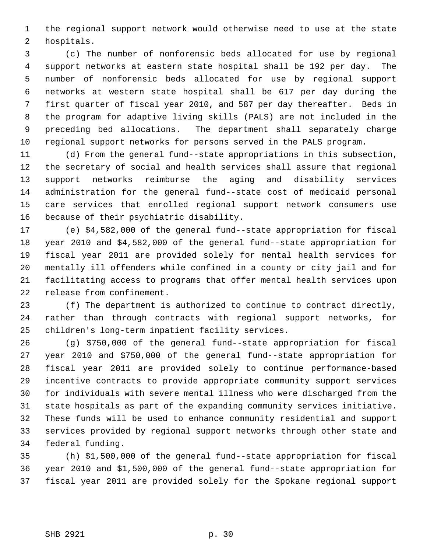1 the regional support network would otherwise need to use at the state 2 hospitals.

 3 (c) The number of nonforensic beds allocated for use by regional 4 support networks at eastern state hospital shall be 192 per day. The 5 number of nonforensic beds allocated for use by regional support 6 networks at western state hospital shall be 617 per day during the 7 first quarter of fiscal year 2010, and 587 per day thereafter. Beds in 8 the program for adaptive living skills (PALS) are not included in the 9 preceding bed allocations. The department shall separately charge 10 regional support networks for persons served in the PALS program.

11 (d) From the general fund--state appropriations in this subsection, 12 the secretary of social and health services shall assure that regional 13 support networks reimburse the aging and disability services 14 administration for the general fund--state cost of medicaid personal 15 care services that enrolled regional support network consumers use 16 because of their psychiatric disability.

17 (e) \$4,582,000 of the general fund--state appropriation for fiscal 18 year 2010 and \$4,582,000 of the general fund--state appropriation for 19 fiscal year 2011 are provided solely for mental health services for 20 mentally ill offenders while confined in a county or city jail and for 21 facilitating access to programs that offer mental health services upon 22 release from confinement.

23 (f) The department is authorized to continue to contract directly, 24 rather than through contracts with regional support networks, for 25 children's long-term inpatient facility services.

26 (g) \$750,000 of the general fund--state appropriation for fiscal 27 year 2010 and \$750,000 of the general fund--state appropriation for 28 fiscal year 2011 are provided solely to continue performance-based 29 incentive contracts to provide appropriate community support services 30 for individuals with severe mental illness who were discharged from the 31 state hospitals as part of the expanding community services initiative. 32 These funds will be used to enhance community residential and support 33 services provided by regional support networks through other state and 34 federal funding.

35 (h) \$1,500,000 of the general fund--state appropriation for fiscal 36 year 2010 and \$1,500,000 of the general fund--state appropriation for 37 fiscal year 2011 are provided solely for the Spokane regional support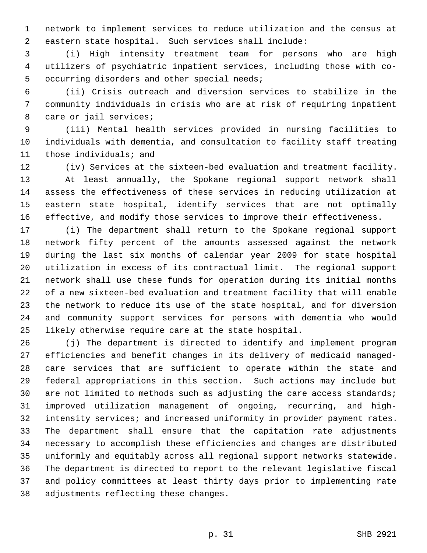1 network to implement services to reduce utilization and the census at 2 eastern state hospital. Such services shall include:

 3 (i) High intensity treatment team for persons who are high 4 utilizers of psychiatric inpatient services, including those with co- 5 occurring disorders and other special needs;

 6 (ii) Crisis outreach and diversion services to stabilize in the 7 community individuals in crisis who are at risk of requiring inpatient 8 care or jail services;

 9 (iii) Mental health services provided in nursing facilities to 10 individuals with dementia, and consultation to facility staff treating 11 those individuals; and

12 (iv) Services at the sixteen-bed evaluation and treatment facility. 13 At least annually, the Spokane regional support network shall 14 assess the effectiveness of these services in reducing utilization at 15 eastern state hospital, identify services that are not optimally 16 effective, and modify those services to improve their effectiveness.

17 (i) The department shall return to the Spokane regional support 18 network fifty percent of the amounts assessed against the network 19 during the last six months of calendar year 2009 for state hospital 20 utilization in excess of its contractual limit. The regional support 21 network shall use these funds for operation during its initial months 22 of a new sixteen-bed evaluation and treatment facility that will enable 23 the network to reduce its use of the state hospital, and for diversion 24 and community support services for persons with dementia who would 25 likely otherwise require care at the state hospital.

26 (j) The department is directed to identify and implement program 27 efficiencies and benefit changes in its delivery of medicaid managed-28 care services that are sufficient to operate within the state and 29 federal appropriations in this section. Such actions may include but 30 are not limited to methods such as adjusting the care access standards; 31 improved utilization management of ongoing, recurring, and high-32 intensity services; and increased uniformity in provider payment rates. 33 The department shall ensure that the capitation rate adjustments 34 necessary to accomplish these efficiencies and changes are distributed 35 uniformly and equitably across all regional support networks statewide. 36 The department is directed to report to the relevant legislative fiscal 37 and policy committees at least thirty days prior to implementing rate 38 adjustments reflecting these changes.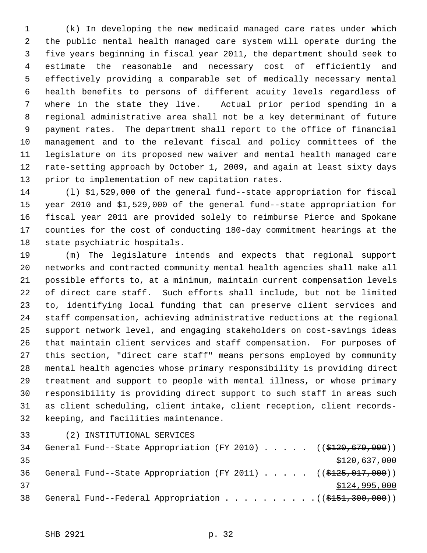1 (k) In developing the new medicaid managed care rates under which 2 the public mental health managed care system will operate during the 3 five years beginning in fiscal year 2011, the department should seek to 4 estimate the reasonable and necessary cost of efficiently and 5 effectively providing a comparable set of medically necessary mental 6 health benefits to persons of different acuity levels regardless of 7 where in the state they live. Actual prior period spending in a 8 regional administrative area shall not be a key determinant of future 9 payment rates. The department shall report to the office of financial 10 management and to the relevant fiscal and policy committees of the 11 legislature on its proposed new waiver and mental health managed care 12 rate-setting approach by October 1, 2009, and again at least sixty days 13 prior to implementation of new capitation rates.

14 (l) \$1,529,000 of the general fund--state appropriation for fiscal 15 year 2010 and \$1,529,000 of the general fund--state appropriation for 16 fiscal year 2011 are provided solely to reimburse Pierce and Spokane 17 counties for the cost of conducting 180-day commitment hearings at the 18 state psychiatric hospitals.

19 (m) The legislature intends and expects that regional support 20 networks and contracted community mental health agencies shall make all 21 possible efforts to, at a minimum, maintain current compensation levels 22 of direct care staff. Such efforts shall include, but not be limited 23 to, identifying local funding that can preserve client services and 24 staff compensation, achieving administrative reductions at the regional 25 support network level, and engaging stakeholders on cost-savings ideas 26 that maintain client services and staff compensation. For purposes of 27 this section, "direct care staff" means persons employed by community 28 mental health agencies whose primary responsibility is providing direct 29 treatment and support to people with mental illness, or whose primary 30 responsibility is providing direct support to such staff in areas such 31 as client scheduling, client intake, client reception, client records-32 keeping, and facilities maintenance.

33 (2) INSTITUTIONAL SERVICES

| 34 |  |  |  |  | General Fund--State Appropriation (FY 2010) ( $(\frac{2120}{679}, \frac{679}{600})$ |
|----|--|--|--|--|-------------------------------------------------------------------------------------|
| 35 |  |  |  |  | \$120,637,000                                                                       |
| 36 |  |  |  |  | General Fund--State Appropriation (FY 2011) $($ (\$125,017,000))                    |
| 37 |  |  |  |  | \$124,995,000                                                                       |
| 38 |  |  |  |  | General Fund--Federal Appropriation $($ (\$151,300,000))                            |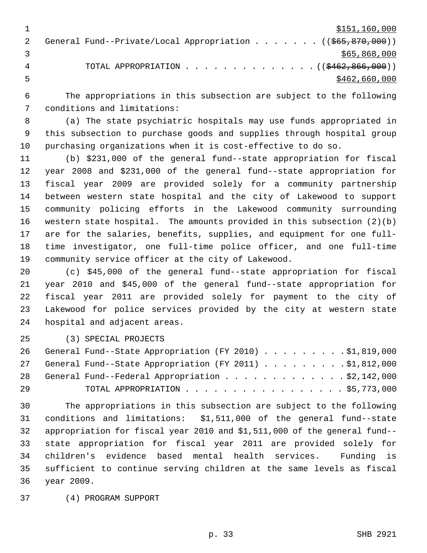| \$151,160,000                                                                     |
|-----------------------------------------------------------------------------------|
| General Fund--Private/Local Appropriation ( $(\frac{665}{67}, \frac{870}{600})$ ) |
| \$65,868,000                                                                      |
| TOTAL APPROPRIATION $\ldots$ , ( $(\frac{2462}{6266600})$ )                       |
| \$462,660,000                                                                     |

 6 The appropriations in this subsection are subject to the following 7 conditions and limitations:

 8 (a) The state psychiatric hospitals may use funds appropriated in 9 this subsection to purchase goods and supplies through hospital group 10 purchasing organizations when it is cost-effective to do so.

11 (b) \$231,000 of the general fund--state appropriation for fiscal 12 year 2008 and \$231,000 of the general fund--state appropriation for 13 fiscal year 2009 are provided solely for a community partnership 14 between western state hospital and the city of Lakewood to support 15 community policing efforts in the Lakewood community surrounding 16 western state hospital. The amounts provided in this subsection (2)(b) 17 are for the salaries, benefits, supplies, and equipment for one full-18 time investigator, one full-time police officer, and one full-time 19 community service officer at the city of Lakewood.

20 (c) \$45,000 of the general fund--state appropriation for fiscal 21 year 2010 and \$45,000 of the general fund--state appropriation for 22 fiscal year 2011 are provided solely for payment to the city of 23 Lakewood for police services provided by the city at western state 24 hospital and adjacent areas.

25 (3) SPECIAL PROJECTS

|    | 26 General Fund--State Appropriation (FY 2010) \$1,819,000 |
|----|------------------------------------------------------------|
|    | 27 General Fund--State Appropriation (FY 2011) \$1,812,000 |
|    | 28 General Fund--Federal Appropriation \$2,142,000         |
| 29 | TOTAL APPROPRIATION $\ldots$ , \$5,773,000                 |

30 The appropriations in this subsection are subject to the following 31 conditions and limitations: \$1,511,000 of the general fund--state 32 appropriation for fiscal year 2010 and \$1,511,000 of the general fund-- 33 state appropriation for fiscal year 2011 are provided solely for 34 children's evidence based mental health services. Funding is 35 sufficient to continue serving children at the same levels as fiscal 36 year 2009.

37 (4) PROGRAM SUPPORT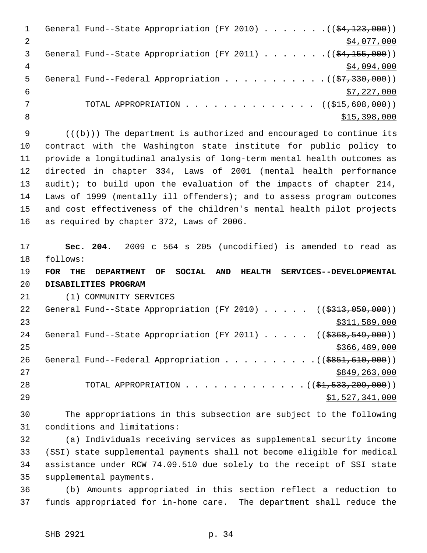|   | General Fund--State Appropriation (FY 2010) ( $(\frac{24,123,000}{2})$      |
|---|-----------------------------------------------------------------------------|
|   | \$4,077,000                                                                 |
| 3 | General Fund--State Appropriation (FY 2011) ( $(\frac{24,155,000}{2})$      |
| 4 | \$4,094,000                                                                 |
| 5 | General Fund--Federal Appropriation $($ $(\frac{27}{330}, \frac{330}{900})$ |
| 6 | \$7,227,000                                                                 |
|   | TOTAL APPROPRIATION $\ldots$ , ( $(\frac{1515}{100}, \frac{608}{100})$ )    |
| 8 | \$15,398,000                                                                |
|   |                                                                             |

9  $($   $($   $($   $\rightarrow$   $)$   $)$  The department is authorized and encouraged to continue its 10 contract with the Washington state institute for public policy to 11 provide a longitudinal analysis of long-term mental health outcomes as 12 directed in chapter 334, Laws of 2001 (mental health performance 13 audit); to build upon the evaluation of the impacts of chapter 214, 14 Laws of 1999 (mentally ill offenders); and to assess program outcomes 15 and cost effectiveness of the children's mental health pilot projects 16 as required by chapter 372, Laws of 2006.

17 **Sec. 204.** 2009 c 564 s 205 (uncodified) is amended to read as 18 follows:

19 **FOR THE DEPARTMENT OF SOCIAL AND HEALTH SERVICES--DEVELOPMENTAL** 20 **DISABILITIES PROGRAM**

21 (1) COMMUNITY SERVICES

| 22 | General Fund--State Appropriation (FY 2010) $($ $($ \$313,050,000))                   |
|----|---------------------------------------------------------------------------------------|
| 23 | \$311,589,000                                                                         |
| 24 | General Fund--State Appropriation (FY 2011) ( $(\frac{2368}{549}, \frac{549}{000})$ ) |
| 25 | \$366,489,000                                                                         |
| 26 | General Fund--Federal Appropriation $($ $($ $\frac{1}{5851}, 610, 000)$ $)$           |
| 27 | \$849,263,000                                                                         |
| 28 | TOTAL APPROPRIATION $($ $(\frac{1}{21}, 533, 209, 000) )$                             |
| 29 | \$1,527,341,000                                                                       |

30 The appropriations in this subsection are subject to the following 31 conditions and limitations:

32 (a) Individuals receiving services as supplemental security income 33 (SSI) state supplemental payments shall not become eligible for medical 34 assistance under RCW 74.09.510 due solely to the receipt of SSI state 35 supplemental payments.

36 (b) Amounts appropriated in this section reflect a reduction to 37 funds appropriated for in-home care. The department shall reduce the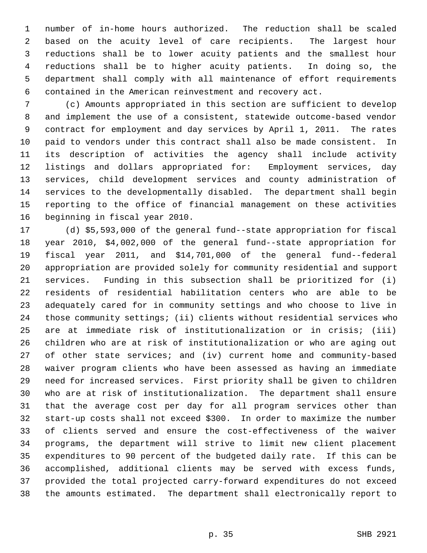1 number of in-home hours authorized. The reduction shall be scaled 2 based on the acuity level of care recipients. The largest hour 3 reductions shall be to lower acuity patients and the smallest hour 4 reductions shall be to higher acuity patients. In doing so, the 5 department shall comply with all maintenance of effort requirements 6 contained in the American reinvestment and recovery act.

 7 (c) Amounts appropriated in this section are sufficient to develop 8 and implement the use of a consistent, statewide outcome-based vendor 9 contract for employment and day services by April 1, 2011. The rates 10 paid to vendors under this contract shall also be made consistent. In 11 its description of activities the agency shall include activity 12 listings and dollars appropriated for: Employment services, day 13 services, child development services and county administration of 14 services to the developmentally disabled. The department shall begin 15 reporting to the office of financial management on these activities 16 beginning in fiscal year 2010.

17 (d) \$5,593,000 of the general fund--state appropriation for fiscal 18 year 2010, \$4,002,000 of the general fund--state appropriation for 19 fiscal year 2011, and \$14,701,000 of the general fund--federal 20 appropriation are provided solely for community residential and support 21 services. Funding in this subsection shall be prioritized for (i) 22 residents of residential habilitation centers who are able to be 23 adequately cared for in community settings and who choose to live in 24 those community settings; (ii) clients without residential services who 25 are at immediate risk of institutionalization or in crisis; (iii) 26 children who are at risk of institutionalization or who are aging out 27 of other state services; and (iv) current home and community-based 28 waiver program clients who have been assessed as having an immediate 29 need for increased services. First priority shall be given to children 30 who are at risk of institutionalization. The department shall ensure 31 that the average cost per day for all program services other than 32 start-up costs shall not exceed \$300. In order to maximize the number 33 of clients served and ensure the cost-effectiveness of the waiver 34 programs, the department will strive to limit new client placement 35 expenditures to 90 percent of the budgeted daily rate. If this can be 36 accomplished, additional clients may be served with excess funds, 37 provided the total projected carry-forward expenditures do not exceed 38 the amounts estimated. The department shall electronically report to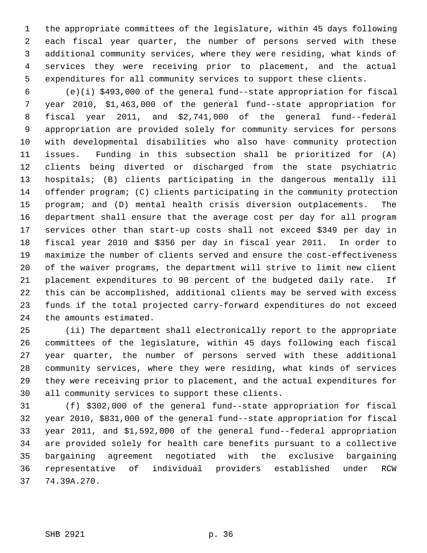1 the appropriate committees of the legislature, within 45 days following 2 each fiscal year quarter, the number of persons served with these 3 additional community services, where they were residing, what kinds of 4 services they were receiving prior to placement, and the actual 5 expenditures for all community services to support these clients.

 6 (e)(i) \$493,000 of the general fund--state appropriation for fiscal 7 year 2010, \$1,463,000 of the general fund--state appropriation for 8 fiscal year 2011, and \$2,741,000 of the general fund--federal 9 appropriation are provided solely for community services for persons 10 with developmental disabilities who also have community protection 11 issues. Funding in this subsection shall be prioritized for (A) 12 clients being diverted or discharged from the state psychiatric 13 hospitals; (B) clients participating in the dangerous mentally ill 14 offender program; (C) clients participating in the community protection 15 program; and (D) mental health crisis diversion outplacements. The 16 department shall ensure that the average cost per day for all program 17 services other than start-up costs shall not exceed \$349 per day in 18 fiscal year 2010 and \$356 per day in fiscal year 2011. In order to 19 maximize the number of clients served and ensure the cost-effectiveness 20 of the waiver programs, the department will strive to limit new client 21 placement expenditures to 90 percent of the budgeted daily rate. If 22 this can be accomplished, additional clients may be served with excess 23 funds if the total projected carry-forward expenditures do not exceed 24 the amounts estimated.

25 (ii) The department shall electronically report to the appropriate 26 committees of the legislature, within 45 days following each fiscal 27 year quarter, the number of persons served with these additional 28 community services, where they were residing, what kinds of services 29 they were receiving prior to placement, and the actual expenditures for 30 all community services to support these clients.

31 (f) \$302,000 of the general fund--state appropriation for fiscal 32 year 2010, \$831,000 of the general fund--state appropriation for fiscal 33 year 2011, and \$1,592,000 of the general fund--federal appropriation 34 are provided solely for health care benefits pursuant to a collective 35 bargaining agreement negotiated with the exclusive bargaining 36 representative of individual providers established under RCW 37 74.39A.270.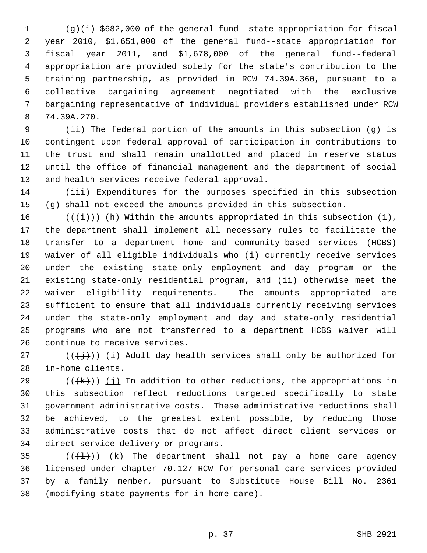1 (g)(i) \$682,000 of the general fund--state appropriation for fiscal 2 year 2010, \$1,651,000 of the general fund--state appropriation for 3 fiscal year 2011, and \$1,678,000 of the general fund--federal 4 appropriation are provided solely for the state's contribution to the 5 training partnership, as provided in RCW 74.39A.360, pursuant to a 6 collective bargaining agreement negotiated with the exclusive 7 bargaining representative of individual providers established under RCW 8 74.39A.270.

 9 (ii) The federal portion of the amounts in this subsection (g) is 10 contingent upon federal approval of participation in contributions to 11 the trust and shall remain unallotted and placed in reserve status 12 until the office of financial management and the department of social 13 and health services receive federal approval.

14 (iii) Expenditures for the purposes specified in this subsection 15 (g) shall not exceed the amounts provided in this subsection.

16 ( $(\frac{1}{i})$ ) (h) Within the amounts appropriated in this subsection (1), 17 the department shall implement all necessary rules to facilitate the 18 transfer to a department home and community-based services (HCBS) 19 waiver of all eligible individuals who (i) currently receive services 20 under the existing state-only employment and day program or the 21 existing state-only residential program, and (ii) otherwise meet the 22 waiver eligibility requirements. The amounts appropriated are 23 sufficient to ensure that all individuals currently receiving services 24 under the state-only employment and day and state-only residential 25 programs who are not transferred to a department HCBS waiver will 26 continue to receive services.

27 ( $(\{\dagger\})$ ) (i) Adult day health services shall only be authorized for 28 in-home clients.

29 ( $(\forall k)$ ) (j) In addition to other reductions, the appropriations in 30 this subsection reflect reductions targeted specifically to state 31 government administrative costs. These administrative reductions shall 32 be achieved, to the greatest extent possible, by reducing those 33 administrative costs that do not affect direct client services or 34 direct service delivery or programs.

35  $((\{\pm\})$   $(k)$  The department shall not pay a home care agency 36 licensed under chapter 70.127 RCW for personal care services provided 37 by a family member, pursuant to Substitute House Bill No. 2361 38 (modifying state payments for in-home care).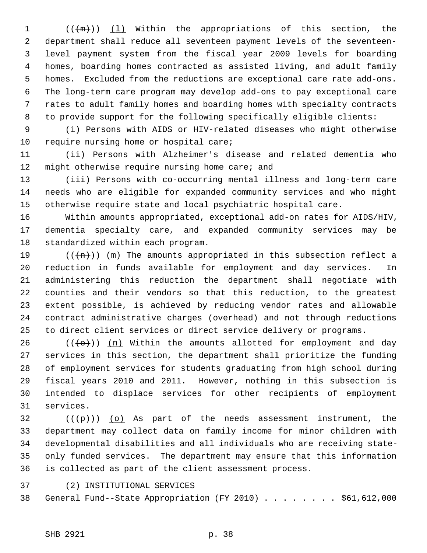1  $((+\mathfrak{m})))$  (1) Within the appropriations of this section, the 2 department shall reduce all seventeen payment levels of the seventeen- 3 level payment system from the fiscal year 2009 levels for boarding 4 homes, boarding homes contracted as assisted living, and adult family 5 homes. Excluded from the reductions are exceptional care rate add-ons. 6 The long-term care program may develop add-ons to pay exceptional care 7 rates to adult family homes and boarding homes with specialty contracts 8 to provide support for the following specifically eligible clients:

 9 (i) Persons with AIDS or HIV-related diseases who might otherwise 10 require nursing home or hospital care;

11 (ii) Persons with Alzheimer's disease and related dementia who 12 might otherwise require nursing home care; and

13 (iii) Persons with co-occurring mental illness and long-term care 14 needs who are eligible for expanded community services and who might 15 otherwise require state and local psychiatric hospital care.

16 Within amounts appropriated, exceptional add-on rates for AIDS/HIV, 17 dementia specialty care, and expanded community services may be 18 standardized within each program.

19 ( $(\overline{+n})$ ) (m) The amounts appropriated in this subsection reflect a 20 reduction in funds available for employment and day services. In 21 administering this reduction the department shall negotiate with 22 counties and their vendors so that this reduction, to the greatest 23 extent possible, is achieved by reducing vendor rates and allowable 24 contract administrative charges (overhead) and not through reductions 25 to direct client services or direct service delivery or programs.

26 ( $(\overline{\left\langle \Theta \right\rangle})$ ) (n) Within the amounts allotted for employment and day 27 services in this section, the department shall prioritize the funding 28 of employment services for students graduating from high school during 29 fiscal years 2010 and 2011. However, nothing in this subsection is 30 intended to displace services for other recipients of employment 31 services.

 $32$  (( $\left(\frac{p}{p}\right)$ ) (o) As part of the needs assessment instrument, the 33 department may collect data on family income for minor children with 34 developmental disabilities and all individuals who are receiving state-35 only funded services. The department may ensure that this information 36 is collected as part of the client assessment process.

37 (2) INSTITUTIONAL SERVICES

38 General Fund--State Appropriation (FY 2010) . . . . . . . . \$61,612,000

SHB 2921 p. 38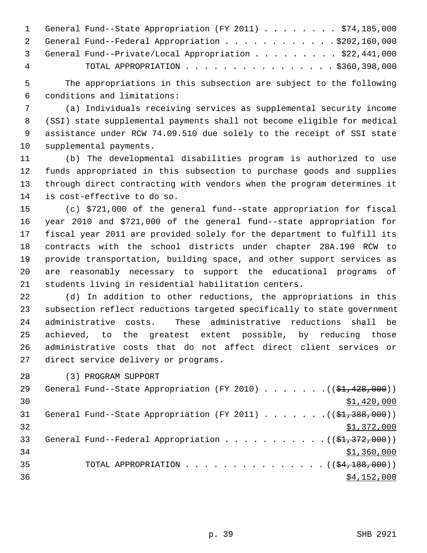|   | 1 General Fund--State Appropriation (FY 2011) \$74,185,000 |
|---|------------------------------------------------------------|
|   | 2 General Fund--Federal Appropriation \$202,160,000        |
|   | 3 General Fund--Private/Local Appropriation \$22,441,000   |
| 4 | TOTAL APPROPRIATION \$360,398,000                          |

 5 The appropriations in this subsection are subject to the following 6 conditions and limitations:

 7 (a) Individuals receiving services as supplemental security income 8 (SSI) state supplemental payments shall not become eligible for medical 9 assistance under RCW 74.09.510 due solely to the receipt of SSI state 10 supplemental payments.

11 (b) The developmental disabilities program is authorized to use 12 funds appropriated in this subsection to purchase goods and supplies 13 through direct contracting with vendors when the program determines it 14 is cost-effective to do so.

15 (c) \$721,000 of the general fund--state appropriation for fiscal 16 year 2010 and \$721,000 of the general fund--state appropriation for 17 fiscal year 2011 are provided solely for the department to fulfill its 18 contracts with the school districts under chapter 28A.190 RCW to 19 provide transportation, building space, and other support services as 20 are reasonably necessary to support the educational programs of 21 students living in residential habilitation centers.

22 (d) In addition to other reductions, the appropriations in this 23 subsection reflect reductions targeted specifically to state government 24 administrative costs. These administrative reductions shall be 25 achieved, to the greatest extent possible, by reducing those 26 administrative costs that do not affect direct client services or 27 direct service delivery or programs.

28 (3) PROGRAM SUPPORT

| 29 | General Fund--State Appropriation (FY 2010) $($ $($ \$1,428,000)) |
|----|-------------------------------------------------------------------|
| 30 | \$1,420,000                                                       |
| 31 | General Fund--State Appropriation (FY 2011) $($ $($ \$1,388,000)) |
| 32 | \$1,372,000                                                       |
| 33 | General Fund--Federal Appropriation $($ $($ \$1,372,000) $)$      |
| 34 | \$1,360,000                                                       |
| 35 | TOTAL APPROPRIATION $($ $(\frac{64}{188},000) )$                  |
| 36 | \$4,152,000                                                       |
|    |                                                                   |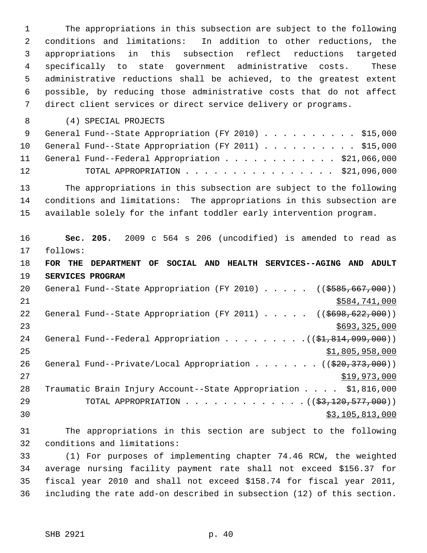1 The appropriations in this subsection are subject to the following 2 conditions and limitations: In addition to other reductions, the 3 appropriations in this subsection reflect reductions targeted 4 specifically to state government administrative costs. These 5 administrative reductions shall be achieved, to the greatest extent 6 possible, by reducing those administrative costs that do not affect 7 direct client services or direct service delivery or programs.

8 (4) SPECIAL PROJECTS

|    | 9 General Fund--State Appropriation (FY 2010) \$15,000  |  |
|----|---------------------------------------------------------|--|
|    | 10 General Fund--State Appropriation (FY 2011) \$15,000 |  |
|    | 11 General Fund--Federal Appropriation \$21,066,000     |  |
| 12 | TOTAL APPROPRIATION $\ldots$ , \$21,096,000             |  |

13 The appropriations in this subsection are subject to the following 14 conditions and limitations: The appropriations in this subsection are 15 available solely for the infant toddler early intervention program.

16 **Sec. 205.** 2009 c 564 s 206 (uncodified) is amended to read as 17 follows: 18 **FOR THE DEPARTMENT OF SOCIAL AND HEALTH SERVICES--AGING AND ADULT** 19 **SERVICES PROGRAM** 20 General Fund--State Appropriation (FY 2010) . . . . . ((\$585,667,000)) 21 \$584,741,000 22 General Fund--State Appropriation (FY 2011) . . . . . ((\$698,622,000))  $23$   $5693,325,000$ 24 General Fund--Federal Appropriation . . . . . . . .  $($   $($ \$1,814,099,000))  $25$   $51,805,958,000$ 26 General Fund--Private/Local Appropriation . . . . . . ((\$20,373,000)) 27 \$19,973,000 28 Traumatic Brain Injury Account--State Appropriation . . . . \$1,816,000 29 TOTAL APPROPRIATION . . . . . . . . . . . . . ((\$3,120,577,000))  $\frac{1}{2}$  30  $\frac{1}{2}$  30  $\frac{1}{2}$  30  $\frac{1}{2}$  30  $\frac{1}{2}$  30  $\frac{1}{2}$  30  $\frac{1}{2}$  30  $\frac{1}{2}$  30  $\frac{1}{2}$  30  $\frac{1}{2}$  30  $\frac{1}{2}$  30  $\frac{1}{2}$  30  $\frac{1}{2}$  30  $\frac{1}{2}$  30  $\frac{1}{2}$  30  $\frac{1}{2}$  30  $\frac{1}{2}$  30

31 The appropriations in this section are subject to the following 32 conditions and limitations:

33 (1) For purposes of implementing chapter 74.46 RCW, the weighted 34 average nursing facility payment rate shall not exceed \$156.37 for 35 fiscal year 2010 and shall not exceed \$158.74 for fiscal year 2011, 36 including the rate add-on described in subsection (12) of this section.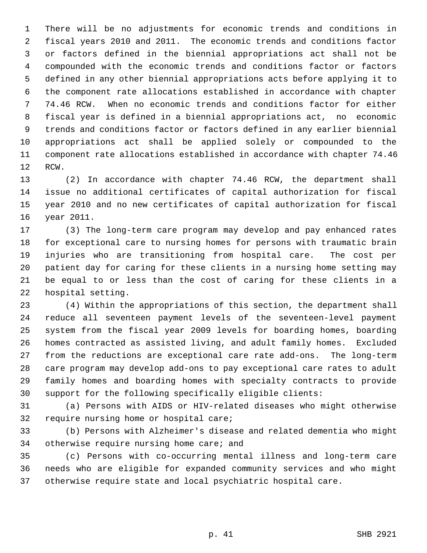1 There will be no adjustments for economic trends and conditions in 2 fiscal years 2010 and 2011. The economic trends and conditions factor 3 or factors defined in the biennial appropriations act shall not be 4 compounded with the economic trends and conditions factor or factors 5 defined in any other biennial appropriations acts before applying it to 6 the component rate allocations established in accordance with chapter 7 74.46 RCW. When no economic trends and conditions factor for either 8 fiscal year is defined in a biennial appropriations act, no economic 9 trends and conditions factor or factors defined in any earlier biennial 10 appropriations act shall be applied solely or compounded to the 11 component rate allocations established in accordance with chapter 74.46 12 RCW.

13 (2) In accordance with chapter 74.46 RCW, the department shall 14 issue no additional certificates of capital authorization for fiscal 15 year 2010 and no new certificates of capital authorization for fiscal 16 year 2011.

17 (3) The long-term care program may develop and pay enhanced rates 18 for exceptional care to nursing homes for persons with traumatic brain 19 injuries who are transitioning from hospital care. The cost per 20 patient day for caring for these clients in a nursing home setting may 21 be equal to or less than the cost of caring for these clients in a 22 hospital setting.

23 (4) Within the appropriations of this section, the department shall 24 reduce all seventeen payment levels of the seventeen-level payment 25 system from the fiscal year 2009 levels for boarding homes, boarding 26 homes contracted as assisted living, and adult family homes. Excluded 27 from the reductions are exceptional care rate add-ons. The long-term 28 care program may develop add-ons to pay exceptional care rates to adult 29 family homes and boarding homes with specialty contracts to provide 30 support for the following specifically eligible clients:

31 (a) Persons with AIDS or HIV-related diseases who might otherwise 32 require nursing home or hospital care;

33 (b) Persons with Alzheimer's disease and related dementia who might 34 otherwise require nursing home care; and

35 (c) Persons with co-occurring mental illness and long-term care 36 needs who are eligible for expanded community services and who might 37 otherwise require state and local psychiatric hospital care.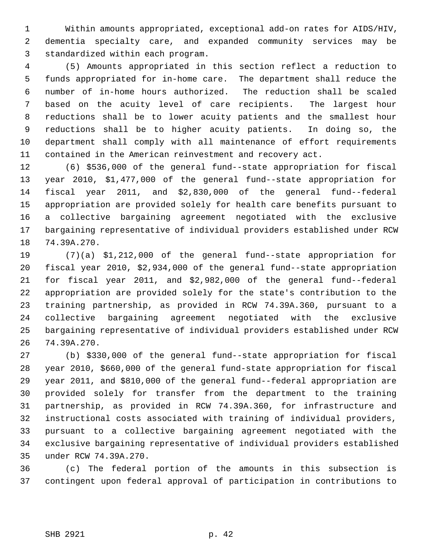1 Within amounts appropriated, exceptional add-on rates for AIDS/HIV, 2 dementia specialty care, and expanded community services may be 3 standardized within each program.

 4 (5) Amounts appropriated in this section reflect a reduction to 5 funds appropriated for in-home care. The department shall reduce the 6 number of in-home hours authorized. The reduction shall be scaled 7 based on the acuity level of care recipients. The largest hour 8 reductions shall be to lower acuity patients and the smallest hour 9 reductions shall be to higher acuity patients. In doing so, the 10 department shall comply with all maintenance of effort requirements 11 contained in the American reinvestment and recovery act.

12 (6) \$536,000 of the general fund--state appropriation for fiscal 13 year 2010, \$1,477,000 of the general fund--state appropriation for 14 fiscal year 2011, and \$2,830,000 of the general fund--federal 15 appropriation are provided solely for health care benefits pursuant to 16 a collective bargaining agreement negotiated with the exclusive 17 bargaining representative of individual providers established under RCW 18 74.39A.270.

19 (7)(a) \$1,212,000 of the general fund--state appropriation for 20 fiscal year 2010, \$2,934,000 of the general fund--state appropriation 21 for fiscal year 2011, and \$2,982,000 of the general fund--federal 22 appropriation are provided solely for the state's contribution to the 23 training partnership, as provided in RCW 74.39A.360, pursuant to a 24 collective bargaining agreement negotiated with the exclusive 25 bargaining representative of individual providers established under RCW 26 74.39A.270.

27 (b) \$330,000 of the general fund--state appropriation for fiscal 28 year 2010, \$660,000 of the general fund-state appropriation for fiscal 29 year 2011, and \$810,000 of the general fund--federal appropriation are 30 provided solely for transfer from the department to the training 31 partnership, as provided in RCW 74.39A.360, for infrastructure and 32 instructional costs associated with training of individual providers, 33 pursuant to a collective bargaining agreement negotiated with the 34 exclusive bargaining representative of individual providers established 35 under RCW 74.39A.270.

36 (c) The federal portion of the amounts in this subsection is 37 contingent upon federal approval of participation in contributions to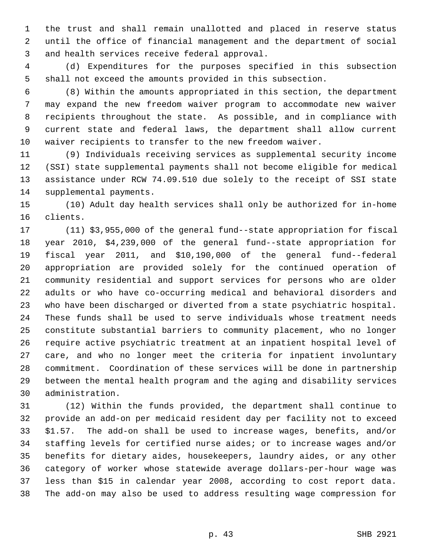1 the trust and shall remain unallotted and placed in reserve status 2 until the office of financial management and the department of social 3 and health services receive federal approval.

 4 (d) Expenditures for the purposes specified in this subsection 5 shall not exceed the amounts provided in this subsection.

 6 (8) Within the amounts appropriated in this section, the department 7 may expand the new freedom waiver program to accommodate new waiver 8 recipients throughout the state. As possible, and in compliance with 9 current state and federal laws, the department shall allow current 10 waiver recipients to transfer to the new freedom waiver.

11 (9) Individuals receiving services as supplemental security income 12 (SSI) state supplemental payments shall not become eligible for medical 13 assistance under RCW 74.09.510 due solely to the receipt of SSI state 14 supplemental payments.

15 (10) Adult day health services shall only be authorized for in-home 16 clients.

17 (11) \$3,955,000 of the general fund--state appropriation for fiscal 18 year 2010, \$4,239,000 of the general fund--state appropriation for 19 fiscal year 2011, and \$10,190,000 of the general fund--federal 20 appropriation are provided solely for the continued operation of 21 community residential and support services for persons who are older 22 adults or who have co-occurring medical and behavioral disorders and 23 who have been discharged or diverted from a state psychiatric hospital. 24 These funds shall be used to serve individuals whose treatment needs 25 constitute substantial barriers to community placement, who no longer 26 require active psychiatric treatment at an inpatient hospital level of 27 care, and who no longer meet the criteria for inpatient involuntary 28 commitment. Coordination of these services will be done in partnership 29 between the mental health program and the aging and disability services 30 administration.

31 (12) Within the funds provided, the department shall continue to 32 provide an add-on per medicaid resident day per facility not to exceed 33 \$1.57. The add-on shall be used to increase wages, benefits, and/or 34 staffing levels for certified nurse aides; or to increase wages and/or 35 benefits for dietary aides, housekeepers, laundry aides, or any other 36 category of worker whose statewide average dollars-per-hour wage was 37 less than \$15 in calendar year 2008, according to cost report data. 38 The add-on may also be used to address resulting wage compression for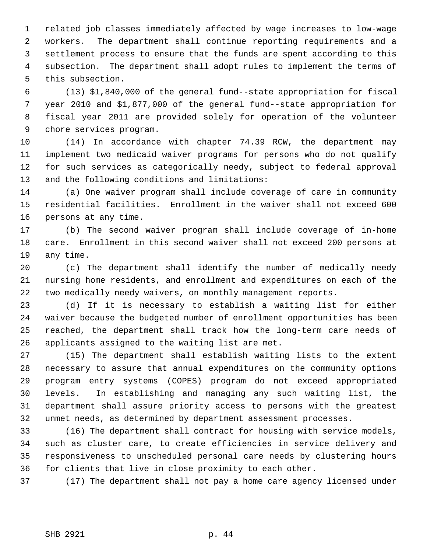1 related job classes immediately affected by wage increases to low-wage 2 workers. The department shall continue reporting requirements and a 3 settlement process to ensure that the funds are spent according to this 4 subsection. The department shall adopt rules to implement the terms of 5 this subsection.

 6 (13) \$1,840,000 of the general fund--state appropriation for fiscal 7 year 2010 and \$1,877,000 of the general fund--state appropriation for 8 fiscal year 2011 are provided solely for operation of the volunteer 9 chore services program.

10 (14) In accordance with chapter 74.39 RCW, the department may 11 implement two medicaid waiver programs for persons who do not qualify 12 for such services as categorically needy, subject to federal approval 13 and the following conditions and limitations:

14 (a) One waiver program shall include coverage of care in community 15 residential facilities. Enrollment in the waiver shall not exceed 600 16 persons at any time.

17 (b) The second waiver program shall include coverage of in-home 18 care. Enrollment in this second waiver shall not exceed 200 persons at 19 any time.

20 (c) The department shall identify the number of medically needy 21 nursing home residents, and enrollment and expenditures on each of the 22 two medically needy waivers, on monthly management reports.

23 (d) If it is necessary to establish a waiting list for either 24 waiver because the budgeted number of enrollment opportunities has been 25 reached, the department shall track how the long-term care needs of 26 applicants assigned to the waiting list are met.

27 (15) The department shall establish waiting lists to the extent 28 necessary to assure that annual expenditures on the community options 29 program entry systems (COPES) program do not exceed appropriated 30 levels. In establishing and managing any such waiting list, the 31 department shall assure priority access to persons with the greatest 32 unmet needs, as determined by department assessment processes.

33 (16) The department shall contract for housing with service models, 34 such as cluster care, to create efficiencies in service delivery and 35 responsiveness to unscheduled personal care needs by clustering hours 36 for clients that live in close proximity to each other.

37 (17) The department shall not pay a home care agency licensed under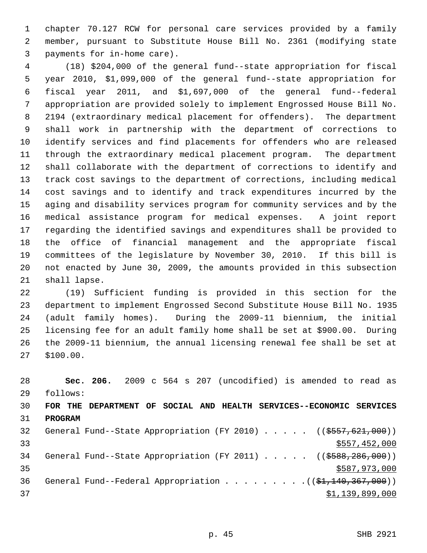1 chapter 70.127 RCW for personal care services provided by a family 2 member, pursuant to Substitute House Bill No. 2361 (modifying state 3 payments for in-home care).

 4 (18) \$204,000 of the general fund--state appropriation for fiscal 5 year 2010, \$1,099,000 of the general fund--state appropriation for 6 fiscal year 2011, and \$1,697,000 of the general fund--federal 7 appropriation are provided solely to implement Engrossed House Bill No. 8 2194 (extraordinary medical placement for offenders). The department 9 shall work in partnership with the department of corrections to 10 identify services and find placements for offenders who are released 11 through the extraordinary medical placement program. The department 12 shall collaborate with the department of corrections to identify and 13 track cost savings to the department of corrections, including medical 14 cost savings and to identify and track expenditures incurred by the 15 aging and disability services program for community services and by the 16 medical assistance program for medical expenses. A joint report 17 regarding the identified savings and expenditures shall be provided to 18 the office of financial management and the appropriate fiscal 19 committees of the legislature by November 30, 2010. If this bill is 20 not enacted by June 30, 2009, the amounts provided in this subsection 21 shall lapse.

22 (19) Sufficient funding is provided in this section for the 23 department to implement Engrossed Second Substitute House Bill No. 1935 24 (adult family homes). During the 2009-11 biennium, the initial 25 licensing fee for an adult family home shall be set at \$900.00. During 26 the 2009-11 biennium, the annual licensing renewal fee shall be set at 27 \$100.00.

28 **Sec. 206.** 2009 c 564 s 207 (uncodified) is amended to read as 29 follows: 30 **FOR THE DEPARTMENT OF SOCIAL AND HEALTH SERVICES--ECONOMIC SERVICES** 31 **PROGRAM** 32 General Fund--State Appropriation (FY 2010) . . . . . ((\$557,621,000)) 33 \$557,452,000 34 General Fund--State Appropriation (FY 2011) . . . . . ((\$588,286,000)) 35 \$587,973,000 36 General Fund--Federal Appropriation . . . . . . . . . ((\$1,140,367,000))  $37$   $\frac{1}{39}$ , 899, 000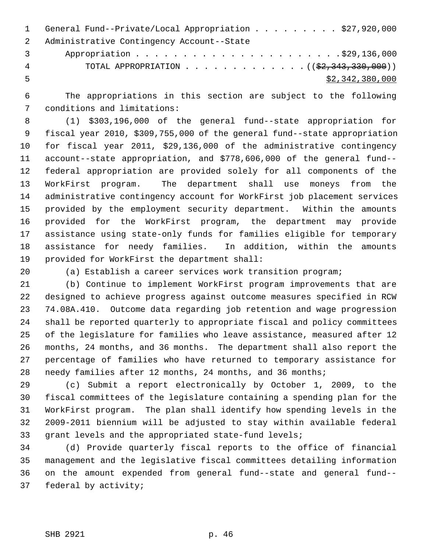1 General Fund--Private/Local Appropriation . . . . . . . . \$27,920,000 2 Administrative Contingency Account--State 3 Appropriation . . . . . . . . . . . . . . . . . . . . . .\$29,136,000 4 TOTAL APPROPRIATION . . . . . . . . . . . . . ((\$2,343,330,000))

 $5 - 5$  \$2,342,380,000

 6 The appropriations in this section are subject to the following 7 conditions and limitations:

 8 (1) \$303,196,000 of the general fund--state appropriation for 9 fiscal year 2010, \$309,755,000 of the general fund--state appropriation 10 for fiscal year 2011, \$29,136,000 of the administrative contingency 11 account--state appropriation, and \$778,606,000 of the general fund-- 12 federal appropriation are provided solely for all components of the 13 WorkFirst program. The department shall use moneys from the 14 administrative contingency account for WorkFirst job placement services 15 provided by the employment security department. Within the amounts 16 provided for the WorkFirst program, the department may provide 17 assistance using state-only funds for families eligible for temporary 18 assistance for needy families. In addition, within the amounts 19 provided for WorkFirst the department shall:

20 (a) Establish a career services work transition program;

21 (b) Continue to implement WorkFirst program improvements that are 22 designed to achieve progress against outcome measures specified in RCW 23 74.08A.410. Outcome data regarding job retention and wage progression 24 shall be reported quarterly to appropriate fiscal and policy committees 25 of the legislature for families who leave assistance, measured after 12 26 months, 24 months, and 36 months. The department shall also report the 27 percentage of families who have returned to temporary assistance for 28 needy families after 12 months, 24 months, and 36 months;

29 (c) Submit a report electronically by October 1, 2009, to the 30 fiscal committees of the legislature containing a spending plan for the 31 WorkFirst program. The plan shall identify how spending levels in the 32 2009-2011 biennium will be adjusted to stay within available federal 33 grant levels and the appropriated state-fund levels;

34 (d) Provide quarterly fiscal reports to the office of financial 35 management and the legislative fiscal committees detailing information 36 on the amount expended from general fund--state and general fund-- 37 federal by activity;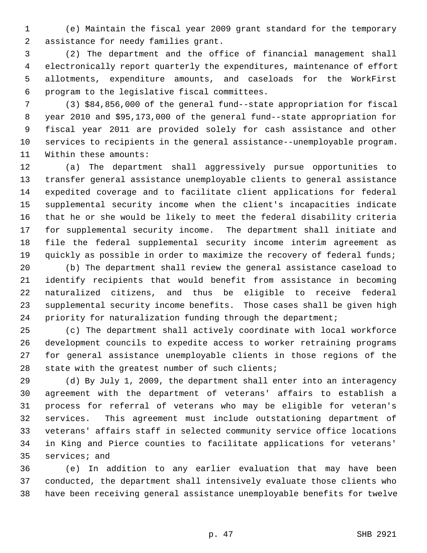1 (e) Maintain the fiscal year 2009 grant standard for the temporary 2 assistance for needy families grant.

 3 (2) The department and the office of financial management shall 4 electronically report quarterly the expenditures, maintenance of effort 5 allotments, expenditure amounts, and caseloads for the WorkFirst 6 program to the legislative fiscal committees.

 7 (3) \$84,856,000 of the general fund--state appropriation for fiscal 8 year 2010 and \$95,173,000 of the general fund--state appropriation for 9 fiscal year 2011 are provided solely for cash assistance and other 10 services to recipients in the general assistance--unemployable program. 11 Within these amounts:

12 (a) The department shall aggressively pursue opportunities to 13 transfer general assistance unemployable clients to general assistance 14 expedited coverage and to facilitate client applications for federal 15 supplemental security income when the client's incapacities indicate 16 that he or she would be likely to meet the federal disability criteria 17 for supplemental security income. The department shall initiate and 18 file the federal supplemental security income interim agreement as 19 quickly as possible in order to maximize the recovery of federal funds;

20 (b) The department shall review the general assistance caseload to 21 identify recipients that would benefit from assistance in becoming 22 naturalized citizens, and thus be eligible to receive federal 23 supplemental security income benefits. Those cases shall be given high 24 priority for naturalization funding through the department;

25 (c) The department shall actively coordinate with local workforce 26 development councils to expedite access to worker retraining programs 27 for general assistance unemployable clients in those regions of the 28 state with the greatest number of such clients;

29 (d) By July 1, 2009, the department shall enter into an interagency 30 agreement with the department of veterans' affairs to establish a 31 process for referral of veterans who may be eligible for veteran's 32 services. This agreement must include outstationing department of 33 veterans' affairs staff in selected community service office locations 34 in King and Pierce counties to facilitate applications for veterans' 35 services; and

36 (e) In addition to any earlier evaluation that may have been 37 conducted, the department shall intensively evaluate those clients who 38 have been receiving general assistance unemployable benefits for twelve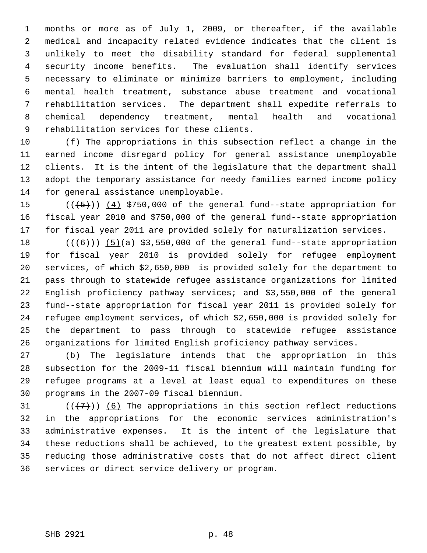1 months or more as of July 1, 2009, or thereafter, if the available 2 medical and incapacity related evidence indicates that the client is 3 unlikely to meet the disability standard for federal supplemental 4 security income benefits. The evaluation shall identify services 5 necessary to eliminate or minimize barriers to employment, including 6 mental health treatment, substance abuse treatment and vocational 7 rehabilitation services. The department shall expedite referrals to 8 chemical dependency treatment, mental health and vocational 9 rehabilitation services for these clients.

10 (f) The appropriations in this subsection reflect a change in the 11 earned income disregard policy for general assistance unemployable 12 clients. It is the intent of the legislature that the department shall 13 adopt the temporary assistance for needy families earned income policy 14 for general assistance unemployable.

15  $((+5))$   $(4)$  \$750,000 of the general fund--state appropriation for 16 fiscal year 2010 and \$750,000 of the general fund--state appropriation 17 for fiscal year 2011 are provided solely for naturalization services.

18  $((+6))$  (5)(a) \$3,550,000 of the general fund--state appropriation 19 for fiscal year 2010 is provided solely for refugee employment 20 services, of which \$2,650,000 is provided solely for the department to 21 pass through to statewide refugee assistance organizations for limited 22 English proficiency pathway services; and \$3,550,000 of the general 23 fund--state appropriation for fiscal year 2011 is provided solely for 24 refugee employment services, of which \$2,650,000 is provided solely for 25 the department to pass through to statewide refugee assistance 26 organizations for limited English proficiency pathway services.

27 (b) The legislature intends that the appropriation in this 28 subsection for the 2009-11 fiscal biennium will maintain funding for 29 refugee programs at a level at least equal to expenditures on these 30 programs in the 2007-09 fiscal biennium.

31  $((+7))$  (6) The appropriations in this section reflect reductions 32 in the appropriations for the economic services administration's 33 administrative expenses. It is the intent of the legislature that 34 these reductions shall be achieved, to the greatest extent possible, by 35 reducing those administrative costs that do not affect direct client 36 services or direct service delivery or program.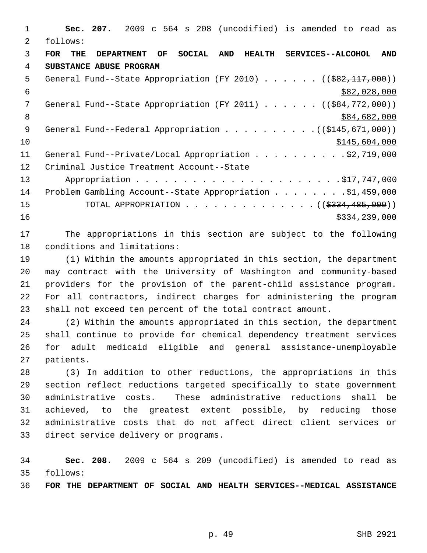1 **Sec. 207.** 2009 c 564 s 208 (uncodified) is amended to read as 2 follows: 3 **FOR THE DEPARTMENT OF SOCIAL AND HEALTH SERVICES--ALCOHOL AND** 4 **SUBSTANCE ABUSE PROGRAM** 5 General Fund--State Appropriation (FY 2010) . . . . . . ((\$82,117,000))  $$82,028,000$ 7 General Fund--State Appropriation (FY 2011) . . . . . ((<del>\$84,772,000</del>)) 8 \$84,682,000 \$84,682,000 9 General Fund--Federal Appropriation . . . . . . . . . . ((\$145,671,000))  $$10$   $$145,604,000$ 11 General Fund--Private/Local Appropriation . . . . . . . . . \$2,719,000 12 Criminal Justice Treatment Account--State 13 Appropriation . . . . . . . . . . . . . . . . . . . . . .\$17,747,000 14 Problem Gambling Account--State Appropriation . . . . . . . . \$1,459,000 15 TOTAL APPROPRIATION . . . . . . . . . . . . . ((<del>\$334,485,000</del>))  $16$  \$334,239,000

17 The appropriations in this section are subject to the following 18 conditions and limitations:

19 (1) Within the amounts appropriated in this section, the department 20 may contract with the University of Washington and community-based 21 providers for the provision of the parent-child assistance program. 22 For all contractors, indirect charges for administering the program 23 shall not exceed ten percent of the total contract amount.

24 (2) Within the amounts appropriated in this section, the department 25 shall continue to provide for chemical dependency treatment services 26 for adult medicaid eligible and general assistance-unemployable 27 patients.

28 (3) In addition to other reductions, the appropriations in this 29 section reflect reductions targeted specifically to state government 30 administrative costs. These administrative reductions shall be 31 achieved, to the greatest extent possible, by reducing those 32 administrative costs that do not affect direct client services or 33 direct service delivery or programs.

34 **Sec. 208.** 2009 c 564 s 209 (uncodified) is amended to read as 35 follows:

36 **FOR THE DEPARTMENT OF SOCIAL AND HEALTH SERVICES--MEDICAL ASSISTANCE**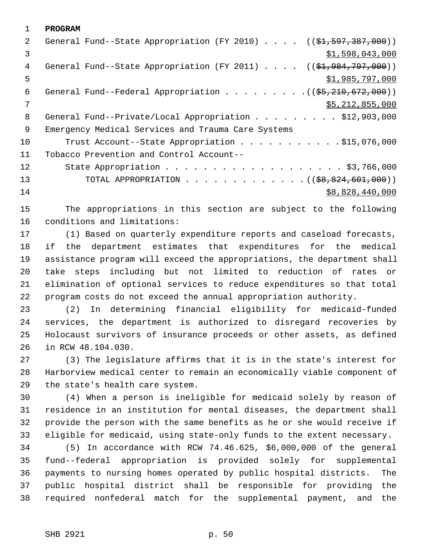1 **PROGRAM** 2 General Fund--State Appropriation (FY 2010) . . . . ((\$1,597,387,000))  $\frac{1}{2}$   $\frac{1}{598}$ , 043, 000 4 General Fund--State Appropriation (FY 2011) . . . . ((\$1,984,797,000))  $5 - 5$  \$1,985,797,000 6 General Fund--Federal Appropriation . . . . . . . . . ((\$5,210,672,000))  $7$  \$5,212,855,000 8 General Fund--Private/Local Appropriation . . . . . . . . \$12,903,000 9 Emergency Medical Services and Trauma Care Systems 10 Trust Account--State Appropriation . . . . . . . . . . \$15,076,000 11 Tobacco Prevention and Control Account-- 12 State Appropriation . . . . . . . . . . . . . . . . . . \$3,766,000 13 TOTAL APPROPRIATION . . . . . . . . . . . . ((<del>\$8,824,601,000</del>)) 14 \$8,828,440,000

15 The appropriations in this section are subject to the following 16 conditions and limitations:

17 (1) Based on quarterly expenditure reports and caseload forecasts, 18 if the department estimates that expenditures for the medical 19 assistance program will exceed the appropriations, the department shall 20 take steps including but not limited to reduction of rates or 21 elimination of optional services to reduce expenditures so that total 22 program costs do not exceed the annual appropriation authority.

23 (2) In determining financial eligibility for medicaid-funded 24 services, the department is authorized to disregard recoveries by 25 Holocaust survivors of insurance proceeds or other assets, as defined 26 in RCW 48.104.030.

27 (3) The legislature affirms that it is in the state's interest for 28 Harborview medical center to remain an economically viable component of 29 the state's health care system.

30 (4) When a person is ineligible for medicaid solely by reason of 31 residence in an institution for mental diseases, the department shall 32 provide the person with the same benefits as he or she would receive if 33 eligible for medicaid, using state-only funds to the extent necessary.

34 (5) In accordance with RCW 74.46.625, \$6,000,000 of the general 35 fund--federal appropriation is provided solely for supplemental 36 payments to nursing homes operated by public hospital districts. The 37 public hospital district shall be responsible for providing the 38 required nonfederal match for the supplemental payment, and the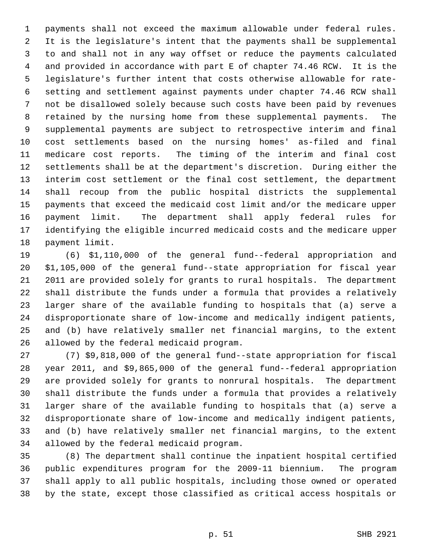1 payments shall not exceed the maximum allowable under federal rules. 2 It is the legislature's intent that the payments shall be supplemental 3 to and shall not in any way offset or reduce the payments calculated 4 and provided in accordance with part E of chapter 74.46 RCW. It is the 5 legislature's further intent that costs otherwise allowable for rate- 6 setting and settlement against payments under chapter 74.46 RCW shall 7 not be disallowed solely because such costs have been paid by revenues 8 retained by the nursing home from these supplemental payments. The 9 supplemental payments are subject to retrospective interim and final 10 cost settlements based on the nursing homes' as-filed and final 11 medicare cost reports. The timing of the interim and final cost 12 settlements shall be at the department's discretion. During either the 13 interim cost settlement or the final cost settlement, the department 14 shall recoup from the public hospital districts the supplemental 15 payments that exceed the medicaid cost limit and/or the medicare upper 16 payment limit. The department shall apply federal rules for 17 identifying the eligible incurred medicaid costs and the medicare upper 18 payment limit.

19 (6) \$1,110,000 of the general fund--federal appropriation and 20 \$1,105,000 of the general fund--state appropriation for fiscal year 21 2011 are provided solely for grants to rural hospitals. The department 22 shall distribute the funds under a formula that provides a relatively 23 larger share of the available funding to hospitals that (a) serve a 24 disproportionate share of low-income and medically indigent patients, 25 and (b) have relatively smaller net financial margins, to the extent 26 allowed by the federal medicaid program.

27 (7) \$9,818,000 of the general fund--state appropriation for fiscal 28 year 2011, and \$9,865,000 of the general fund--federal appropriation 29 are provided solely for grants to nonrural hospitals. The department 30 shall distribute the funds under a formula that provides a relatively 31 larger share of the available funding to hospitals that (a) serve a 32 disproportionate share of low-income and medically indigent patients, 33 and (b) have relatively smaller net financial margins, to the extent 34 allowed by the federal medicaid program.

35 (8) The department shall continue the inpatient hospital certified 36 public expenditures program for the 2009-11 biennium. The program 37 shall apply to all public hospitals, including those owned or operated 38 by the state, except those classified as critical access hospitals or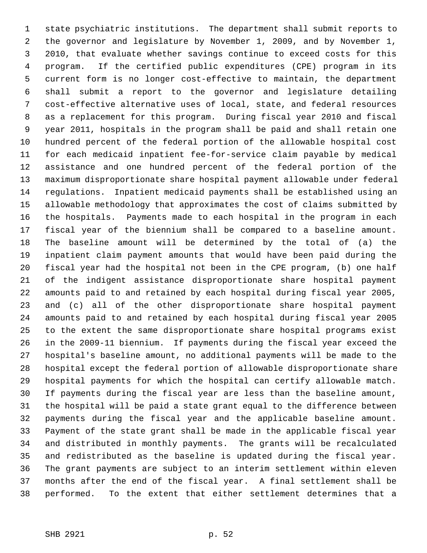1 state psychiatric institutions. The department shall submit reports to 2 the governor and legislature by November 1, 2009, and by November 1, 3 2010, that evaluate whether savings continue to exceed costs for this 4 program. If the certified public expenditures (CPE) program in its 5 current form is no longer cost-effective to maintain, the department 6 shall submit a report to the governor and legislature detailing 7 cost-effective alternative uses of local, state, and federal resources 8 as a replacement for this program. During fiscal year 2010 and fiscal 9 year 2011, hospitals in the program shall be paid and shall retain one 10 hundred percent of the federal portion of the allowable hospital cost 11 for each medicaid inpatient fee-for-service claim payable by medical 12 assistance and one hundred percent of the federal portion of the 13 maximum disproportionate share hospital payment allowable under federal 14 regulations. Inpatient medicaid payments shall be established using an 15 allowable methodology that approximates the cost of claims submitted by 16 the hospitals. Payments made to each hospital in the program in each 17 fiscal year of the biennium shall be compared to a baseline amount. 18 The baseline amount will be determined by the total of (a) the 19 inpatient claim payment amounts that would have been paid during the 20 fiscal year had the hospital not been in the CPE program, (b) one half 21 of the indigent assistance disproportionate share hospital payment 22 amounts paid to and retained by each hospital during fiscal year 2005, 23 and (c) all of the other disproportionate share hospital payment 24 amounts paid to and retained by each hospital during fiscal year 2005 25 to the extent the same disproportionate share hospital programs exist 26 in the 2009-11 biennium. If payments during the fiscal year exceed the 27 hospital's baseline amount, no additional payments will be made to the 28 hospital except the federal portion of allowable disproportionate share 29 hospital payments for which the hospital can certify allowable match. 30 If payments during the fiscal year are less than the baseline amount, 31 the hospital will be paid a state grant equal to the difference between 32 payments during the fiscal year and the applicable baseline amount. 33 Payment of the state grant shall be made in the applicable fiscal year 34 and distributed in monthly payments. The grants will be recalculated 35 and redistributed as the baseline is updated during the fiscal year. 36 The grant payments are subject to an interim settlement within eleven 37 months after the end of the fiscal year. A final settlement shall be 38 performed. To the extent that either settlement determines that a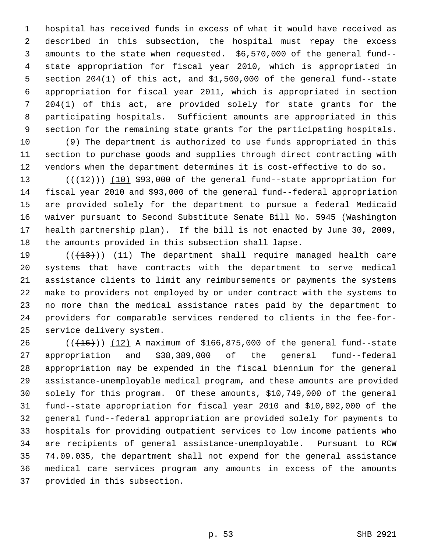1 hospital has received funds in excess of what it would have received as 2 described in this subsection, the hospital must repay the excess 3 amounts to the state when requested. \$6,570,000 of the general fund-- 4 state appropriation for fiscal year 2010, which is appropriated in 5 section 204(1) of this act, and \$1,500,000 of the general fund--state 6 appropriation for fiscal year 2011, which is appropriated in section 7 204(1) of this act, are provided solely for state grants for the 8 participating hospitals. Sufficient amounts are appropriated in this 9 section for the remaining state grants for the participating hospitals.

10 (9) The department is authorized to use funds appropriated in this 11 section to purchase goods and supplies through direct contracting with 12 vendors when the department determines it is cost-effective to do so.

13  $((+12))$   $(10)$  \$93,000 of the general fund--state appropriation for 14 fiscal year 2010 and \$93,000 of the general fund--federal appropriation 15 are provided solely for the department to pursue a federal Medicaid 16 waiver pursuant to Second Substitute Senate Bill No. 5945 (Washington 17 health partnership plan). If the bill is not enacted by June 30, 2009, 18 the amounts provided in this subsection shall lapse.

19  $((+13))$   $(11)$  The department shall require managed health care 20 systems that have contracts with the department to serve medical 21 assistance clients to limit any reimbursements or payments the systems 22 make to providers not employed by or under contract with the systems to 23 no more than the medical assistance rates paid by the department to 24 providers for comparable services rendered to clients in the fee-for-25 service delivery system.

26  $((+16))$   $(12)$  A maximum of \$166,875,000 of the general fund--state 27 appropriation and \$38,389,000 of the general fund--federal 28 appropriation may be expended in the fiscal biennium for the general 29 assistance-unemployable medical program, and these amounts are provided 30 solely for this program. Of these amounts, \$10,749,000 of the general 31 fund--state appropriation for fiscal year 2010 and \$10,892,000 of the 32 general fund--federal appropriation are provided solely for payments to 33 hospitals for providing outpatient services to low income patients who 34 are recipients of general assistance-unemployable. Pursuant to RCW 35 74.09.035, the department shall not expend for the general assistance 36 medical care services program any amounts in excess of the amounts 37 provided in this subsection.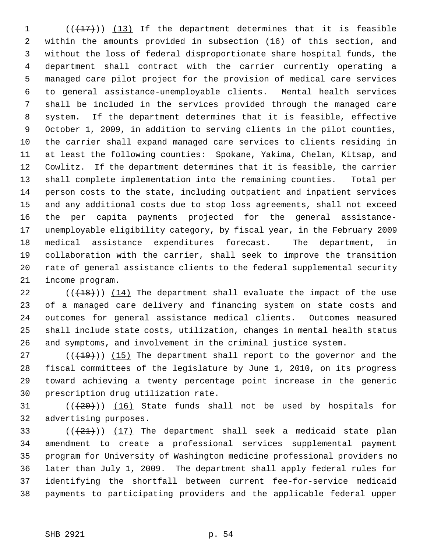1  $((+17))$  (13) If the department determines that it is feasible 2 within the amounts provided in subsection (16) of this section, and 3 without the loss of federal disproportionate share hospital funds, the 4 department shall contract with the carrier currently operating a 5 managed care pilot project for the provision of medical care services 6 to general assistance-unemployable clients. Mental health services 7 shall be included in the services provided through the managed care 8 system. If the department determines that it is feasible, effective 9 October 1, 2009, in addition to serving clients in the pilot counties, 10 the carrier shall expand managed care services to clients residing in 11 at least the following counties: Spokane, Yakima, Chelan, Kitsap, and 12 Cowlitz. If the department determines that it is feasible, the carrier 13 shall complete implementation into the remaining counties. Total per 14 person costs to the state, including outpatient and inpatient services 15 and any additional costs due to stop loss agreements, shall not exceed 16 the per capita payments projected for the general assistance-17 unemployable eligibility category, by fiscal year, in the February 2009 18 medical assistance expenditures forecast. The department, in 19 collaboration with the carrier, shall seek to improve the transition 20 rate of general assistance clients to the federal supplemental security 21 income program.

22  $((+18))$  (14) The department shall evaluate the impact of the use 23 of a managed care delivery and financing system on state costs and 24 outcomes for general assistance medical clients. Outcomes measured 25 shall include state costs, utilization, changes in mental health status 26 and symptoms, and involvement in the criminal justice system.

27  $((+19))$  (15) The department shall report to the governor and the 28 fiscal committees of the legislature by June 1, 2010, on its progress 29 toward achieving a twenty percentage point increase in the generic 30 prescription drug utilization rate.

31  $((+20))$  (16) State funds shall not be used by hospitals for 32 advertising purposes.

33  $((+21))$   $(17)$  The department shall seek a medicaid state plan 34 amendment to create a professional services supplemental payment 35 program for University of Washington medicine professional providers no 36 later than July 1, 2009. The department shall apply federal rules for 37 identifying the shortfall between current fee-for-service medicaid 38 payments to participating providers and the applicable federal upper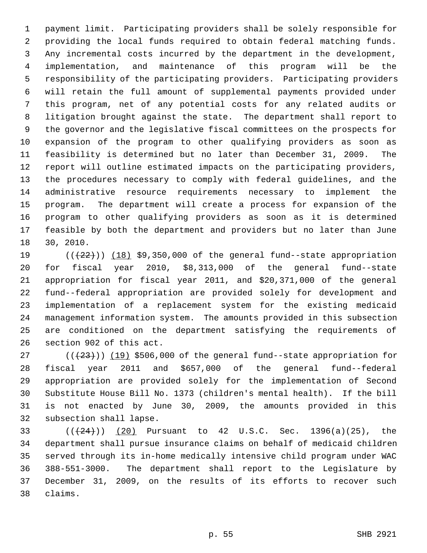1 payment limit. Participating providers shall be solely responsible for 2 providing the local funds required to obtain federal matching funds. 3 Any incremental costs incurred by the department in the development, 4 implementation, and maintenance of this program will be the 5 responsibility of the participating providers. Participating providers 6 will retain the full amount of supplemental payments provided under 7 this program, net of any potential costs for any related audits or 8 litigation brought against the state. The department shall report to 9 the governor and the legislative fiscal committees on the prospects for 10 expansion of the program to other qualifying providers as soon as 11 feasibility is determined but no later than December 31, 2009. The 12 report will outline estimated impacts on the participating providers, 13 the procedures necessary to comply with federal guidelines, and the 14 administrative resource requirements necessary to implement the 15 program. The department will create a process for expansion of the 16 program to other qualifying providers as soon as it is determined 17 feasible by both the department and providers but no later than June 18 30, 2010.

19  $((+22))$   $(18)$  \$9,350,000 of the general fund--state appropriation 20 for fiscal year 2010, \$8,313,000 of the general fund--state 21 appropriation for fiscal year 2011, and \$20,371,000 of the general 22 fund--federal appropriation are provided solely for development and 23 implementation of a replacement system for the existing medicaid 24 management information system. The amounts provided in this subsection 25 are conditioned on the department satisfying the requirements of 26 section 902 of this act.

27  $((+23))$  (19) \$506,000 of the general fund--state appropriation for 28 fiscal year 2011 and \$657,000 of the general fund--federal 29 appropriation are provided solely for the implementation of Second 30 Substitute House Bill No. 1373 (children's mental health). If the bill 31 is not enacted by June 30, 2009, the amounts provided in this 32 subsection shall lapse.

33 ( $((24))$  (20) Pursuant to 42 U.S.C. Sec. 1396(a)(25), the 34 department shall pursue insurance claims on behalf of medicaid children 35 served through its in-home medically intensive child program under WAC 36 388-551-3000. The department shall report to the Legislature by 37 December 31, 2009, on the results of its efforts to recover such 38 claims.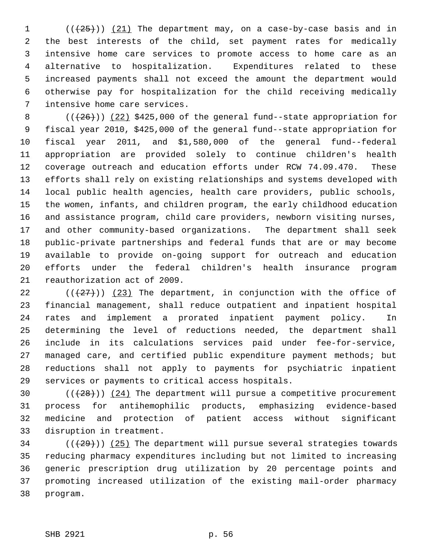$($   $($   $($   $($   $($   $($   $25$   $)$   $)$   $($   $21$   $)$  The department may, on a case-by-case basis and in 2 the best interests of the child, set payment rates for medically 3 intensive home care services to promote access to home care as an 4 alternative to hospitalization. Expenditures related to these 5 increased payments shall not exceed the amount the department would 6 otherwise pay for hospitalization for the child receiving medically 7 intensive home care services.

8  $((+26))$   $(22)$  \$425,000 of the general fund--state appropriation for 9 fiscal year 2010, \$425,000 of the general fund--state appropriation for 10 fiscal year 2011, and \$1,580,000 of the general fund--federal 11 appropriation are provided solely to continue children's health 12 coverage outreach and education efforts under RCW 74.09.470. These 13 efforts shall rely on existing relationships and systems developed with 14 local public health agencies, health care providers, public schools, 15 the women, infants, and children program, the early childhood education 16 and assistance program, child care providers, newborn visiting nurses, 17 and other community-based organizations. The department shall seek 18 public-private partnerships and federal funds that are or may become 19 available to provide on-going support for outreach and education 20 efforts under the federal children's health insurance program 21 reauthorization act of 2009.

22 ( $(27)$ ) (23) The department, in conjunction with the office of 23 financial management, shall reduce outpatient and inpatient hospital 24 rates and implement a prorated inpatient payment policy. In 25 determining the level of reductions needed, the department shall 26 include in its calculations services paid under fee-for-service, 27 managed care, and certified public expenditure payment methods; but 28 reductions shall not apply to payments for psychiatric inpatient 29 services or payments to critical access hospitals.

30  $((+28))$   $(24)$  The department will pursue a competitive procurement 31 process for antihemophilic products, emphasizing evidence-based 32 medicine and protection of patient access without significant 33 disruption in treatment.

 $34$  ( $(\frac{29}{1})$ ) (25) The department will pursue several strategies towards 35 reducing pharmacy expenditures including but not limited to increasing 36 generic prescription drug utilization by 20 percentage points and 37 promoting increased utilization of the existing mail-order pharmacy 38 program.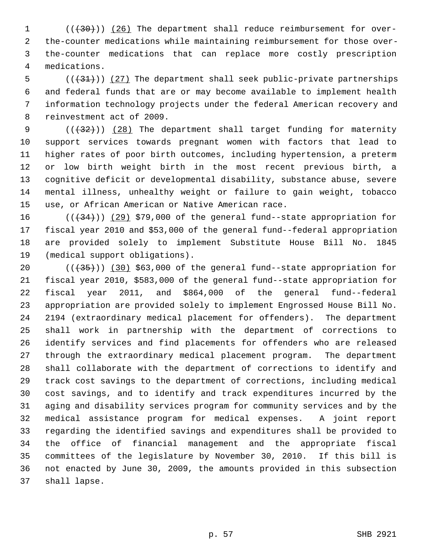1 (( $(30)$ )) (26) The department shall reduce reimbursement for over- 2 the-counter medications while maintaining reimbursement for those over- 3 the-counter medications that can replace more costly prescription 4 medications.

 $5$  (( $(31)$ )) (27) The department shall seek public-private partnerships 6 and federal funds that are or may become available to implement health 7 information technology projects under the federal American recovery and 8 reinvestment act of 2009.

9  $((+32))$  (28) The department shall target funding for maternity 10 support services towards pregnant women with factors that lead to 11 higher rates of poor birth outcomes, including hypertension, a preterm 12 or low birth weight birth in the most recent previous birth, a 13 cognitive deficit or developmental disability, substance abuse, severe 14 mental illness, unhealthy weight or failure to gain weight, tobacco 15 use, or African American or Native American race.

16  $((+34))$   $(29)$  \$79,000 of the general fund--state appropriation for 17 fiscal year 2010 and \$53,000 of the general fund--federal appropriation 18 are provided solely to implement Substitute House Bill No. 1845 19 (medical support obligations).

20  $((+35))$   $(30)$  \$63,000 of the general fund--state appropriation for 21 fiscal year 2010, \$583,000 of the general fund--state appropriation for 22 fiscal year 2011, and \$864,000 of the general fund--federal 23 appropriation are provided solely to implement Engrossed House Bill No. 24 2194 (extraordinary medical placement for offenders). The department 25 shall work in partnership with the department of corrections to 26 identify services and find placements for offenders who are released 27 through the extraordinary medical placement program. The department 28 shall collaborate with the department of corrections to identify and 29 track cost savings to the department of corrections, including medical 30 cost savings, and to identify and track expenditures incurred by the 31 aging and disability services program for community services and by the 32 medical assistance program for medical expenses. A joint report 33 regarding the identified savings and expenditures shall be provided to 34 the office of financial management and the appropriate fiscal 35 committees of the legislature by November 30, 2010. If this bill is 36 not enacted by June 30, 2009, the amounts provided in this subsection 37 shall lapse.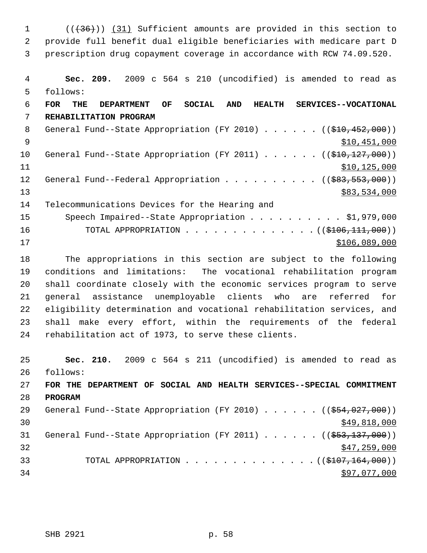1 (( $(36)$ )) (31) Sufficient amounts are provided in this section to 2 provide full benefit dual eligible beneficiaries with medicare part D 3 prescription drug copayment coverage in accordance with RCW 74.09.520. 4 **Sec. 209.** 2009 c 564 s 210 (uncodified) is amended to read as 5 follows: 6 **FOR THE DEPARTMENT OF SOCIAL AND HEALTH SERVICES--VOCATIONAL**

 7 **REHABILITATION PROGRAM** 8 General Fund--State Appropriation (FY 2010) . . . . . . ((\$10,452,000))  $\text{S10,451,000}$ 10 General Fund--State Appropriation (FY 2011) . . . . . . ((\$10,127,000))  $11$  \$10,125,000 12 General Fund--Federal Appropriation . . . . . . . . . ((\$83,553,000)) 13 \$83,534,000 14 Telecommunications Devices for the Hearing and 15 Speech Impaired--State Appropriation . . . . . . . . . \$1,979,000 16 TOTAL APPROPRIATION . . . . . . . . . . . . . . ((\$106,111,000))  $17$  \$106,089,000

18 The appropriations in this section are subject to the following 19 conditions and limitations: The vocational rehabilitation program 20 shall coordinate closely with the economic services program to serve 21 general assistance unemployable clients who are referred for 22 eligibility determination and vocational rehabilitation services, and 23 shall make every effort, within the requirements of the federal 24 rehabilitation act of 1973, to serve these clients.

25 **Sec. 210.** 2009 c 564 s 211 (uncodified) is amended to read as 26 follows: 27 **FOR THE DEPARTMENT OF SOCIAL AND HEALTH SERVICES--SPECIAL COMMITMENT** 28 **PROGRAM** 29 General Fund--State Appropriation (FY 2010) . . . . . ((\$54,027,000))  $\frac{$49,818,000}{$49,818,000}$ 31 General Fund--State Appropriation (FY 2011) . . . . . . ((\$53,137,000))  $\frac{1}{2}$  32  $\frac{1}{2}$  32 33 TOTAL APPROPRIATION . . . . . . . . . . . . . . ((\$107,164,000))  $34$   $397,077,000$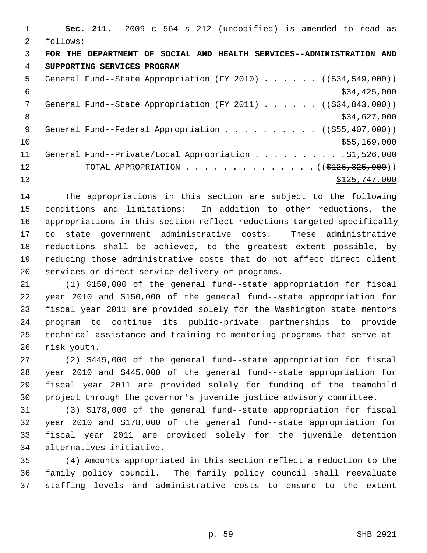|               | Sec. 211. 2009 c 564 s 212 (uncodified) is amended to read as                              |
|---------------|--------------------------------------------------------------------------------------------|
| $\mathcal{L}$ | follows:                                                                                   |
| 3             | FOR THE DEPARTMENT OF SOCIAL AND HEALTH SERVICES--ADMINISTRATION AND                       |
| 4             | SUPPORTING SERVICES PROGRAM                                                                |
| 5             | General Fund--State Appropriation (FY 2010) $($ $($ $\frac{24}{534},$ $\frac{549}{100})$ ) |
| 6             | \$34,425,000                                                                               |
| 7             | General Fund--State Appropriation (FY 2011) $($ $($ $\frac{234}{934}, 843, 000)$ )         |
| 8             | \$34,627,000                                                                               |
| 9             | General Fund--Federal Appropriation ( $(\frac{255}{1000})$ )                               |
| 10            | \$55,169,000                                                                               |
| 11            | General Fund--Private/Local Appropriation \$1,526,000                                      |
| 12            | TOTAL APPROPRIATION ( $(\frac{126}{325}, \frac{325}{900})$ )                               |
| 13            | \$125,747,000                                                                              |

14 The appropriations in this section are subject to the following 15 conditions and limitations: In addition to other reductions, the 16 appropriations in this section reflect reductions targeted specifically 17 to state government administrative costs. These administrative 18 reductions shall be achieved, to the greatest extent possible, by 19 reducing those administrative costs that do not affect direct client 20 services or direct service delivery or programs.

21 (1) \$150,000 of the general fund--state appropriation for fiscal 22 year 2010 and \$150,000 of the general fund--state appropriation for 23 fiscal year 2011 are provided solely for the Washington state mentors 24 program to continue its public-private partnerships to provide 25 technical assistance and training to mentoring programs that serve at-26 risk youth.

27 (2) \$445,000 of the general fund--state appropriation for fiscal 28 year 2010 and \$445,000 of the general fund--state appropriation for 29 fiscal year 2011 are provided solely for funding of the teamchild 30 project through the governor's juvenile justice advisory committee.

31 (3) \$178,000 of the general fund--state appropriation for fiscal 32 year 2010 and \$178,000 of the general fund--state appropriation for 33 fiscal year 2011 are provided solely for the juvenile detention 34 alternatives initiative.

35 (4) Amounts appropriated in this section reflect a reduction to the 36 family policy council. The family policy council shall reevaluate 37 staffing levels and administrative costs to ensure to the extent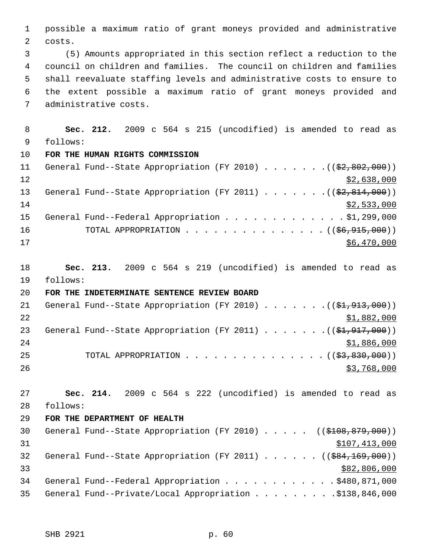1 possible a maximum ratio of grant moneys provided and administrative 2 costs.

 3 (5) Amounts appropriated in this section reflect a reduction to the 4 council on children and families. The council on children and families 5 shall reevaluate staffing levels and administrative costs to ensure to 6 the extent possible a maximum ratio of grant moneys provided and 7 administrative costs.

 8 **Sec. 212.** 2009 c 564 s 215 (uncodified) is amended to read as 9 follows: 10 **FOR THE HUMAN RIGHTS COMMISSION** 11 General Fund--State Appropriation (FY 2010) . . . . . . . ((\$2,802,000))

 $\frac{12}{2}$   $\frac{12}{2}$   $\frac{12}{2}$   $\frac{12}{2}$   $\frac{12}{2}$   $\frac{12}{2}$   $\frac{12}{2}$   $\frac{12}{2}$   $\frac{12}{2}$   $\frac{12}{2}$   $\frac{12}{2}$   $\frac{12}{2}$   $\frac{12}{2}$   $\frac{12}{2}$   $\frac{12}{2}$   $\frac{12}{2}$   $\frac{12}{2}$   $\frac{12}{2}$   $\frac{12}{2}$   $\frac{12}{2}$  13 General Fund--State Appropriation (FY 2011) . . . . . . . ((\$2,814,000))  $14$  \$2,533,000 15 General Fund--Federal Appropriation . . . . . . . . . . . . \$1,299,000 16 TOTAL APPROPRIATION . . . . . . . . . . . . . . ((<del>\$6,915,000</del>))  $17$  \$6,470,000

18 **Sec. 213.** 2009 c 564 s 219 (uncodified) is amended to read as 19 follows:

20 **FOR THE INDETERMINATE SENTENCE REVIEW BOARD**

21 General Fund--State Appropriation (FY 2010)  $\ldots \ldots \ldots$  (( $$1,913,000$ ))  $22$   $51,882,000$ 23 General Fund--State Appropriation (FY 2011)  $\ldots \ldots \ldots$  (( $$1,917,000$ ))  $24$  \$1,886,000 25 TOTAL APPROPRIATION . . . . . . . . . . . . . . ((<del>\$3,830,000</del>)) 26 \$3,768,000

27 **Sec. 214.** 2009 c 564 s 222 (uncodified) is amended to read as 28 follows:

29 **FOR THE DEPARTMENT OF HEALTH**

30 General Fund--State Appropriation (FY 2010) . . . . . ((\$108,879,000))  $31$   $$107,413,000$ 32 General Fund--State Appropriation (FY 2011) . . . . . . ((\$84,169,000))  $\frac{1}{2}$  33  $\frac{1}{2}$  33 34 General Fund--Federal Appropriation . . . . . . . . . . . . \$480,871,000 35 General Fund--Private/Local Appropriation . . . . . . . . . \$138,846,000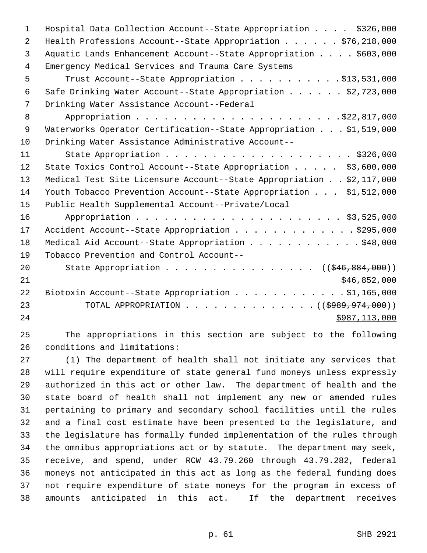| $\mathbf{1}$ | Hospital Data Collection Account--State Appropriation \$326,000                |
|--------------|--------------------------------------------------------------------------------|
| 2            | Health Professions Account--State Appropriation $\ldots \ldots$ , \$76,218,000 |
| 3            | Aquatic Lands Enhancement Account--State Appropriation \$603,000               |
| 4            | Emergency Medical Services and Trauma Care Systems                             |
| 5            | Trust Account--State Appropriation \$13,531,000                                |
| 6            | Safe Drinking Water Account--State Appropriation \$2,723,000                   |
| 7            | Drinking Water Assistance Account--Federal                                     |
| 8            |                                                                                |
| $\mathsf 9$  | Waterworks Operator Certification--State Appropriation \$1,519,000             |
| 10           | Drinking Water Assistance Administrative Account--                             |
| 11           |                                                                                |
| 12           | State Toxics Control Account--State Appropriation \$3,600,000                  |
| 13           | Medical Test Site Licensure Account--State Appropriation \$2,117,000           |
| 14           | Youth Tobacco Prevention Account--State Appropriation \$1,512,000              |
| 15           | Public Health Supplemental Account--Private/Local                              |
| 16           |                                                                                |
| 17           | Accident Account--State Appropriation \$295,000                                |
| 18           | Medical Aid Account--State Appropriation \$48,000                              |
| 19           | Tobacco Prevention and Control Account--                                       |
| 20           | State Appropriation ( $(\frac{246}{846}, \frac{884}{1000})$ )                  |
| 21           | \$46,852,000                                                                   |
| 22           | Biotoxin Account--State Appropriation \$1,165,000                              |
| 23           | TOTAL APPROPRIATION ( $(\frac{19899}{1974000})$ )                              |
| 24           | \$987,113,000                                                                  |
|              |                                                                                |

25 The appropriations in this section are subject to the following 26 conditions and limitations:

27 (1) The department of health shall not initiate any services that 28 will require expenditure of state general fund moneys unless expressly 29 authorized in this act or other law. The department of health and the 30 state board of health shall not implement any new or amended rules 31 pertaining to primary and secondary school facilities until the rules 32 and a final cost estimate have been presented to the legislature, and 33 the legislature has formally funded implementation of the rules through 34 the omnibus appropriations act or by statute. The department may seek, 35 receive, and spend, under RCW 43.79.260 through 43.79.282, federal 36 moneys not anticipated in this act as long as the federal funding does 37 not require expenditure of state moneys for the program in excess of 38 amounts anticipated in this act. If the department receives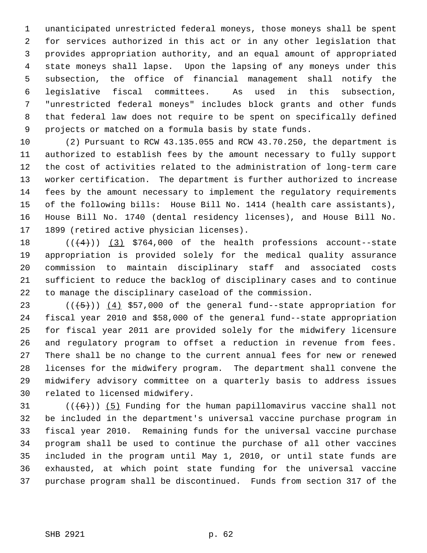1 unanticipated unrestricted federal moneys, those moneys shall be spent 2 for services authorized in this act or in any other legislation that 3 provides appropriation authority, and an equal amount of appropriated 4 state moneys shall lapse. Upon the lapsing of any moneys under this 5 subsection, the office of financial management shall notify the 6 legislative fiscal committees. As used in this subsection, 7 "unrestricted federal moneys" includes block grants and other funds 8 that federal law does not require to be spent on specifically defined 9 projects or matched on a formula basis by state funds.

10 (2) Pursuant to RCW 43.135.055 and RCW 43.70.250, the department is 11 authorized to establish fees by the amount necessary to fully support 12 the cost of activities related to the administration of long-term care 13 worker certification. The department is further authorized to increase 14 fees by the amount necessary to implement the regulatory requirements 15 of the following bills: House Bill No. 1414 (health care assistants), 16 House Bill No. 1740 (dental residency licenses), and House Bill No. 17 1899 (retired active physician licenses).

18  $((4+))$  (3) \$764,000 of the health professions account--state 19 appropriation is provided solely for the medical quality assurance 20 commission to maintain disciplinary staff and associated costs 21 sufficient to reduce the backlog of disciplinary cases and to continue 22 to manage the disciplinary caseload of the commission.

23  $((+5))$   $(4)$  \$57,000 of the general fund--state appropriation for 24 fiscal year 2010 and \$58,000 of the general fund--state appropriation 25 for fiscal year 2011 are provided solely for the midwifery licensure 26 and regulatory program to offset a reduction in revenue from fees. 27 There shall be no change to the current annual fees for new or renewed 28 licenses for the midwifery program. The department shall convene the 29 midwifery advisory committee on a quarterly basis to address issues 30 related to licensed midwifery.

31  $((+6))$  (5) Funding for the human papillomavirus vaccine shall not 32 be included in the department's universal vaccine purchase program in 33 fiscal year 2010. Remaining funds for the universal vaccine purchase 34 program shall be used to continue the purchase of all other vaccines 35 included in the program until May 1, 2010, or until state funds are 36 exhausted, at which point state funding for the universal vaccine 37 purchase program shall be discontinued. Funds from section 317 of the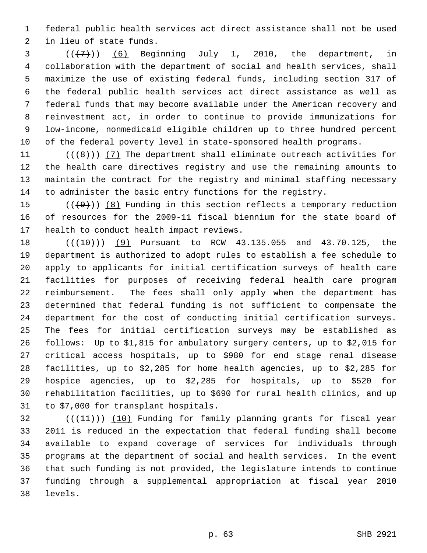1 federal public health services act direct assistance shall not be used 2 in lieu of state funds.

 $3$   $((+7))$   $(6)$  Beginning July 1, 2010, the department, in 4 collaboration with the department of social and health services, shall 5 maximize the use of existing federal funds, including section 317 of 6 the federal public health services act direct assistance as well as 7 federal funds that may become available under the American recovery and 8 reinvestment act, in order to continue to provide immunizations for 9 low-income, nonmedicaid eligible children up to three hundred percent 10 of the federal poverty level in state-sponsored health programs.

11  $((\{8\})$  (7) The department shall eliminate outreach activities for 12 the health care directives registry and use the remaining amounts to 13 maintain the contract for the registry and minimal staffing necessary 14 to administer the basic entry functions for the registry.

15  $((+9))$  (8) Funding in this section reflects a temporary reduction 16 of resources for the 2009-11 fiscal biennium for the state board of 17 health to conduct health impact reviews.

18 (( $(410)$ ) (9) Pursuant to RCW 43.135.055 and 43.70.125, the 19 department is authorized to adopt rules to establish a fee schedule to 20 apply to applicants for initial certification surveys of health care 21 facilities for purposes of receiving federal health care program 22 reimbursement. The fees shall only apply when the department has 23 determined that federal funding is not sufficient to compensate the 24 department for the cost of conducting initial certification surveys. 25 The fees for initial certification surveys may be established as 26 follows: Up to \$1,815 for ambulatory surgery centers, up to \$2,015 for 27 critical access hospitals, up to \$980 for end stage renal disease 28 facilities, up to \$2,285 for home health agencies, up to \$2,285 for 29 hospice agencies, up to \$2,285 for hospitals, up to \$520 for 30 rehabilitation facilities, up to \$690 for rural health clinics, and up 31 to \$7,000 for transplant hospitals.

 $32$  (( $(11)$ )) (10) Funding for family planning grants for fiscal year 33 2011 is reduced in the expectation that federal funding shall become 34 available to expand coverage of services for individuals through 35 programs at the department of social and health services. In the event 36 that such funding is not provided, the legislature intends to continue 37 funding through a supplemental appropriation at fiscal year 2010 38 levels.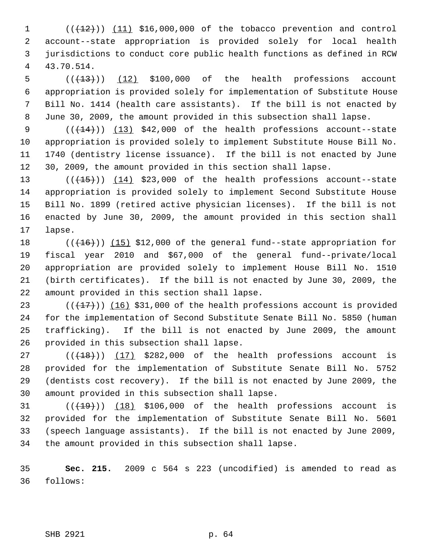$(1$  ( $(12)$ )) (11) \$16,000,000 of the tobacco prevention and control 2 account--state appropriation is provided solely for local health 3 jurisdictions to conduct core public health functions as defined in RCW 4 43.70.514.

 $5$  ( $(\frac{13}{13})$ ) (12) \$100,000 of the health professions account 6 appropriation is provided solely for implementation of Substitute House 7 Bill No. 1414 (health care assistants). If the bill is not enacted by 8 June 30, 2009, the amount provided in this subsection shall lapse.

9  $((+14))$   $(13)$  \$42,000 of the health professions account--state 10 appropriation is provided solely to implement Substitute House Bill No. 11 1740 (dentistry license issuance). If the bill is not enacted by June 12 30, 2009, the amount provided in this section shall lapse.

13  $((+15))$   $(14)$  \$23,000 of the health professions account--state 14 appropriation is provided solely to implement Second Substitute House 15 Bill No. 1899 (retired active physician licenses). If the bill is not 16 enacted by June 30, 2009, the amount provided in this section shall 17 lapse.

18  $((+16))$  (15) \$12,000 of the general fund--state appropriation for 19 fiscal year 2010 and \$67,000 of the general fund--private/local 20 appropriation are provided solely to implement House Bill No. 1510 21 (birth certificates). If the bill is not enacted by June 30, 2009, the 22 amount provided in this section shall lapse.

23  $((+17))$  (16) \$31,000 of the health professions account is provided 24 for the implementation of Second Substitute Senate Bill No. 5850 (human 25 trafficking). If the bill is not enacted by June 2009, the amount 26 provided in this subsection shall lapse.

 $27$  ( $(\overline{+18})$ ) (17) \$282,000 of the health professions account is 28 provided for the implementation of Substitute Senate Bill No. 5752 29 (dentists cost recovery). If the bill is not enacted by June 2009, the 30 amount provided in this subsection shall lapse.

31  $((+19))$  (18) \$106,000 of the health professions account is 32 provided for the implementation of Substitute Senate Bill No. 5601 33 (speech language assistants). If the bill is not enacted by June 2009, 34 the amount provided in this subsection shall lapse.

35 **Sec. 215.** 2009 c 564 s 223 (uncodified) is amended to read as 36 follows: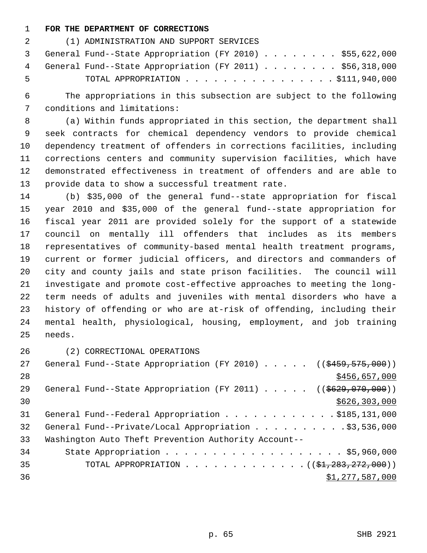## 1 **FOR THE DEPARTMENT OF CORRECTIONS**

|       | (1) ADMINISTRATION AND SUPPORT SERVICES                    |
|-------|------------------------------------------------------------|
|       | 3 General Fund--State Appropriation (FY 2010) \$55,622,000 |
|       | 4 General Fund--State Appropriation (FY 2011) \$56,318,000 |
| - 5 - | TOTAL APPROPRIATION $\ldots$ , \$111,940,000               |

 6 The appropriations in this subsection are subject to the following 7 conditions and limitations:

 8 (a) Within funds appropriated in this section, the department shall 9 seek contracts for chemical dependency vendors to provide chemical 10 dependency treatment of offenders in corrections facilities, including 11 corrections centers and community supervision facilities, which have 12 demonstrated effectiveness in treatment of offenders and are able to 13 provide data to show a successful treatment rate.

14 (b) \$35,000 of the general fund--state appropriation for fiscal 15 year 2010 and \$35,000 of the general fund--state appropriation for 16 fiscal year 2011 are provided solely for the support of a statewide 17 council on mentally ill offenders that includes as its members 18 representatives of community-based mental health treatment programs, 19 current or former judicial officers, and directors and commanders of 20 city and county jails and state prison facilities. The council will 21 investigate and promote cost-effective approaches to meeting the long-22 term needs of adults and juveniles with mental disorders who have a 23 history of offending or who are at-risk of offending, including their 24 mental health, physiological, housing, employment, and job training 25 needs.

26 (2) CORRECTIONAL OPERATIONS

| 27 | General Fund--State Appropriation (FY 2010) ( $(\frac{2459}{575},000)$ ) |
|----|--------------------------------------------------------------------------|
| 28 | \$456,657,000                                                            |
| 29 | General Fund--State Appropriation (FY 2011) $($ $($ $\frac{2011}{1000})$ |
| 30 | \$626, 303, 000                                                          |
| 31 | General Fund--Federal Appropriation \$185,131,000                        |
| 32 | General Fund--Private/Local Appropriation \$3,536,000                    |
| 33 | Washington Auto Theft Prevention Authority Account--                     |
| 34 |                                                                          |
| 35 | TOTAL APPROPRIATION $(31,283,272,000)$                                   |
| 36 | \$1,277,587,000                                                          |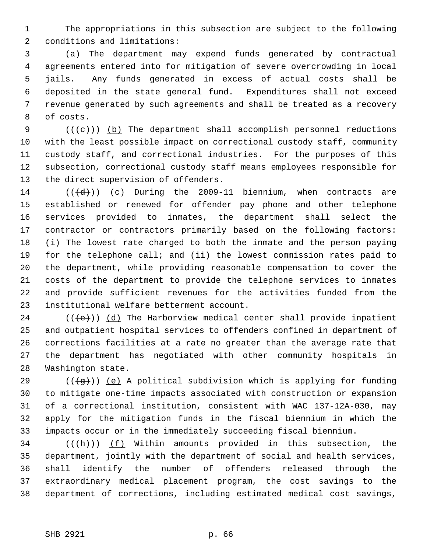1 The appropriations in this subsection are subject to the following 2 conditions and limitations:

 3 (a) The department may expend funds generated by contractual 4 agreements entered into for mitigation of severe overcrowding in local 5 jails. Any funds generated in excess of actual costs shall be 6 deposited in the state general fund. Expenditures shall not exceed 7 revenue generated by such agreements and shall be treated as a recovery 8 of costs.

9  $((\{e\})$  (b) The department shall accomplish personnel reductions 10 with the least possible impact on correctional custody staff, community 11 custody staff, and correctional industries. For the purposes of this 12 subsection, correctional custody staff means employees responsible for 13 the direct supervision of offenders.

14  $((\overline{d}))$  (c) During the 2009-11 biennium, when contracts are 15 established or renewed for offender pay phone and other telephone 16 services provided to inmates, the department shall select the 17 contractor or contractors primarily based on the following factors: 18 (i) The lowest rate charged to both the inmate and the person paying 19 for the telephone call; and (ii) the lowest commission rates paid to 20 the department, while providing reasonable compensation to cover the 21 costs of the department to provide the telephone services to inmates 22 and provide sufficient revenues for the activities funded from the 23 institutional welfare betterment account.

24 ( $(\langle e \rangle)$ ) (d) The Harborview medical center shall provide inpatient 25 and outpatient hospital services to offenders confined in department of 26 corrections facilities at a rate no greater than the average rate that 27 the department has negotiated with other community hospitals in 28 Washington state.

29 ( $(\overline{a})$ ) (e) A political subdivision which is applying for funding 30 to mitigate one-time impacts associated with construction or expansion 31 of a correctional institution, consistent with WAC 137-12A-030, may 32 apply for the mitigation funds in the fiscal biennium in which the 33 impacts occur or in the immediately succeeding fiscal biennium.

 $34$  (( $\frac{h}{h}$ )) (f) Within amounts provided in this subsection, the 35 department, jointly with the department of social and health services, 36 shall identify the number of offenders released through the 37 extraordinary medical placement program, the cost savings to the 38 department of corrections, including estimated medical cost savings,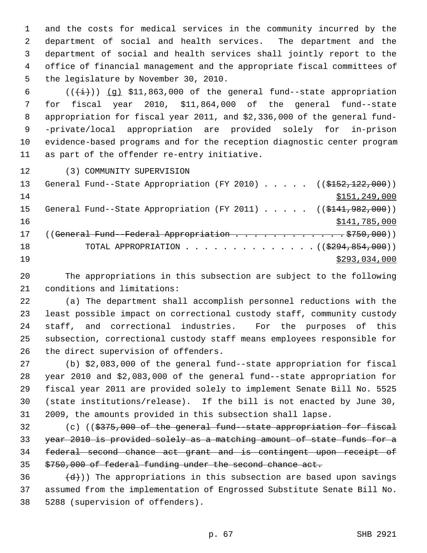1 and the costs for medical services in the community incurred by the 2 department of social and health services. The department and the 3 department of social and health services shall jointly report to the 4 office of financial management and the appropriate fiscal committees of 5 the legislature by November 30, 2010.

6  $((\overleftrightarrow{t}))$  (q) \$11,863,000 of the general fund--state appropriation 7 for fiscal year 2010, \$11,864,000 of the general fund--state 8 appropriation for fiscal year 2011, and \$2,336,000 of the general fund- 9 -private/local appropriation are provided solely for in-prison 10 evidence-based programs and for the reception diagnostic center program 11 as part of the offender re-entry initiative.

12 (3) COMMUNITY SUPERVISION

| 13 | General Fund--State Appropriation (FY 2010) $($ $($ \$152,122,000))     |
|----|-------------------------------------------------------------------------|
| 14 | \$151, 249, 000                                                         |
| 15 | General Fund--State Appropriation (FY 2011) $($ $($ $$141, 982, 000)$ ) |
| 16 | \$141,785,000                                                           |
| 17 | ((General Fund--Federal Appropriation 9750,000))                        |
| 18 | TOTAL APPROPRIATION $\ldots$ , ( $(\frac{2994,854,000}{$ )              |
| 19 | \$293,034,000                                                           |

20 The appropriations in this subsection are subject to the following 21 conditions and limitations:

22 (a) The department shall accomplish personnel reductions with the 23 least possible impact on correctional custody staff, community custody 24 staff, and correctional industries. For the purposes of this 25 subsection, correctional custody staff means employees responsible for 26 the direct supervision of offenders.

27 (b) \$2,083,000 of the general fund--state appropriation for fiscal 28 year 2010 and \$2,083,000 of the general fund--state appropriation for 29 fiscal year 2011 are provided solely to implement Senate Bill No. 5525 30 (state institutions/release). If the bill is not enacted by June 30, 31 2009, the amounts provided in this subsection shall lapse.

32 (c) ((\$375,000 of the general fund--state appropriation for fiscal year 2010 is provided solely as a matching amount of state funds for a federal second chance act grant and is contingent upon receipt of \$750,000 of federal funding under the second chance act.

 $(36 - (d))$  The appropriations in this subsection are based upon savings 37 assumed from the implementation of Engrossed Substitute Senate Bill No. 38 5288 (supervision of offenders).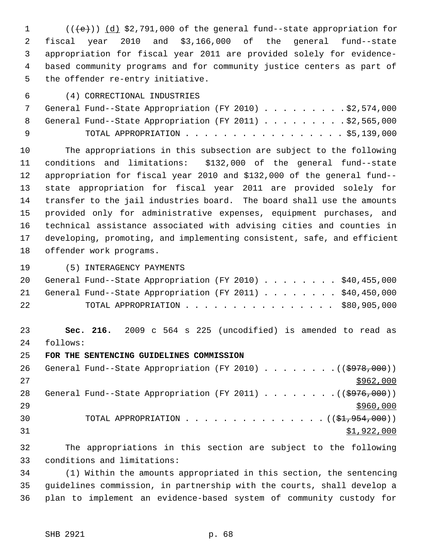1  $((\{e\})$  (d) \$2,791,000 of the general fund--state appropriation for 2 fiscal year 2010 and \$3,166,000 of the general fund--state 3 appropriation for fiscal year 2011 are provided solely for evidence- 4 based community programs and for community justice centers as part of 5 the offender re-entry initiative.

## 6 (4) CORRECTIONAL INDUSTRIES

|          |  | General Fund--State Appropriation (FY 2010) \$2,574,000   |  |  |  |  |  |  |
|----------|--|-----------------------------------------------------------|--|--|--|--|--|--|
|          |  | 8 General Fund--State Appropriation (FY 2011) \$2,565,000 |  |  |  |  |  |  |
| <b>Q</b> |  | TOTAL APPROPRIATION $\ldots$ , \$5,139,000                |  |  |  |  |  |  |

10 The appropriations in this subsection are subject to the following 11 conditions and limitations: \$132,000 of the general fund--state 12 appropriation for fiscal year 2010 and \$132,000 of the general fund-- 13 state appropriation for fiscal year 2011 are provided solely for 14 transfer to the jail industries board. The board shall use the amounts 15 provided only for administrative expenses, equipment purchases, and 16 technical assistance associated with advising cities and counties in 17 developing, promoting, and implementing consistent, safe, and efficient 18 offender work programs.

19 (5) INTERAGENCY PAYMENTS

|    | 20 General Fund--State Appropriation (FY 2010) \$40,455,000 |  |
|----|-------------------------------------------------------------|--|
|    | 21 General Fund--State Appropriation (FY 2011) \$40,450,000 |  |
| 22 | TOTAL APPROPRIATION $\ldots$ , \$80,905,000                 |  |

23 **Sec. 216.** 2009 c 564 s 225 (uncodified) is amended to read as 24 follows:

25 **FOR THE SENTENCING GUIDELINES COMMISSION**

26 General Fund--State Appropriation (FY 2010) . . . . . . . . ((\$978,000))  $27$ 28 General Fund--State Appropriation (FY 2011)  $\ldots$  ...... ((\$976,000))  $29$ 30 TOTAL APPROPRIATION . . . . . . . . . . . . . . . (  $(\frac{21}{27}, 954, 000)$  )  $31$   $$1,922,000$ 

32 The appropriations in this section are subject to the following 33 conditions and limitations:

34 (1) Within the amounts appropriated in this section, the sentencing 35 guidelines commission, in partnership with the courts, shall develop a 36 plan to implement an evidence-based system of community custody for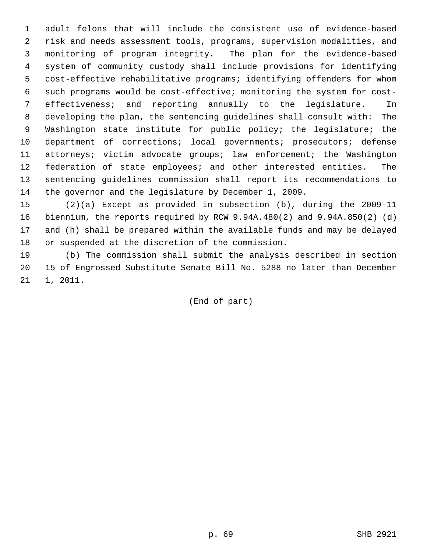1 adult felons that will include the consistent use of evidence-based 2 risk and needs assessment tools, programs, supervision modalities, and 3 monitoring of program integrity. The plan for the evidence-based 4 system of community custody shall include provisions for identifying 5 cost-effective rehabilitative programs; identifying offenders for whom 6 such programs would be cost-effective; monitoring the system for cost- 7 effectiveness; and reporting annually to the legislature. In 8 developing the plan, the sentencing guidelines shall consult with: The 9 Washington state institute for public policy; the legislature; the 10 department of corrections; local governments; prosecutors; defense 11 attorneys; victim advocate groups; law enforcement; the Washington 12 federation of state employees; and other interested entities. The 13 sentencing guidelines commission shall report its recommendations to 14 the governor and the legislature by December 1, 2009.

15 (2)(a) Except as provided in subsection (b), during the 2009-11 16 biennium, the reports required by RCW 9.94A.480(2) and 9.94A.850(2) (d) 17 and (h) shall be prepared within the available funds and may be delayed 18 or suspended at the discretion of the commission.

19 (b) The commission shall submit the analysis described in section 20 15 of Engrossed Substitute Senate Bill No. 5288 no later than December 21 1, 2011.

(End of part)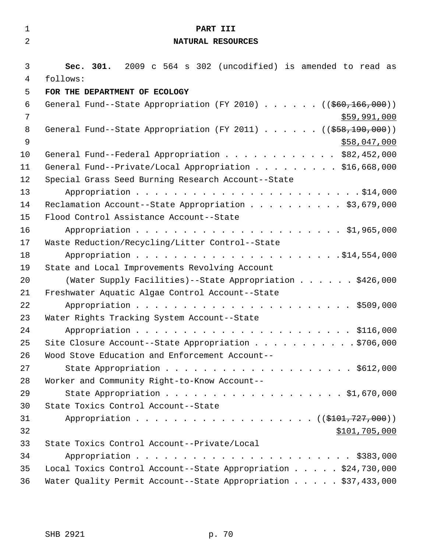| $\mathbf 1$         | PART III                                                                                             |
|---------------------|------------------------------------------------------------------------------------------------------|
| $\overline{2}$      | NATURAL RESOURCES                                                                                    |
| 3<br>$\overline{4}$ | Sec. 301. 2009 c 564 s 302 (uncodified) is amended to read as<br>follows:                            |
| 5                   | FOR THE DEPARTMENT OF ECOLOGY                                                                        |
| 6<br>7              | General Fund--State Appropriation (FY 2010) ( $(\frac{260}{166}, \frac{166}{160})$ )<br>\$59,991,000 |
| $\,8\,$<br>9        | General Fund--State Appropriation (FY 2011) ( $(\frac{258}{190},000)$ )<br>\$58,047,000              |
| 10                  | General Fund--Federal Appropriation \$82,452,000                                                     |
| 11                  | General Fund--Private/Local Appropriation \$16,668,000                                               |
| 12                  | Special Grass Seed Burning Research Account--State                                                   |
| 13                  |                                                                                                      |
| 14                  | Reclamation Account--State Appropriation \$3,679,000                                                 |
| 15                  | Flood Control Assistance Account--State                                                              |
| 16                  |                                                                                                      |
| 17                  | Waste Reduction/Recycling/Litter Control--State                                                      |
| 18                  |                                                                                                      |
| 19                  | State and Local Improvements Revolving Account                                                       |
| 20                  | (Water Supply Facilities)--State Appropriation \$426,000                                             |
| 21                  | Freshwater Aquatic Algae Control Account--State                                                      |
| 22                  |                                                                                                      |
| 23                  | Water Rights Tracking System Account--State                                                          |
| 24                  |                                                                                                      |
| 25                  | Site Closure Account--State Appropriation \$706,000                                                  |
| 26                  | Wood Stove Education and Enforcement Account--                                                       |
| 27                  |                                                                                                      |
| 28                  | Worker and Community Right-to-Know Account--                                                         |
| 29                  |                                                                                                      |
| 30<br>31            | State Toxics Control Account--State<br>Appropriation ( (\$101,727,000) )                             |
| 32                  |                                                                                                      |
| 33                  | \$101,705,000<br>State Toxics Control Account--Private/Local                                         |
| 34                  |                                                                                                      |
| 35                  | Local Toxics Control Account--State Appropriation \$24,730,000                                       |
| 36                  | Water Quality Permit Account--State Appropriation \$37,433,000                                       |
|                     |                                                                                                      |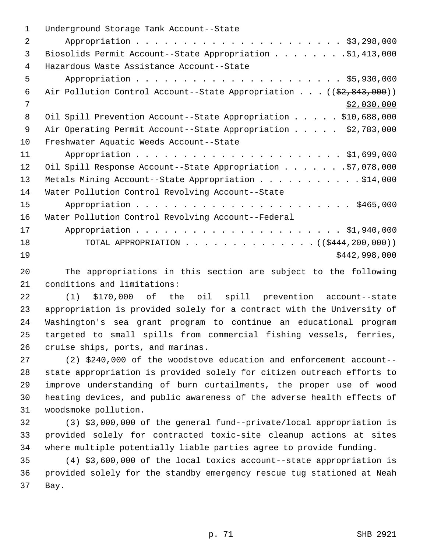| $\mathbf 1$    | Underground Storage Tank Account--State                                          |
|----------------|----------------------------------------------------------------------------------|
| $\overline{a}$ |                                                                                  |
| 3              | Biosolids Permit Account--State Appropriation \$1,413,000                        |
| 4              | Hazardous Waste Assistance Account--State                                        |
| 5              |                                                                                  |
| 6              | Air Pollution Control Account--State Appropriation ( $(\frac{2}{2}, 843, 000)$ ) |
| 7              | \$2,030,000                                                                      |
| 8              | Oil Spill Prevention Account--State Appropriation \$10,688,000                   |
| 9              | Air Operating Permit Account--State Appropriation \$2,783,000                    |
| 10             | Freshwater Aquatic Weeds Account--State                                          |
| 11             |                                                                                  |
| 12             | Oil Spill Response Account--State Appropriation \$7,078,000                      |
| 13             | Metals Mining Account--State Appropriation \$14,000                              |
| 14             | Water Pollution Control Revolving Account--State                                 |
| 15             |                                                                                  |
| 16             | Water Pollution Control Revolving Account--Federal                               |
| 17             |                                                                                  |
| 18             | TOTAL APPROPRIATION ( $(\frac{12444}{200},000)$ )                                |
| 19             | \$442,998,000                                                                    |
|                |                                                                                  |

20 The appropriations in this section are subject to the following 21 conditions and limitations:

22 (1) \$170,000 of the oil spill prevention account--state 23 appropriation is provided solely for a contract with the University of 24 Washington's sea grant program to continue an educational program 25 targeted to small spills from commercial fishing vessels, ferries, 26 cruise ships, ports, and marinas.

27 (2) \$240,000 of the woodstove education and enforcement account-- 28 state appropriation is provided solely for citizen outreach efforts to 29 improve understanding of burn curtailments, the proper use of wood 30 heating devices, and public awareness of the adverse health effects of 31 woodsmoke pollution.

32 (3) \$3,000,000 of the general fund--private/local appropriation is 33 provided solely for contracted toxic-site cleanup actions at sites 34 where multiple potentially liable parties agree to provide funding.

35 (4) \$3,600,000 of the local toxics account--state appropriation is 36 provided solely for the standby emergency rescue tug stationed at Neah 37 Bay.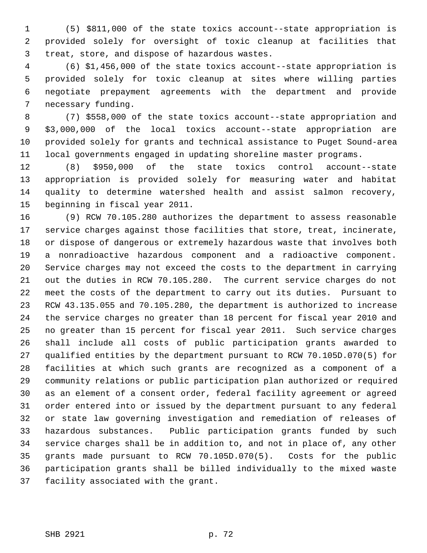1 (5) \$811,000 of the state toxics account--state appropriation is 2 provided solely for oversight of toxic cleanup at facilities that 3 treat, store, and dispose of hazardous wastes.

 4 (6) \$1,456,000 of the state toxics account--state appropriation is 5 provided solely for toxic cleanup at sites where willing parties 6 negotiate prepayment agreements with the department and provide 7 necessary funding.

 8 (7) \$558,000 of the state toxics account--state appropriation and 9 \$3,000,000 of the local toxics account--state appropriation are 10 provided solely for grants and technical assistance to Puget Sound-area 11 local governments engaged in updating shoreline master programs.

12 (8) \$950,000 of the state toxics control account--state 13 appropriation is provided solely for measuring water and habitat 14 quality to determine watershed health and assist salmon recovery, 15 beginning in fiscal year 2011.

16 (9) RCW 70.105.280 authorizes the department to assess reasonable 17 service charges against those facilities that store, treat, incinerate, 18 or dispose of dangerous or extremely hazardous waste that involves both 19 a nonradioactive hazardous component and a radioactive component. 20 Service charges may not exceed the costs to the department in carrying 21 out the duties in RCW 70.105.280. The current service charges do not 22 meet the costs of the department to carry out its duties. Pursuant to 23 RCW 43.135.055 and 70.105.280, the department is authorized to increase 24 the service charges no greater than 18 percent for fiscal year 2010 and 25 no greater than 15 percent for fiscal year 2011. Such service charges 26 shall include all costs of public participation grants awarded to 27 qualified entities by the department pursuant to RCW 70.105D.070(5) for 28 facilities at which such grants are recognized as a component of a 29 community relations or public participation plan authorized or required 30 as an element of a consent order, federal facility agreement or agreed 31 order entered into or issued by the department pursuant to any federal 32 or state law governing investigation and remediation of releases of 33 hazardous substances. Public participation grants funded by such 34 service charges shall be in addition to, and not in place of, any other 35 grants made pursuant to RCW 70.105D.070(5). Costs for the public 36 participation grants shall be billed individually to the mixed waste 37 facility associated with the grant.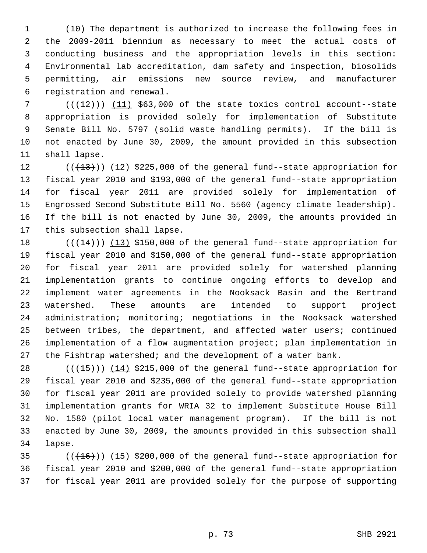1 (10) The department is authorized to increase the following fees in 2 the 2009-2011 biennium as necessary to meet the actual costs of 3 conducting business and the appropriation levels in this section: 4 Environmental lab accreditation, dam safety and inspection, biosolids 5 permitting, air emissions new source review, and manufacturer 6 registration and renewal.

 $7$  ( $(\frac{12}{12})$ ) (11) \$63,000 of the state toxics control account--state 8 appropriation is provided solely for implementation of Substitute 9 Senate Bill No. 5797 (solid waste handling permits). If the bill is 10 not enacted by June 30, 2009, the amount provided in this subsection 11 shall lapse.

12  $((+13))$   $(12)$  \$225,000 of the general fund--state appropriation for 13 fiscal year 2010 and \$193,000 of the general fund--state appropriation 14 for fiscal year 2011 are provided solely for implementation of 15 Engrossed Second Substitute Bill No. 5560 (agency climate leadership). 16 If the bill is not enacted by June 30, 2009, the amounts provided in 17 this subsection shall lapse.

18  $((+14))$  (13) \$150,000 of the general fund--state appropriation for 19 fiscal year 2010 and \$150,000 of the general fund--state appropriation 20 for fiscal year 2011 are provided solely for watershed planning 21 implementation grants to continue ongoing efforts to develop and 22 implement water agreements in the Nooksack Basin and the Bertrand 23 watershed. These amounts are intended to support project 24 administration; monitoring; negotiations in the Nooksack watershed 25 between tribes, the department, and affected water users; continued 26 implementation of a flow augmentation project; plan implementation in 27 the Fishtrap watershed; and the development of a water bank.

28  $((+15))$   $(14)$  \$215,000 of the general fund--state appropriation for 29 fiscal year 2010 and \$235,000 of the general fund--state appropriation 30 for fiscal year 2011 are provided solely to provide watershed planning 31 implementation grants for WRIA 32 to implement Substitute House Bill 32 No. 1580 (pilot local water management program). If the bill is not 33 enacted by June 30, 2009, the amounts provided in this subsection shall 34 lapse.

 $(16)(16)$  (( $16$ ))) (15) \$200,000 of the general fund--state appropriation for 36 fiscal year 2010 and \$200,000 of the general fund--state appropriation 37 for fiscal year 2011 are provided solely for the purpose of supporting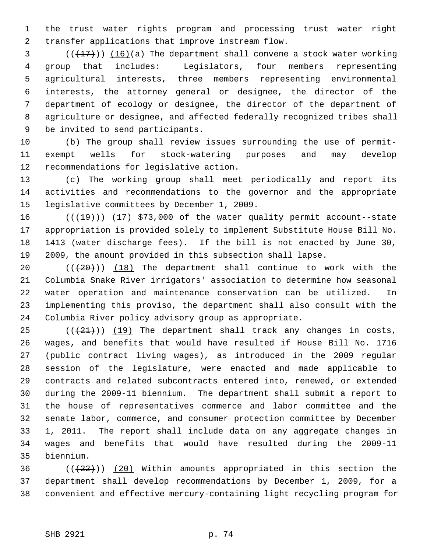1 the trust water rights program and processing trust water right 2 transfer applications that improve instream flow.

 $(1,17)$  (16)(a) The department shall convene a stock water working 4 group that includes: Legislators, four members representing 5 agricultural interests, three members representing environmental 6 interests, the attorney general or designee, the director of the 7 department of ecology or designee, the director of the department of 8 agriculture or designee, and affected federally recognized tribes shall 9 be invited to send participants.

10 (b) The group shall review issues surrounding the use of permit-11 exempt wells for stock-watering purposes and may develop 12 recommendations for legislative action.

13 (c) The working group shall meet periodically and report its 14 activities and recommendations to the governor and the appropriate 15 legislative committees by December 1, 2009.

16  $((+19))$   $(17)$  \$73,000 of the water quality permit account--state 17 appropriation is provided solely to implement Substitute House Bill No. 18 1413 (water discharge fees). If the bill is not enacted by June 30, 19 2009, the amount provided in this subsection shall lapse.

20  $((+20))$  (18) The department shall continue to work with the 21 Columbia Snake River irrigators' association to determine how seasonal 22 water operation and maintenance conservation can be utilized. In 23 implementing this proviso, the department shall also consult with the 24 Columbia River policy advisory group as appropriate.

 $(1)(21)$  (( $(21)$ ) (19) The department shall track any changes in costs, 26 wages, and benefits that would have resulted if House Bill No. 1716 27 (public contract living wages), as introduced in the 2009 regular 28 session of the legislature, were enacted and made applicable to 29 contracts and related subcontracts entered into, renewed, or extended 30 during the 2009-11 biennium. The department shall submit a report to 31 the house of representatives commerce and labor committee and the 32 senate labor, commerce, and consumer protection committee by December 33 1, 2011. The report shall include data on any aggregate changes in 34 wages and benefits that would have resulted during the 2009-11 35 biennium.

36  $((+22))$  (20) Within amounts appropriated in this section the 37 department shall develop recommendations by December 1, 2009, for a 38 convenient and effective mercury-containing light recycling program for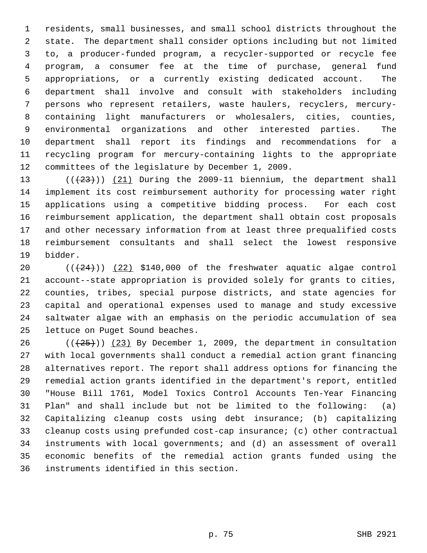1 residents, small businesses, and small school districts throughout the 2 state. The department shall consider options including but not limited 3 to, a producer-funded program, a recycler-supported or recycle fee 4 program, a consumer fee at the time of purchase, general fund 5 appropriations, or a currently existing dedicated account. The 6 department shall involve and consult with stakeholders including 7 persons who represent retailers, waste haulers, recyclers, mercury- 8 containing light manufacturers or wholesalers, cities, counties, 9 environmental organizations and other interested parties. The 10 department shall report its findings and recommendations for a 11 recycling program for mercury-containing lights to the appropriate 12 committees of the legislature by December 1, 2009.

13  $((+23))$   $(21)$  During the 2009-11 biennium, the department shall 14 implement its cost reimbursement authority for processing water right 15 applications using a competitive bidding process. For each cost 16 reimbursement application, the department shall obtain cost proposals 17 and other necessary information from at least three prequalified costs 18 reimbursement consultants and shall select the lowest responsive 19 bidder.

20  $((+24))$   $(22)$  \$140,000 of the freshwater aquatic algae control 21 account--state appropriation is provided solely for grants to cities, 22 counties, tribes, special purpose districts, and state agencies for 23 capital and operational expenses used to manage and study excessive 24 saltwater algae with an emphasis on the periodic accumulation of sea 25 lettuce on Puget Sound beaches.

26 ( $(\frac{25}{1})$ ) (23) By December 1, 2009, the department in consultation 27 with local governments shall conduct a remedial action grant financing 28 alternatives report. The report shall address options for financing the 29 remedial action grants identified in the department's report, entitled 30 "House Bill 1761, Model Toxics Control Accounts Ten-Year Financing 31 Plan" and shall include but not be limited to the following: (a) 32 Capitalizing cleanup costs using debt insurance; (b) capitalizing 33 cleanup costs using prefunded cost-cap insurance; (c) other contractual 34 instruments with local governments; and (d) an assessment of overall 35 economic benefits of the remedial action grants funded using the 36 instruments identified in this section.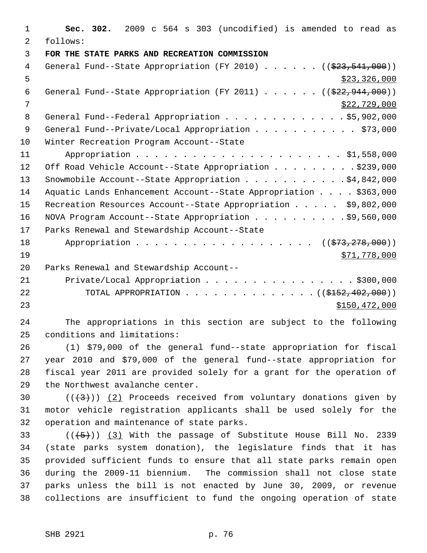| $\mathbf{1}$   | Sec. 302. 2009 c 564 s 303 (uncodified) is amended to read as                  |
|----------------|--------------------------------------------------------------------------------|
| $\mathcal{L}$  | follows:                                                                       |
| 3              | FOR THE STATE PARKS AND RECREATION COMMISSION                                  |
| 4              | General Fund--State Appropriation (FY 2010) ( $(\frac{23}{7} - 541,000)$ )     |
| 5              | \$23,326,000                                                                   |
| 6              | General Fund--State Appropriation (FY 2011) $($ $($ $\frac{222.944.000}{000})$ |
| $\overline{7}$ | \$22,729,000                                                                   |
| 8              | General Fund--Federal Appropriation \$5,902,000                                |
| 9              | General Fund--Private/Local Appropriation \$73,000                             |
| 10             | Winter Recreation Program Account--State                                       |
| 11             |                                                                                |
| 12             | Off Road Vehicle Account--State Appropriation \$239,000                        |
| 13             | Snowmobile Account--State Appropriation $\ldots$ \$4,842,000                   |
| 14             | Aquatic Lands Enhancement Account--State Appropriation \$363,000               |
| 15             | Recreation Resources Account--State Appropriation \$9,802,000                  |
| 16             | NOVA Program Account--State Appropriation \$9,560,000                          |
| 17             | Parks Renewal and Stewardship Account--State                                   |
| 18             | Appropriation ( $(\frac{273}{73}, \frac{278}{900})$ )                          |
| 19             | \$71,778,000                                                                   |
| 20             | Parks Renewal and Stewardship Account--                                        |
| 21             | Private/Local Appropriation \$300,000                                          |
| 22             | TOTAL APPROPRIATION ( $(\frac{15152}{102100})$ )                               |
| 23             | \$150,472,000                                                                  |
|                |                                                                                |

24 The appropriations in this section are subject to the following 25 conditions and limitations:

26 (1) \$79,000 of the general fund--state appropriation for fiscal 27 year 2010 and \$79,000 of the general fund--state appropriation for 28 fiscal year 2011 are provided solely for a grant for the operation of 29 the Northwest avalanche center.

30  $((+3))$   $(2)$  Proceeds received from voluntary donations given by 31 motor vehicle registration applicants shall be used solely for the 32 operation and maintenance of state parks.

33  $((\overline{5}))(3)$  With the passage of Substitute House Bill No. 2339 34 (state parks system donation), the legislature finds that it has 35 provided sufficient funds to ensure that all state parks remain open 36 during the 2009-11 biennium. The commission shall not close state 37 parks unless the bill is not enacted by June 30, 2009, or revenue 38 collections are insufficient to fund the ongoing operation of state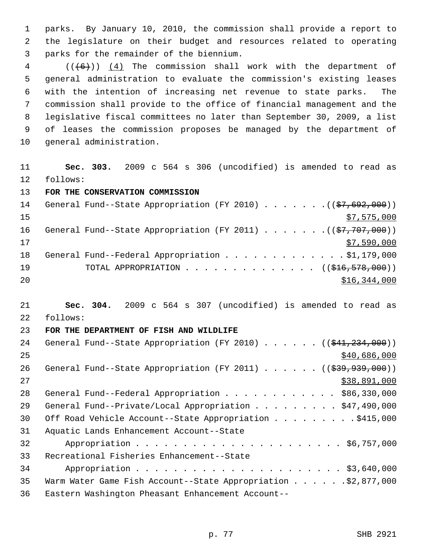1 parks. By January 10, 2010, the commission shall provide a report to 2 the legislature on their budget and resources related to operating 3 parks for the remainder of the biennium.

 $4$  (( $(6+)$ ) (4) The commission shall work with the department of 5 general administration to evaluate the commission's existing leases 6 with the intention of increasing net revenue to state parks. The 7 commission shall provide to the office of financial management and the 8 legislative fiscal committees no later than September 30, 2009, a list 9 of leases the commission proposes be managed by the department of 10 general administration.

11 **Sec. 303.** 2009 c 564 s 306 (uncodified) is amended to read as 12 follows:

13 **FOR THE CONSERVATION COMMISSION**

| 14 | General Fund--State Appropriation (FY 2010) ( $(\frac{27}{57}, 692, 000)$ )            |
|----|----------------------------------------------------------------------------------------|
| 15 | \$7,575,000                                                                            |
| 16 | General Fund--State Appropriation (FY 2011) $($ $($ $\frac{27}{77}$ , $707$ , $000)$ ) |
| 17 | \$7,590,000                                                                            |
| 18 | General Fund--Federal Appropriation \$1,179,000                                        |
| 19 | TOTAL APPROPRIATION $\ldots$ , ( $(\frac{1}{216}, \frac{578}{100})$ )                  |
| 20 | \$16,344,000                                                                           |

21 **Sec. 304.** 2009 c 564 s 307 (uncodified) is amended to read as 22 follows:

## 23 **FOR THE DEPARTMENT OF FISH AND WILDLIFE**

| 24 | General Fund--State Appropriation (FY 2010) $($ $($ $\frac{234}{7234}, 000)$ ) |
|----|--------------------------------------------------------------------------------|
| 25 | \$40,686,000                                                                   |
| 26 | General Fund--State Appropriation (FY 2011) $($ $($ $\frac{293}{793})$         |
| 27 | \$38,891,000                                                                   |
| 28 | General Fund--Federal Appropriation \$86,330,000                               |
| 29 | General Fund--Private/Local Appropriation \$47,490,000                         |
| 30 | Off Road Vehicle Account--State Appropriation \$415,000                        |
| 31 | Aquatic Lands Enhancement Account--State                                       |
| 32 |                                                                                |
| 33 | Recreational Fisheries Enhancement--State                                      |
| 34 |                                                                                |
| 35 | Warm Water Game Fish Account--State Appropriation \$2,877,000                  |
| 36 | Eastern Washington Pheasant Enhancement Account--                              |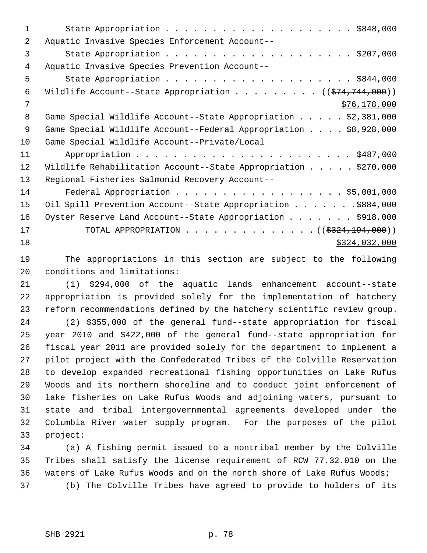| 1  |                                                                               |
|----|-------------------------------------------------------------------------------|
| 2  | Aquatic Invasive Species Enforcement Account--                                |
| 3  |                                                                               |
| 4  | Aquatic Invasive Species Prevention Account--                                 |
| 5  |                                                                               |
| 6  | Wildlife Account--State Appropriation ( $(\frac{274}{74}, \frac{744}{000})$ ) |
| 7  | \$76, 178, 000                                                                |
| 8  | Game Special Wildlife Account--State Appropriation \$2,381,000                |
| 9  | Game Special Wildlife Account--Federal Appropriation \$8,928,000              |
| 10 | Game Special Wildlife Account--Private/Local                                  |
| 11 |                                                                               |
| 12 | Wildlife Rehabilitation Account--State Appropriation $\ldots$ \$270,000       |
| 13 | Regional Fisheries Salmonid Recovery Account--                                |
| 14 | Federal Appropriation \$5,001,000                                             |
| 15 | Oil Spill Prevention Account--State Appropriation \$884,000                   |
| 16 | Oyster Reserve Land Account--State Appropriation \$918,000                    |
| 17 | TOTAL APPROPRIATION ( $(\frac{2324,194,000}{$ )                               |
| 18 | \$324,032,000                                                                 |

19 The appropriations in this section are subject to the following 20 conditions and limitations:

21 (1) \$294,000 of the aquatic lands enhancement account--state 22 appropriation is provided solely for the implementation of hatchery 23 reform recommendations defined by the hatchery scientific review group.

24 (2) \$355,000 of the general fund--state appropriation for fiscal 25 year 2010 and \$422,000 of the general fund--state appropriation for 26 fiscal year 2011 are provided solely for the department to implement a 27 pilot project with the Confederated Tribes of the Colville Reservation 28 to develop expanded recreational fishing opportunities on Lake Rufus 29 Woods and its northern shoreline and to conduct joint enforcement of 30 lake fisheries on Lake Rufus Woods and adjoining waters, pursuant to 31 state and tribal intergovernmental agreements developed under the 32 Columbia River water supply program. For the purposes of the pilot 33 project:

34 (a) A fishing permit issued to a nontribal member by the Colville 35 Tribes shall satisfy the license requirement of RCW 77.32.010 on the 36 waters of Lake Rufus Woods and on the north shore of Lake Rufus Woods; 37 (b) The Colville Tribes have agreed to provide to holders of its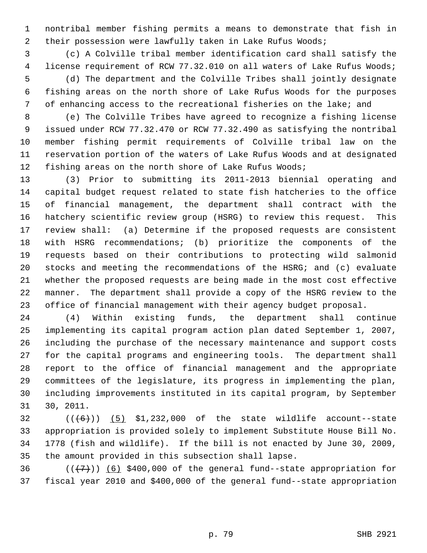1 nontribal member fishing permits a means to demonstrate that fish in 2 their possession were lawfully taken in Lake Rufus Woods;

 3 (c) A Colville tribal member identification card shall satisfy the 4 license requirement of RCW 77.32.010 on all waters of Lake Rufus Woods; 5 (d) The department and the Colville Tribes shall jointly designate 6 fishing areas on the north shore of Lake Rufus Woods for the purposes 7 of enhancing access to the recreational fisheries on the lake; and

 8 (e) The Colville Tribes have agreed to recognize a fishing license 9 issued under RCW 77.32.470 or RCW 77.32.490 as satisfying the nontribal 10 member fishing permit requirements of Colville tribal law on the 11 reservation portion of the waters of Lake Rufus Woods and at designated 12 fishing areas on the north shore of Lake Rufus Woods;

13 (3) Prior to submitting its 2011-2013 biennial operating and 14 capital budget request related to state fish hatcheries to the office 15 of financial management, the department shall contract with the 16 hatchery scientific review group (HSRG) to review this request. This 17 review shall: (a) Determine if the proposed requests are consistent 18 with HSRG recommendations; (b) prioritize the components of the 19 requests based on their contributions to protecting wild salmonid 20 stocks and meeting the recommendations of the HSRG; and (c) evaluate 21 whether the proposed requests are being made in the most cost effective 22 manner. The department shall provide a copy of the HSRG review to the 23 office of financial management with their agency budget proposal.

24 (4) Within existing funds, the department shall continue 25 implementing its capital program action plan dated September 1, 2007, 26 including the purchase of the necessary maintenance and support costs 27 for the capital programs and engineering tools. The department shall 28 report to the office of financial management and the appropriate 29 committees of the legislature, its progress in implementing the plan, 30 including improvements instituted in its capital program, by September 31 30, 2011.

 $32$  (( $(6)$ )) (5) \$1,232,000 of the state wildlife account--state 33 appropriation is provided solely to implement Substitute House Bill No. 34 1778 (fish and wildlife). If the bill is not enacted by June 30, 2009, 35 the amount provided in this subsection shall lapse.

36  $((+7)$ ) (6) \$400,000 of the general fund--state appropriation for 37 fiscal year 2010 and \$400,000 of the general fund--state appropriation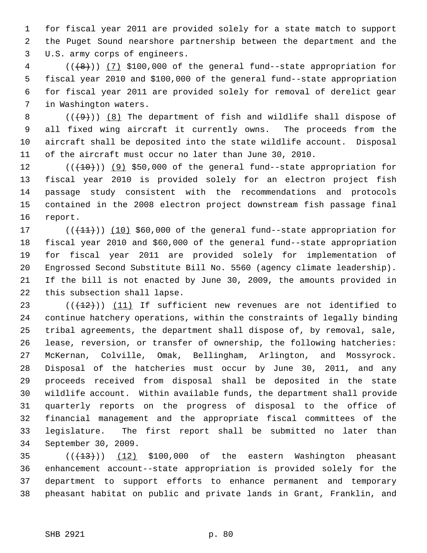1 for fiscal year 2011 are provided solely for a state match to support 2 the Puget Sound nearshore partnership between the department and the 3 U.S. army corps of engineers.

 $4$  ( $(\frac{1}{8})$ ) (7) \$100,000 of the general fund--state appropriation for 5 fiscal year 2010 and \$100,000 of the general fund--state appropriation 6 for fiscal year 2011 are provided solely for removal of derelict gear 7 in Washington waters.

8  $((+9))$  (8) The department of fish and wildlife shall dispose of 9 all fixed wing aircraft it currently owns. The proceeds from the 10 aircraft shall be deposited into the state wildlife account. Disposal 11 of the aircraft must occur no later than June 30, 2010.

12  $((+10))$  (9) \$50,000 of the general fund--state appropriation for 13 fiscal year 2010 is provided solely for an electron project fish 14 passage study consistent with the recommendations and protocols 15 contained in the 2008 electron project downstream fish passage final 16 report.

17  $((+11))$   $(10)$  \$60,000 of the general fund--state appropriation for 18 fiscal year 2010 and \$60,000 of the general fund--state appropriation 19 for fiscal year 2011 are provided solely for implementation of 20 Engrossed Second Substitute Bill No. 5560 (agency climate leadership). 21 If the bill is not enacted by June 30, 2009, the amounts provided in 22 this subsection shall lapse.

23  $((+12))$   $(11)$  If sufficient new revenues are not identified to 24 continue hatchery operations, within the constraints of legally binding 25 tribal agreements, the department shall dispose of, by removal, sale, 26 lease, reversion, or transfer of ownership, the following hatcheries: 27 McKernan, Colville, Omak, Bellingham, Arlington, and Mossyrock. 28 Disposal of the hatcheries must occur by June 30, 2011, and any 29 proceeds received from disposal shall be deposited in the state 30 wildlife account. Within available funds, the department shall provide 31 quarterly reports on the progress of disposal to the office of 32 financial management and the appropriate fiscal committees of the 33 legislature. The first report shall be submitted no later than 34 September 30, 2009.

35  $((+13))$   $(12)$  \$100,000 of the eastern Washington pheasant 36 enhancement account--state appropriation is provided solely for the 37 department to support efforts to enhance permanent and temporary 38 pheasant habitat on public and private lands in Grant, Franklin, and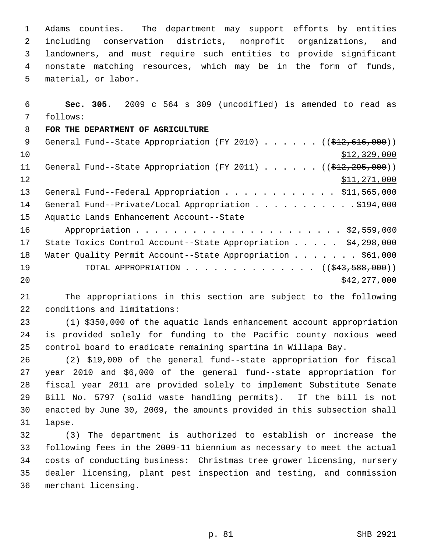1 Adams counties. The department may support efforts by entities 2 including conservation districts, nonprofit organizations, and 3 landowners, and must require such entities to provide significant 4 nonstate matching resources, which may be in the form of funds, 5 material, or labor.

 6 **Sec. 305.** 2009 c 564 s 309 (uncodified) is amended to read as 7 follows: 8 **FOR THE DEPARTMENT OF AGRICULTURE** 9 General Fund--State Appropriation (FY 2010) . . . . . . ((\$12,616,000))  $10$   $$12,329,000$ 11 General Fund--State Appropriation (FY 2011) . . . . . . ((\$12,295,000)) 12 \$11,271,000 13 General Fund--Federal Appropriation . . . . . . . . . . . \$11,565,000 14 General Fund--Private/Local Appropriation . . . . . . . . . . \$194,000 15 Aquatic Lands Enhancement Account--State 16 Appropriation . . . . . . . . . . . . . . . . . . . . . . \$2,559,000 17 State Toxics Control Account--State Appropriation . . . . . \$4,298,000 18 Water Quality Permit Account--State Appropriation . . . . . . . \$61,000 19 TOTAL APPROPRIATION . . . . . . . . . . . . . ((<del>\$43,588,000</del>)) 20 \$42,277,000

21 The appropriations in this section are subject to the following 22 conditions and limitations:

23 (1) \$350,000 of the aquatic lands enhancement account appropriation 24 is provided solely for funding to the Pacific county noxious weed 25 control board to eradicate remaining spartina in Willapa Bay.

26 (2) \$19,000 of the general fund--state appropriation for fiscal 27 year 2010 and \$6,000 of the general fund--state appropriation for 28 fiscal year 2011 are provided solely to implement Substitute Senate 29 Bill No. 5797 (solid waste handling permits). If the bill is not 30 enacted by June 30, 2009, the amounts provided in this subsection shall 31 lapse.

32 (3) The department is authorized to establish or increase the 33 following fees in the 2009-11 biennium as necessary to meet the actual 34 costs of conducting business: Christmas tree grower licensing, nursery 35 dealer licensing, plant pest inspection and testing, and commission 36 merchant licensing.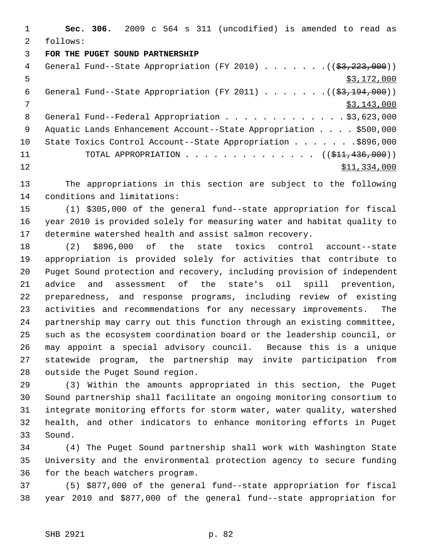1 **Sec. 306.** 2009 c 564 s 311 (uncodified) is amended to read as 2 follows:

## 3 **FOR THE PUGET SOUND PARTNERSHIP**

| 4  | General Fund--State Appropriation (FY 2010) $($ $($ \$3,223,000))    |
|----|----------------------------------------------------------------------|
| 5  | \$3,172,000                                                          |
| 6  | General Fund--State Appropriation (FY 2011) $($ $($ \$3,194,000) $)$ |
| 7  | \$3,143,000                                                          |
| 8  | General Fund--Federal Appropriation \$3,623,000                      |
| -9 | Aquatic Lands Enhancement Account--State Appropriation \$500,000     |
| 10 | State Toxics Control Account--State Appropriation \$896,000          |
| 11 | TOTAL APPROPRIATION $\ldots$ , ( $(\frac{1}{21}, 436, 000)$ )        |
| 12 | \$11,334,000                                                         |
|    |                                                                      |

13 The appropriations in this section are subject to the following 14 conditions and limitations:

15 (1) \$305,000 of the general fund--state appropriation for fiscal 16 year 2010 is provided solely for measuring water and habitat quality to 17 determine watershed health and assist salmon recovery.

18 (2) \$896,000 of the state toxics control account--state 19 appropriation is provided solely for activities that contribute to 20 Puget Sound protection and recovery, including provision of independent 21 advice and assessment of the state's oil spill prevention, 22 preparedness, and response programs, including review of existing 23 activities and recommendations for any necessary improvements. The 24 partnership may carry out this function through an existing committee, 25 such as the ecosystem coordination board or the leadership council, or 26 may appoint a special advisory council. Because this is a unique 27 statewide program, the partnership may invite participation from 28 outside the Puget Sound region.

29 (3) Within the amounts appropriated in this section, the Puget 30 Sound partnership shall facilitate an ongoing monitoring consortium to 31 integrate monitoring efforts for storm water, water quality, watershed 32 health, and other indicators to enhance monitoring efforts in Puget 33 Sound.

34 (4) The Puget Sound partnership shall work with Washington State 35 University and the environmental protection agency to secure funding 36 for the beach watchers program.

37 (5) \$877,000 of the general fund--state appropriation for fiscal 38 year 2010 and \$877,000 of the general fund--state appropriation for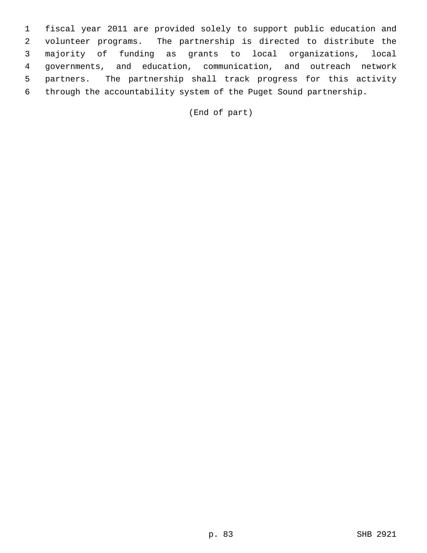1 fiscal year 2011 are provided solely to support public education and 2 volunteer programs. The partnership is directed to distribute the 3 majority of funding as grants to local organizations, local 4 governments, and education, communication, and outreach network 5 partners. The partnership shall track progress for this activity 6 through the accountability system of the Puget Sound partnership.

(End of part)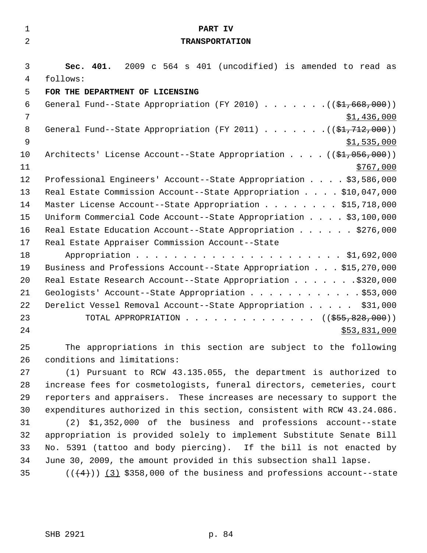| $\mathbf{1}$   | PART IV                                                                     |
|----------------|-----------------------------------------------------------------------------|
| $\overline{2}$ | <b>TRANSPORTATION</b>                                                       |
|                |                                                                             |
| 3              | Sec. 401. 2009 c 564 s 401 (uncodified) is amended to read as               |
| 4              | follows:                                                                    |
| 5              | FOR THE DEPARTMENT OF LICENSING                                             |
| 6              | General Fund--State Appropriation (FY 2010) ( $(\frac{21}{61}, 668, 000)$ ) |
| 7              | \$1,436,000                                                                 |
| 8              | General Fund--State Appropriation (FY 2011) ( $(\frac{21.712}{12.000})$     |
| 9              | \$1,535,000                                                                 |
| 10             | Architects' License Account--State Appropriation $($ $($ \$1,056,000))      |
| 11             | \$767,000                                                                   |
| 12             | Professional Engineers' Account--State Appropriation \$3,586,000            |
| 13             | Real Estate Commission Account--State Appropriation \$10,047,000            |
| 14             | Master License Account--State Appropriation \$15,718,000                    |
| 15             | Uniform Commercial Code Account--State Appropriation \$3,100,000            |
| 16             | Real Estate Education Account--State Appropriation \$276,000                |
| 17             | Real Estate Appraiser Commission Account--State                             |
| 18             |                                                                             |
| 19             | Business and Professions Account--State Appropriation \$15,270,000          |
| 20             | Real Estate Research Account--State Appropriation \$320,000                 |
| 21             | Geologists' Account--State Appropriation \$53,000                           |
| 22             | Derelict Vessel Removal Account--State Appropriation \$31,000               |
| 23             | TOTAL APPROPRIATION ( $(\frac{255}{650}, \frac{828}{600})$ )                |
| 24             | \$53,831,000                                                                |
| 25             | The appropriations in this section are subject to the following             |
| 26             | conditions and limitations:                                                 |
| 27             | (1) Pursuant to RCW 43.135.055, the department is authorized to             |
| 28             | increase fees for cosmetologists, funeral directors, cemeteries, court      |
| 29             | reporters and appraisers. These increases are necessary to support the      |
| 30             | expenditures authorized in this section, consistent with RCW 43.24.086.     |
| 31             | \$1,352,000 of the business and professions account--state<br>(2)           |
| 32             | appropriation is provided solely to implement Substitute Senate Bill        |
| 33             | No. 5391 (tattoo and body piercing). If the bill is not enacted by          |
| 34             | June 30, 2009, the amount provided in this subsection shall lapse.          |

35  $((4+))$   $(3)$  \$358,000 of the business and professions account--state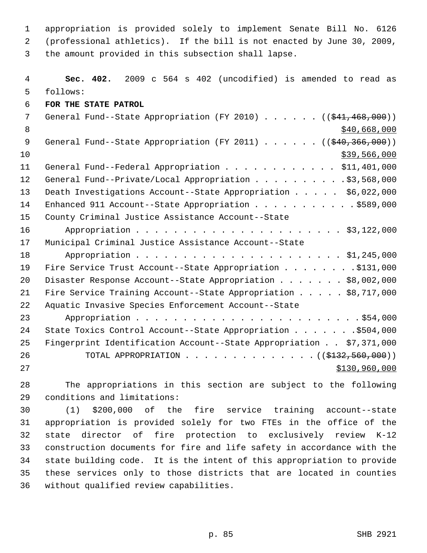1 appropriation is provided solely to implement Senate Bill No. 6126 2 (professional athletics). If the bill is not enacted by June 30, 2009, 3 the amount provided in this subsection shall lapse.

 4 **Sec. 402.** 2009 c 564 s 402 (uncodified) is amended to read as 5 follows: 6 **FOR THE STATE PATROL** 7 General Fund--State Appropriation (FY 2010) . . . . . . ((\$41,468,000)) 8 \$40,668,000 \$40,668,000 \$40,668,000 \$40,668,000 \$40,668,000 \$40,668,000 \$40,668,000 \$ 9 General Fund--State Appropriation (FY 2011) . . . . . . ((\$40,366,000))  $10$  \$39,566,000 11 General Fund--Federal Appropriation . . . . . . . . . . . \$11,401,000 12 General Fund--Private/Local Appropriation . . . . . . . . . \$3,568,000 13 Death Investigations Account--State Appropriation . . . . . \$6,022,000 14 Enhanced 911 Account--State Appropriation . . . . . . . . . . . \$589,000 15 County Criminal Justice Assistance Account--State 16 Appropriation . . . . . . . . . . . . . . . . . . . . . . \$3,122,000 17 Municipal Criminal Justice Assistance Account--State 18 Appropriation . . . . . . . . . . . . . . . . . . . . . . \$1,245,000 19 Fire Service Trust Account--State Appropriation . . . . . . . . \$131,000 20 Disaster Response Account--State Appropriation . . . . . . \$8,002,000 21 Fire Service Training Account--State Appropriation . . . . . \$8,717,000 22 Aquatic Invasive Species Enforcement Account--State 23 Appropriation . . . . . . . . . . . . . . . . . . . . . . . . \$54,000 24 State Toxics Control Account--State Appropriation . . . . . . . \$504,000 25 Fingerprint Identification Account--State Appropriation . . \$7,371,000 26 TOTAL APPROPRIATION . . . . . . . . . . . . . . (  $(\frac{2132}{132}, \frac{560}{100})$  ) 27 \$130,960,000

28 The appropriations in this section are subject to the following 29 conditions and limitations:

30 (1) \$200,000 of the fire service training account--state 31 appropriation is provided solely for two FTEs in the office of the 32 state director of fire protection to exclusively review K-12 33 construction documents for fire and life safety in accordance with the 34 state building code. It is the intent of this appropriation to provide 35 these services only to those districts that are located in counties 36 without qualified review capabilities.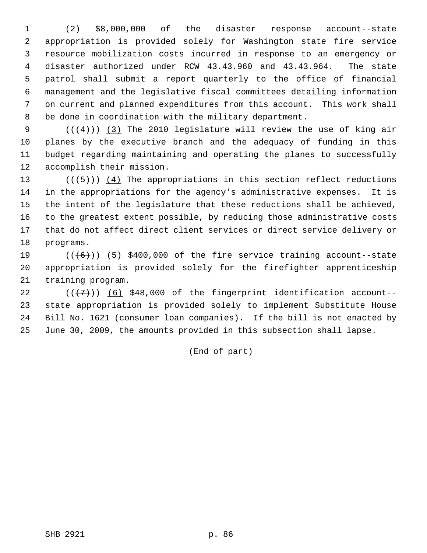1 (2) \$8,000,000 of the disaster response account--state 2 appropriation is provided solely for Washington state fire service 3 resource mobilization costs incurred in response to an emergency or 4 disaster authorized under RCW 43.43.960 and 43.43.964. The state 5 patrol shall submit a report quarterly to the office of financial 6 management and the legislative fiscal committees detailing information 7 on current and planned expenditures from this account. This work shall 8 be done in coordination with the military department.

9  $((+4))$  (3) The 2010 legislature will review the use of king air 10 planes by the executive branch and the adequacy of funding in this 11 budget regarding maintaining and operating the planes to successfully 12 accomplish their mission.

13 ( $(\overline{\smash{.}(\{+5\})})$  (4) The appropriations in this section reflect reductions 14 in the appropriations for the agency's administrative expenses. It is 15 the intent of the legislature that these reductions shall be achieved, 16 to the greatest extent possible, by reducing those administrative costs 17 that do not affect direct client services or direct service delivery or 18 programs.

19  $((+6))$  (5) \$400,000 of the fire service training account--state 20 appropriation is provided solely for the firefighter apprenticeship 21 training program.

22  $((\langle 7 \rangle)(6)$  \$48,000 of the fingerprint identification account--23 state appropriation is provided solely to implement Substitute House 24 Bill No. 1621 (consumer loan companies). If the bill is not enacted by 25 June 30, 2009, the amounts provided in this subsection shall lapse.

(End of part)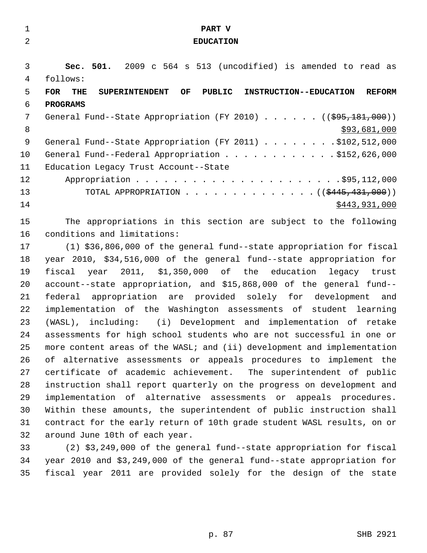| $\overline{2}$<br><b>EDUCATION</b><br>3<br>Sec. 501. 2009 c 564 s 513 (uncodified) is amended to read as<br>follows:<br>4<br>5<br>PUBLIC<br><b>FOR</b><br>OF<br><b>INSTRUCTION--EDUCATION</b><br>THE<br><b>SUPERINTENDENT</b><br>6<br><b>PROGRAMS</b><br>7<br>General Fund--State Appropriation (FY 2010) $($ $($ $\frac{695}{181},000)$ )<br>8<br>9<br>General Fund--State Appropriation (FY 2011) \$102,512,000<br>10<br>General Fund--Federal Appropriation \$152,626,000<br>11<br>Education Legacy Trust Account--State<br>12<br>13<br>TOTAL APPROPRIATION ( $(\frac{2445}{131000})$ ) |               |
|--------------------------------------------------------------------------------------------------------------------------------------------------------------------------------------------------------------------------------------------------------------------------------------------------------------------------------------------------------------------------------------------------------------------------------------------------------------------------------------------------------------------------------------------------------------------------------------------|---------------|
|                                                                                                                                                                                                                                                                                                                                                                                                                                                                                                                                                                                            |               |
|                                                                                                                                                                                                                                                                                                                                                                                                                                                                                                                                                                                            |               |
|                                                                                                                                                                                                                                                                                                                                                                                                                                                                                                                                                                                            |               |
|                                                                                                                                                                                                                                                                                                                                                                                                                                                                                                                                                                                            |               |
|                                                                                                                                                                                                                                                                                                                                                                                                                                                                                                                                                                                            | <b>REFORM</b> |
|                                                                                                                                                                                                                                                                                                                                                                                                                                                                                                                                                                                            |               |
|                                                                                                                                                                                                                                                                                                                                                                                                                                                                                                                                                                                            |               |
|                                                                                                                                                                                                                                                                                                                                                                                                                                                                                                                                                                                            | \$93,681,000  |
|                                                                                                                                                                                                                                                                                                                                                                                                                                                                                                                                                                                            |               |
|                                                                                                                                                                                                                                                                                                                                                                                                                                                                                                                                                                                            |               |
|                                                                                                                                                                                                                                                                                                                                                                                                                                                                                                                                                                                            |               |
|                                                                                                                                                                                                                                                                                                                                                                                                                                                                                                                                                                                            |               |
|                                                                                                                                                                                                                                                                                                                                                                                                                                                                                                                                                                                            |               |
| 14                                                                                                                                                                                                                                                                                                                                                                                                                                                                                                                                                                                         | \$443,931,000 |
| 15<br>The appropriations in this section are subject to the following                                                                                                                                                                                                                                                                                                                                                                                                                                                                                                                      |               |
| 16<br>conditions and limitations:                                                                                                                                                                                                                                                                                                                                                                                                                                                                                                                                                          |               |
| 17<br>(1) \$36,806,000 of the general fund--state appropriation for fiscal                                                                                                                                                                                                                                                                                                                                                                                                                                                                                                                 |               |
| year 2010, \$34,516,000 of the general fund--state appropriation for<br>18                                                                                                                                                                                                                                                                                                                                                                                                                                                                                                                 |               |
| 19<br>2011, \$1,350,000 of the education<br>fiscal<br>year                                                                                                                                                                                                                                                                                                                                                                                                                                                                                                                                 | legacy trust  |
| 20<br>account--state appropriation, and \$15,868,000 of the general fund--                                                                                                                                                                                                                                                                                                                                                                                                                                                                                                                 |               |
| 21<br>appropriation are provided solely for development<br>federal                                                                                                                                                                                                                                                                                                                                                                                                                                                                                                                         | and           |
| 22<br>implementation of the Washington assessments of student learning                                                                                                                                                                                                                                                                                                                                                                                                                                                                                                                     |               |
| 23<br>(WASL), including: (i) Development and implementation of retake                                                                                                                                                                                                                                                                                                                                                                                                                                                                                                                      |               |
| 24<br>assessments for high school students who are not successful in one or                                                                                                                                                                                                                                                                                                                                                                                                                                                                                                                |               |
| 25<br>more content areas of the WASL; and (ii) development and implementation                                                                                                                                                                                                                                                                                                                                                                                                                                                                                                              |               |
| 26<br>of alternative assessments or appeals procedures to implement the                                                                                                                                                                                                                                                                                                                                                                                                                                                                                                                    |               |
| 27<br>certificate of academic achievement. The superintendent of public                                                                                                                                                                                                                                                                                                                                                                                                                                                                                                                    |               |
| 28<br>instruction shall report quarterly on the progress on development and                                                                                                                                                                                                                                                                                                                                                                                                                                                                                                                |               |
| 29<br>implementation of alternative assessments or appeals procedures.                                                                                                                                                                                                                                                                                                                                                                                                                                                                                                                     |               |
| 30<br>Within these amounts, the superintendent of public instruction shall                                                                                                                                                                                                                                                                                                                                                                                                                                                                                                                 |               |
| contract for the early return of 10th grade student WASL results, on or<br>31                                                                                                                                                                                                                                                                                                                                                                                                                                                                                                              |               |
| 32<br>around June 10th of each year.                                                                                                                                                                                                                                                                                                                                                                                                                                                                                                                                                       |               |
| 33<br>(2) \$3,249,000 of the general fund--state appropriation for fiscal                                                                                                                                                                                                                                                                                                                                                                                                                                                                                                                  |               |
| 34<br>year 2010 and \$3,249,000 of the general fund--state appropriation for                                                                                                                                                                                                                                                                                                                                                                                                                                                                                                               |               |
| fiscal year 2011 are provided solely for the design of the state<br>35                                                                                                                                                                                                                                                                                                                                                                                                                                                                                                                     |               |
|                                                                                                                                                                                                                                                                                                                                                                                                                                                                                                                                                                                            |               |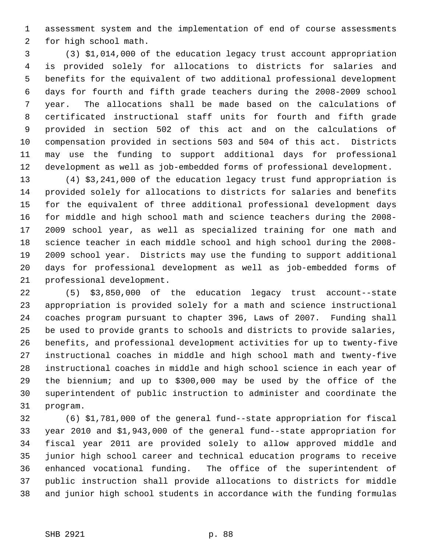1 assessment system and the implementation of end of course assessments 2 for high school math.

 3 (3) \$1,014,000 of the education legacy trust account appropriation 4 is provided solely for allocations to districts for salaries and 5 benefits for the equivalent of two additional professional development 6 days for fourth and fifth grade teachers during the 2008-2009 school 7 year. The allocations shall be made based on the calculations of 8 certificated instructional staff units for fourth and fifth grade 9 provided in section 502 of this act and on the calculations of 10 compensation provided in sections 503 and 504 of this act. Districts 11 may use the funding to support additional days for professional 12 development as well as job-embedded forms of professional development.

13 (4) \$3,241,000 of the education legacy trust fund appropriation is 14 provided solely for allocations to districts for salaries and benefits 15 for the equivalent of three additional professional development days 16 for middle and high school math and science teachers during the 2008- 17 2009 school year, as well as specialized training for one math and 18 science teacher in each middle school and high school during the 2008- 19 2009 school year. Districts may use the funding to support additional 20 days for professional development as well as job-embedded forms of 21 professional development.

22 (5) \$3,850,000 of the education legacy trust account--state 23 appropriation is provided solely for a math and science instructional 24 coaches program pursuant to chapter 396, Laws of 2007. Funding shall 25 be used to provide grants to schools and districts to provide salaries, 26 benefits, and professional development activities for up to twenty-five 27 instructional coaches in middle and high school math and twenty-five 28 instructional coaches in middle and high school science in each year of 29 the biennium; and up to \$300,000 may be used by the office of the 30 superintendent of public instruction to administer and coordinate the 31 program.

32 (6) \$1,781,000 of the general fund--state appropriation for fiscal 33 year 2010 and \$1,943,000 of the general fund--state appropriation for 34 fiscal year 2011 are provided solely to allow approved middle and 35 junior high school career and technical education programs to receive 36 enhanced vocational funding. The office of the superintendent of 37 public instruction shall provide allocations to districts for middle 38 and junior high school students in accordance with the funding formulas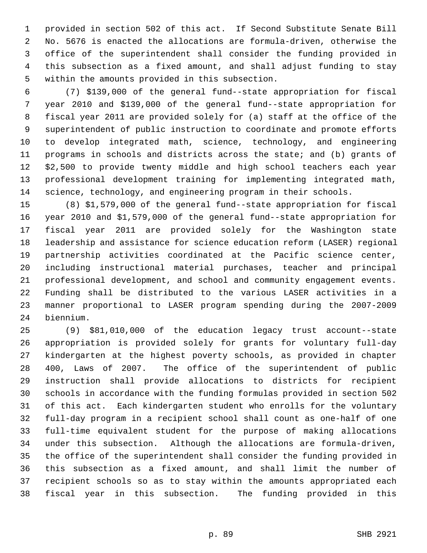1 provided in section 502 of this act. If Second Substitute Senate Bill 2 No. 5676 is enacted the allocations are formula-driven, otherwise the 3 office of the superintendent shall consider the funding provided in 4 this subsection as a fixed amount, and shall adjust funding to stay 5 within the amounts provided in this subsection.

 6 (7) \$139,000 of the general fund--state appropriation for fiscal 7 year 2010 and \$139,000 of the general fund--state appropriation for 8 fiscal year 2011 are provided solely for (a) staff at the office of the 9 superintendent of public instruction to coordinate and promote efforts 10 to develop integrated math, science, technology, and engineering 11 programs in schools and districts across the state; and (b) grants of 12 \$2,500 to provide twenty middle and high school teachers each year 13 professional development training for implementing integrated math, 14 science, technology, and engineering program in their schools.

15 (8) \$1,579,000 of the general fund--state appropriation for fiscal 16 year 2010 and \$1,579,000 of the general fund--state appropriation for 17 fiscal year 2011 are provided solely for the Washington state 18 leadership and assistance for science education reform (LASER) regional 19 partnership activities coordinated at the Pacific science center, 20 including instructional material purchases, teacher and principal 21 professional development, and school and community engagement events. 22 Funding shall be distributed to the various LASER activities in a 23 manner proportional to LASER program spending during the 2007-2009 24 biennium.

25 (9) \$81,010,000 of the education legacy trust account--state 26 appropriation is provided solely for grants for voluntary full-day 27 kindergarten at the highest poverty schools, as provided in chapter 28 400, Laws of 2007. The office of the superintendent of public 29 instruction shall provide allocations to districts for recipient 30 schools in accordance with the funding formulas provided in section 502 31 of this act. Each kindergarten student who enrolls for the voluntary 32 full-day program in a recipient school shall count as one-half of one 33 full-time equivalent student for the purpose of making allocations 34 under this subsection. Although the allocations are formula-driven, 35 the office of the superintendent shall consider the funding provided in 36 this subsection as a fixed amount, and shall limit the number of 37 recipient schools so as to stay within the amounts appropriated each 38 fiscal year in this subsection. The funding provided in this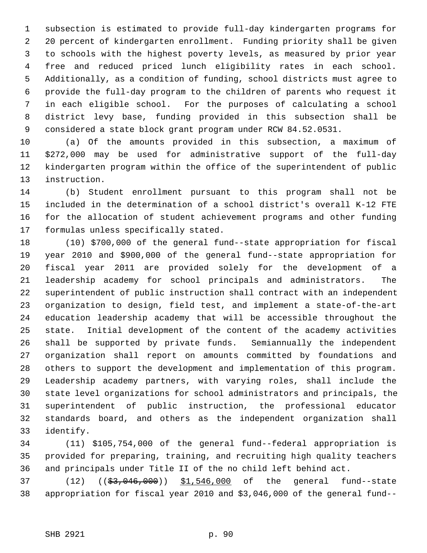1 subsection is estimated to provide full-day kindergarten programs for 2 20 percent of kindergarten enrollment. Funding priority shall be given 3 to schools with the highest poverty levels, as measured by prior year 4 free and reduced priced lunch eligibility rates in each school. 5 Additionally, as a condition of funding, school districts must agree to 6 provide the full-day program to the children of parents who request it 7 in each eligible school. For the purposes of calculating a school 8 district levy base, funding provided in this subsection shall be 9 considered a state block grant program under RCW 84.52.0531.

10 (a) Of the amounts provided in this subsection, a maximum of 11 \$272,000 may be used for administrative support of the full-day 12 kindergarten program within the office of the superintendent of public 13 instruction.

14 (b) Student enrollment pursuant to this program shall not be 15 included in the determination of a school district's overall K-12 FTE 16 for the allocation of student achievement programs and other funding 17 formulas unless specifically stated.

18 (10) \$700,000 of the general fund--state appropriation for fiscal 19 year 2010 and \$900,000 of the general fund--state appropriation for 20 fiscal year 2011 are provided solely for the development of a 21 leadership academy for school principals and administrators. The 22 superintendent of public instruction shall contract with an independent 23 organization to design, field test, and implement a state-of-the-art 24 education leadership academy that will be accessible throughout the 25 state. Initial development of the content of the academy activities 26 shall be supported by private funds. Semiannually the independent 27 organization shall report on amounts committed by foundations and 28 others to support the development and implementation of this program. 29 Leadership academy partners, with varying roles, shall include the 30 state level organizations for school administrators and principals, the 31 superintendent of public instruction, the professional educator 32 standards board, and others as the independent organization shall 33 identify.

34 (11) \$105,754,000 of the general fund--federal appropriation is 35 provided for preparing, training, and recruiting high quality teachers 36 and principals under Title II of the no child left behind act.

37 (12) ((\$3,046,000)) \$1,546,000 of the general fund--state 38 appropriation for fiscal year 2010 and \$3,046,000 of the general fund--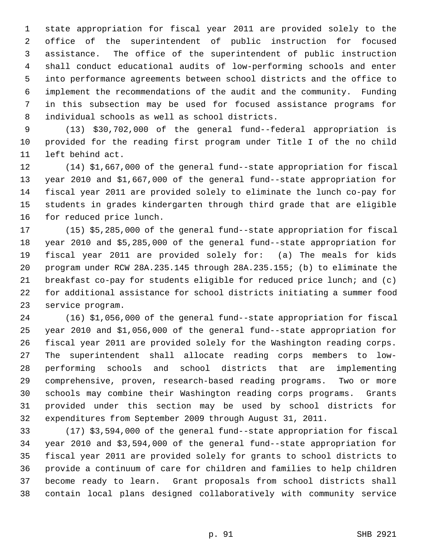1 state appropriation for fiscal year 2011 are provided solely to the 2 office of the superintendent of public instruction for focused 3 assistance. The office of the superintendent of public instruction 4 shall conduct educational audits of low-performing schools and enter 5 into performance agreements between school districts and the office to 6 implement the recommendations of the audit and the community. Funding 7 in this subsection may be used for focused assistance programs for 8 individual schools as well as school districts.

 9 (13) \$30,702,000 of the general fund--federal appropriation is 10 provided for the reading first program under Title I of the no child 11 left behind act.

12 (14) \$1,667,000 of the general fund--state appropriation for fiscal 13 year 2010 and \$1,667,000 of the general fund--state appropriation for 14 fiscal year 2011 are provided solely to eliminate the lunch co-pay for 15 students in grades kindergarten through third grade that are eligible 16 for reduced price lunch.

17 (15) \$5,285,000 of the general fund--state appropriation for fiscal 18 year 2010 and \$5,285,000 of the general fund--state appropriation for 19 fiscal year 2011 are provided solely for: (a) The meals for kids 20 program under RCW 28A.235.145 through 28A.235.155; (b) to eliminate the 21 breakfast co-pay for students eligible for reduced price lunch; and (c) 22 for additional assistance for school districts initiating a summer food 23 service program.

24 (16) \$1,056,000 of the general fund--state appropriation for fiscal 25 year 2010 and \$1,056,000 of the general fund--state appropriation for 26 fiscal year 2011 are provided solely for the Washington reading corps. 27 The superintendent shall allocate reading corps members to low-28 performing schools and school districts that are implementing 29 comprehensive, proven, research-based reading programs. Two or more 30 schools may combine their Washington reading corps programs. Grants 31 provided under this section may be used by school districts for 32 expenditures from September 2009 through August 31, 2011.

33 (17) \$3,594,000 of the general fund--state appropriation for fiscal 34 year 2010 and \$3,594,000 of the general fund--state appropriation for 35 fiscal year 2011 are provided solely for grants to school districts to 36 provide a continuum of care for children and families to help children 37 become ready to learn. Grant proposals from school districts shall 38 contain local plans designed collaboratively with community service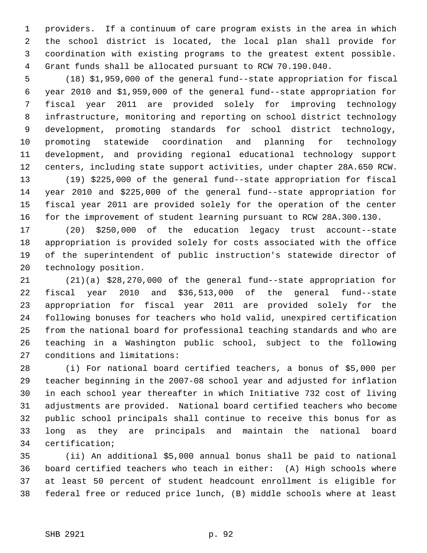1 providers. If a continuum of care program exists in the area in which 2 the school district is located, the local plan shall provide for 3 coordination with existing programs to the greatest extent possible. 4 Grant funds shall be allocated pursuant to RCW 70.190.040.

 5 (18) \$1,959,000 of the general fund--state appropriation for fiscal 6 year 2010 and \$1,959,000 of the general fund--state appropriation for 7 fiscal year 2011 are provided solely for improving technology 8 infrastructure, monitoring and reporting on school district technology 9 development, promoting standards for school district technology, 10 promoting statewide coordination and planning for technology 11 development, and providing regional educational technology support 12 centers, including state support activities, under chapter 28A.650 RCW. 13 (19) \$225,000 of the general fund--state appropriation for fiscal

14 year 2010 and \$225,000 of the general fund--state appropriation for 15 fiscal year 2011 are provided solely for the operation of the center 16 for the improvement of student learning pursuant to RCW 28A.300.130.

17 (20) \$250,000 of the education legacy trust account--state 18 appropriation is provided solely for costs associated with the office 19 of the superintendent of public instruction's statewide director of 20 technology position.

21 (21)(a) \$28,270,000 of the general fund--state appropriation for 22 fiscal year 2010 and \$36,513,000 of the general fund--state 23 appropriation for fiscal year 2011 are provided solely for the 24 following bonuses for teachers who hold valid, unexpired certification 25 from the national board for professional teaching standards and who are 26 teaching in a Washington public school, subject to the following 27 conditions and limitations:

28 (i) For national board certified teachers, a bonus of \$5,000 per 29 teacher beginning in the 2007-08 school year and adjusted for inflation 30 in each school year thereafter in which Initiative 732 cost of living 31 adjustments are provided. National board certified teachers who become 32 public school principals shall continue to receive this bonus for as 33 long as they are principals and maintain the national board 34 certification;

35 (ii) An additional \$5,000 annual bonus shall be paid to national 36 board certified teachers who teach in either: (A) High schools where 37 at least 50 percent of student headcount enrollment is eligible for 38 federal free or reduced price lunch, (B) middle schools where at least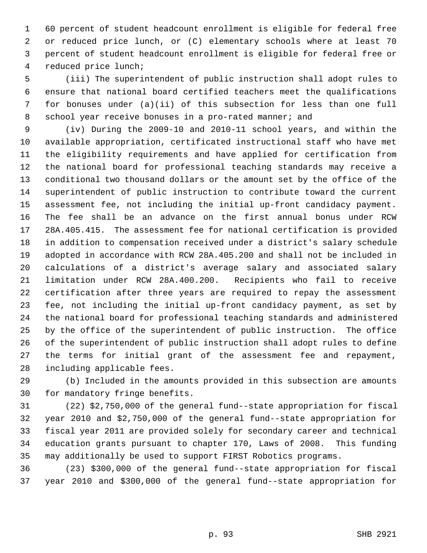1 60 percent of student headcount enrollment is eligible for federal free 2 or reduced price lunch, or (C) elementary schools where at least 70 3 percent of student headcount enrollment is eligible for federal free or 4 reduced price lunch;

 5 (iii) The superintendent of public instruction shall adopt rules to 6 ensure that national board certified teachers meet the qualifications 7 for bonuses under (a)(ii) of this subsection for less than one full 8 school year receive bonuses in a pro-rated manner; and

 9 (iv) During the 2009-10 and 2010-11 school years, and within the 10 available appropriation, certificated instructional staff who have met 11 the eligibility requirements and have applied for certification from 12 the national board for professional teaching standards may receive a 13 conditional two thousand dollars or the amount set by the office of the 14 superintendent of public instruction to contribute toward the current 15 assessment fee, not including the initial up-front candidacy payment. 16 The fee shall be an advance on the first annual bonus under RCW 17 28A.405.415. The assessment fee for national certification is provided 18 in addition to compensation received under a district's salary schedule 19 adopted in accordance with RCW 28A.405.200 and shall not be included in 20 calculations of a district's average salary and associated salary 21 limitation under RCW 28A.400.200. Recipients who fail to receive 22 certification after three years are required to repay the assessment 23 fee, not including the initial up-front candidacy payment, as set by 24 the national board for professional teaching standards and administered 25 by the office of the superintendent of public instruction. The office 26 of the superintendent of public instruction shall adopt rules to define 27 the terms for initial grant of the assessment fee and repayment, 28 including applicable fees.

29 (b) Included in the amounts provided in this subsection are amounts 30 for mandatory fringe benefits.

31 (22) \$2,750,000 of the general fund--state appropriation for fiscal 32 year 2010 and \$2,750,000 of the general fund--state appropriation for 33 fiscal year 2011 are provided solely for secondary career and technical 34 education grants pursuant to chapter 170, Laws of 2008. This funding 35 may additionally be used to support FIRST Robotics programs.

36 (23) \$300,000 of the general fund--state appropriation for fiscal 37 year 2010 and \$300,000 of the general fund--state appropriation for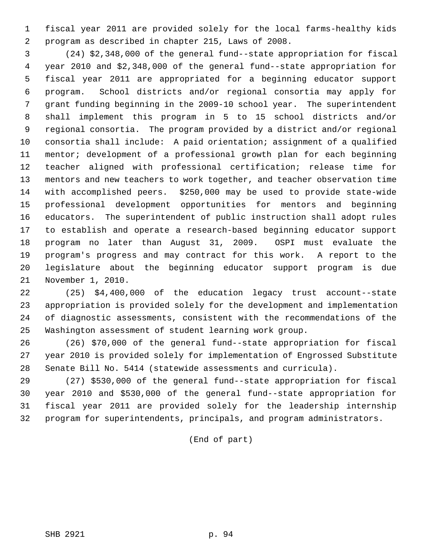1 fiscal year 2011 are provided solely for the local farms-healthy kids 2 program as described in chapter 215, Laws of 2008.

 3 (24) \$2,348,000 of the general fund--state appropriation for fiscal 4 year 2010 and \$2,348,000 of the general fund--state appropriation for 5 fiscal year 2011 are appropriated for a beginning educator support 6 program. School districts and/or regional consortia may apply for 7 grant funding beginning in the 2009-10 school year. The superintendent 8 shall implement this program in 5 to 15 school districts and/or 9 regional consortia. The program provided by a district and/or regional 10 consortia shall include: A paid orientation; assignment of a qualified 11 mentor; development of a professional growth plan for each beginning 12 teacher aligned with professional certification; release time for 13 mentors and new teachers to work together, and teacher observation time 14 with accomplished peers. \$250,000 may be used to provide state-wide 15 professional development opportunities for mentors and beginning 16 educators. The superintendent of public instruction shall adopt rules 17 to establish and operate a research-based beginning educator support 18 program no later than August 31, 2009. OSPI must evaluate the 19 program's progress and may contract for this work. A report to the 20 legislature about the beginning educator support program is due 21 November 1, 2010.

22 (25) \$4,400,000 of the education legacy trust account--state 23 appropriation is provided solely for the development and implementation 24 of diagnostic assessments, consistent with the recommendations of the 25 Washington assessment of student learning work group.

26 (26) \$70,000 of the general fund--state appropriation for fiscal 27 year 2010 is provided solely for implementation of Engrossed Substitute 28 Senate Bill No. 5414 (statewide assessments and curricula).

29 (27) \$530,000 of the general fund--state appropriation for fiscal 30 year 2010 and \$530,000 of the general fund--state appropriation for 31 fiscal year 2011 are provided solely for the leadership internship 32 program for superintendents, principals, and program administrators.

(End of part)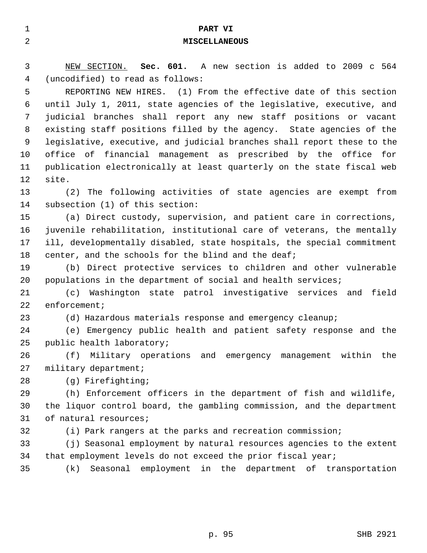| $\mathbf{1}$ | PART VI                                                                 |
|--------------|-------------------------------------------------------------------------|
| 2            | <b>MISCELLANEOUS</b>                                                    |
|              |                                                                         |
| 3            | NEW SECTION. Sec. 601. A new section is added to 2009 c 564             |
| 4            | (uncodified) to read as follows:                                        |
| 5            | REPORTING NEW HIRES. (1) From the effective date of this section        |
| 6            | until July 1, 2011, state agencies of the legislative, executive, and   |
| 7            | judicial branches shall report any new staff positions or vacant        |
| 8            | existing staff positions filled by the agency. State agencies of the    |
| 9            | legislative, executive, and judicial branches shall report these to the |
| 10           | office of financial management as prescribed by the office for          |
| 11           | publication electronically at least quarterly on the state fiscal web   |
| 12           | site.                                                                   |
| 13           | (2) The following activities of state agencies are exempt from          |
| 14           | subsection (1) of this section:                                         |
| 15           | (a) Direct custody, supervision, and patient care in corrections,       |
| 16           | juvenile rehabilitation, institutional care of veterans, the mentally   |
| 17           | ill, developmentally disabled, state hospitals, the special commitment  |
| 18           | center, and the schools for the blind and the deaf;                     |
| 19           | (b) Direct protective services to children and other vulnerable         |
| 20           | populations in the department of social and health services;            |
| 21           | Washington state patrol investigative services and<br>field<br>(c)      |
| 22           | $enfore$ ment;                                                          |
| 23           | (d) Hazardous materials response and emergency cleanup;                 |
| 24           | (e) Emergency public health and patient safety response and the         |
| 25           | public health laboratory;                                               |
| 26           | (f)<br>Military operations and emergency management within<br>the       |
| 27           | military department;                                                    |
| 28           | (g) Firefighting;                                                       |
| 29           | (h) Enforcement officers in the department of fish and wildlife,        |
| 30           | the liquor control board, the gambling commission, and the department   |
| 31           | of natural resources;                                                   |
| 32           | (i) Park rangers at the parks and recreation commission;                |
| 33           | (j) Seasonal employment by natural resources agencies to the extent     |
| 34           | that employment levels do not exceed the prior fiscal year;             |
| 35           | Seasonal employment in the department of transportation<br>(k)          |
|              |                                                                         |

p. 95 SHB 2921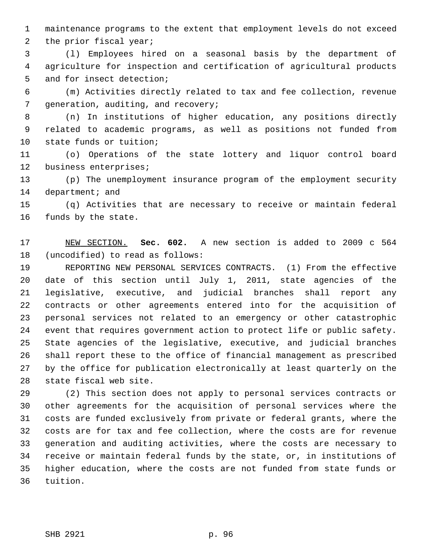1 maintenance programs to the extent that employment levels do not exceed 2 the prior fiscal year;

 3 (l) Employees hired on a seasonal basis by the department of 4 agriculture for inspection and certification of agricultural products 5 and for insect detection;

 6 (m) Activities directly related to tax and fee collection, revenue 7 generation, auditing, and recovery;

 8 (n) In institutions of higher education, any positions directly 9 related to academic programs, as well as positions not funded from 10 state funds or tuition;

11 (o) Operations of the state lottery and liquor control board 12 business enterprises;

13 (p) The unemployment insurance program of the employment security 14 department; and

15 (q) Activities that are necessary to receive or maintain federal 16 funds by the state.

17 NEW SECTION. **Sec. 602.** A new section is added to 2009 c 564 18 (uncodified) to read as follows:

19 REPORTING NEW PERSONAL SERVICES CONTRACTS. (1) From the effective 20 date of this section until July 1, 2011, state agencies of the 21 legislative, executive, and judicial branches shall report any 22 contracts or other agreements entered into for the acquisition of 23 personal services not related to an emergency or other catastrophic 24 event that requires government action to protect life or public safety. 25 State agencies of the legislative, executive, and judicial branches 26 shall report these to the office of financial management as prescribed 27 by the office for publication electronically at least quarterly on the 28 state fiscal web site.

29 (2) This section does not apply to personal services contracts or 30 other agreements for the acquisition of personal services where the 31 costs are funded exclusively from private or federal grants, where the 32 costs are for tax and fee collection, where the costs are for revenue 33 generation and auditing activities, where the costs are necessary to 34 receive or maintain federal funds by the state, or, in institutions of 35 higher education, where the costs are not funded from state funds or 36 tuition.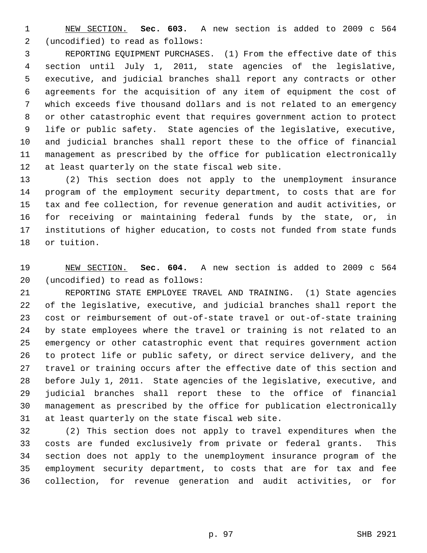1 NEW SECTION. **Sec. 603.** A new section is added to 2009 c 564 2 (uncodified) to read as follows:

 3 REPORTING EQUIPMENT PURCHASES. (1) From the effective date of this 4 section until July 1, 2011, state agencies of the legislative, 5 executive, and judicial branches shall report any contracts or other 6 agreements for the acquisition of any item of equipment the cost of 7 which exceeds five thousand dollars and is not related to an emergency 8 or other catastrophic event that requires government action to protect 9 life or public safety. State agencies of the legislative, executive, 10 and judicial branches shall report these to the office of financial 11 management as prescribed by the office for publication electronically 12 at least quarterly on the state fiscal web site.

13 (2) This section does not apply to the unemployment insurance 14 program of the employment security department, to costs that are for 15 tax and fee collection, for revenue generation and audit activities, or 16 for receiving or maintaining federal funds by the state, or, in 17 institutions of higher education, to costs not funded from state funds 18 or tuition.

19 NEW SECTION. **Sec. 604.** A new section is added to 2009 c 564 20 (uncodified) to read as follows:

21 REPORTING STATE EMPLOYEE TRAVEL AND TRAINING. (1) State agencies 22 of the legislative, executive, and judicial branches shall report the 23 cost or reimbursement of out-of-state travel or out-of-state training 24 by state employees where the travel or training is not related to an 25 emergency or other catastrophic event that requires government action 26 to protect life or public safety, or direct service delivery, and the 27 travel or training occurs after the effective date of this section and 28 before July 1, 2011. State agencies of the legislative, executive, and 29 judicial branches shall report these to the office of financial 30 management as prescribed by the office for publication electronically 31 at least quarterly on the state fiscal web site.

32 (2) This section does not apply to travel expenditures when the 33 costs are funded exclusively from private or federal grants. This 34 section does not apply to the unemployment insurance program of the 35 employment security department, to costs that are for tax and fee 36 collection, for revenue generation and audit activities, or for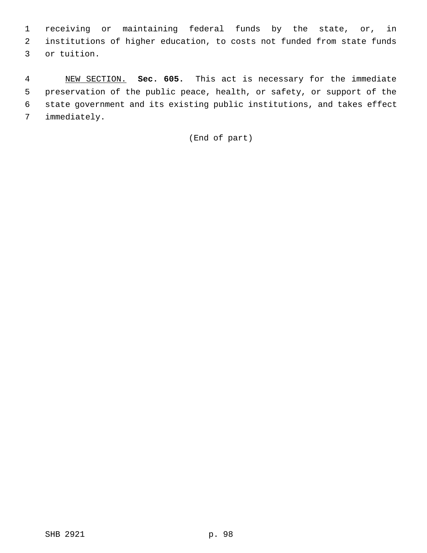1 receiving or maintaining federal funds by the state, or, in 2 institutions of higher education, to costs not funded from state funds 3 or tuition.

 4 NEW SECTION. **Sec. 605.** This act is necessary for the immediate 5 preservation of the public peace, health, or safety, or support of the 6 state government and its existing public institutions, and takes effect 7 immediately.

(End of part)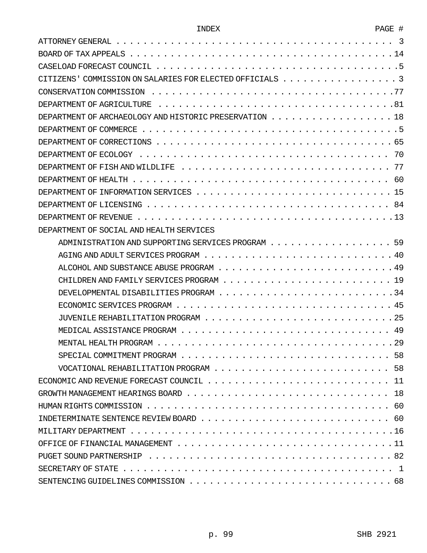| Ö |  |
|---|--|
|   |  |

| CITIZENS' COMMISSION ON SALARIES FOR ELECTED OFFICIALS 3 |
|----------------------------------------------------------|
|                                                          |
|                                                          |
| DEPARTMENT OF ARCHAEOLOGY AND HISTORIC PRESERVATION 18   |
|                                                          |
|                                                          |
|                                                          |
|                                                          |
|                                                          |
|                                                          |
|                                                          |
|                                                          |
| DEPARTMENT OF SOCIAL AND HEALTH SERVICES                 |
| ADMINISTRATION AND SUPPORTING SERVICES PROGRAM 59        |
|                                                          |
|                                                          |
|                                                          |
|                                                          |
|                                                          |
|                                                          |
|                                                          |
|                                                          |
|                                                          |
|                                                          |
|                                                          |
|                                                          |
|                                                          |
|                                                          |
|                                                          |
|                                                          |
|                                                          |
|                                                          |
|                                                          |